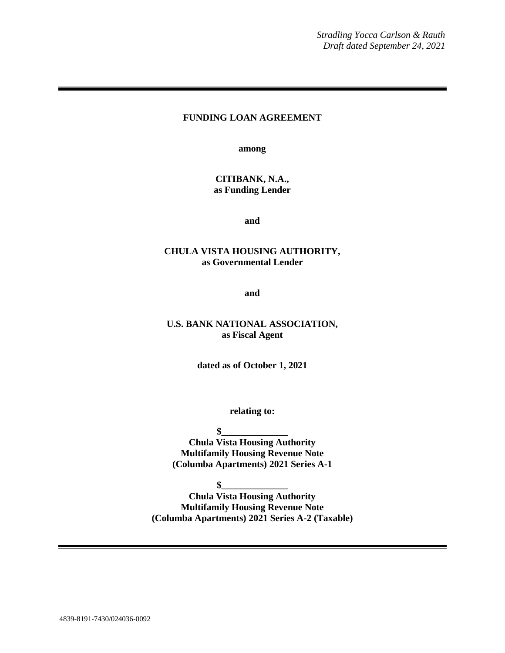# **FUNDING LOAN AGREEMENT**

**among**

## **CITIBANK, N.A., as Funding Lender**

**and**

#### **CHULA VISTA HOUSING AUTHORITY, as Governmental Lender**

**and**

#### **U.S. BANK NATIONAL ASSOCIATION, as Fiscal Agent**

**dated as of October 1, 2021**

**relating to:**

**\$\_\_\_\_\_\_\_\_\_\_\_\_\_\_**

**Chula Vista Housing Authority Multifamily Housing Revenue Note (Columba Apartments) 2021 Series A-1**

**\$\_\_\_\_\_\_\_\_\_\_\_\_\_\_**

**Chula Vista Housing Authority Multifamily Housing Revenue Note (Columba Apartments) 2021 Series A-2 (Taxable)**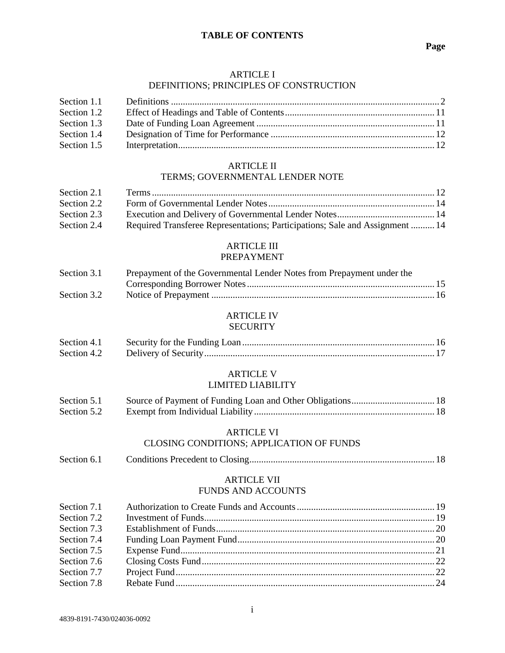#### **TABLE OF CONTENTS**

#### ARTICLE I

#### DEFINITIONS; PRINCIPLES OF CONSTRUCTION

| Section 1.1 |  |
|-------------|--|
| Section 1.2 |  |
| Section 1.3 |  |
| Section 1.4 |  |
| Section 1.5 |  |

### ARTICLE II

## TERMS; GOVERNMENTAL LENDER NOTE

| Required Transferee Representations; Participations; Sale and Assignment  14 |
|------------------------------------------------------------------------------|
|                                                                              |

#### ARTICLE III PREPAYMENT

| Section 3.1 | Prepayment of the Governmental Lender Notes from Prepayment under the |  |
|-------------|-----------------------------------------------------------------------|--|
|             |                                                                       |  |
| Section 3.2 |                                                                       |  |

# ARTICLE IV

#### **SECURITY**

| Section 4.1 |  |
|-------------|--|
|             |  |

# ARTICLE V

#### LIMITED LIABILITY

| Section 5.1 |  |
|-------------|--|
| Section 5.2 |  |

#### ARTICLE VI

# CLOSING CONDITIONS; APPLICATION OF FUNDS

Section 6.1 Conditions Precedent to Closing.............................................................................. 18

#### ARTICLE VII FUNDS AND ACCOUNTS

| Section 7.1 |  |
|-------------|--|
| Section 7.2 |  |
| Section 7.3 |  |
| Section 7.4 |  |
| Section 7.5 |  |
| Section 7.6 |  |
| Section 7.7 |  |
| Section 7.8 |  |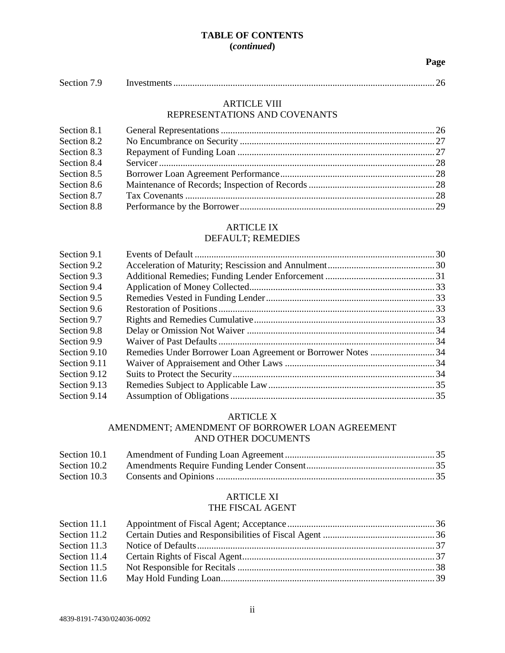# **TABLE OF CONTENTS (***continued***)**

#### **Page**

| Section 7.9 |  |  |  |
|-------------|--|--|--|
|-------------|--|--|--|

#### ARTICLE VIII REPRESENTATIONS AND COVENANTS

| Section 8.1 |  |
|-------------|--|
| Section 8.2 |  |
| Section 8.3 |  |
| Section 8.4 |  |
| Section 8.5 |  |
| Section 8.6 |  |
| Section 8.7 |  |
| Section 8.8 |  |

# ARTICLE IX

# DEFAULT; REMEDIES

| Section 9.1  |  |
|--------------|--|
| Section 9.2  |  |
| Section 9.3  |  |
| Section 9.4  |  |
| Section 9.5  |  |
| Section 9.6  |  |
| Section 9.7  |  |
| Section 9.8  |  |
| Section 9.9  |  |
| Section 9.10 |  |
| Section 9.11 |  |
| Section 9.12 |  |
| Section 9.13 |  |
| Section 9.14 |  |

## ARTICLE X

## AMENDMENT; AMENDMENT OF BORROWER LOAN AGREEMENT AND OTHER DOCUMENTS

| Section 10.3 |  |
|--------------|--|

# ARTICLE XI

#### THE FISCAL AGENT

| Section 11.1 |  |
|--------------|--|
| Section 11.2 |  |
| Section 11.3 |  |
| Section 11.4 |  |
| Section 11.5 |  |
| Section 11.6 |  |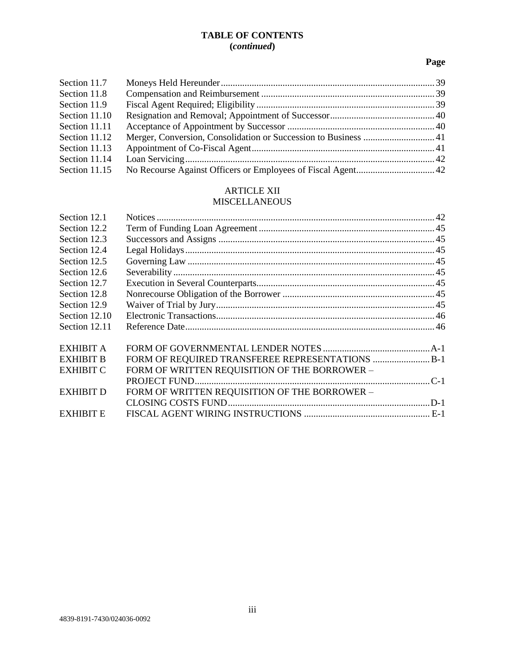# **TABLE OF CONTENTS (***continued***)**

# **Page**

| Section 11.7  |  |
|---------------|--|
| Section 11.8  |  |
| Section 11.9  |  |
| Section 11.10 |  |
| Section 11.11 |  |
| Section 11.12 |  |
| Section 11.13 |  |
| Section 11.14 |  |
| Section 11.15 |  |

# ARTICLE XII

# MISCELLANEOUS

| Section 12.1     |                                                  |  |
|------------------|--------------------------------------------------|--|
| Section 12.2     |                                                  |  |
| Section 12.3     |                                                  |  |
| Section 12.4     |                                                  |  |
| Section 12.5     |                                                  |  |
| Section 12.6     |                                                  |  |
| Section 12.7     |                                                  |  |
| Section 12.8     |                                                  |  |
| Section 12.9     |                                                  |  |
| Section 12.10    |                                                  |  |
| Section 12.11    |                                                  |  |
| <b>EXHIBIT A</b> |                                                  |  |
| <b>EXHIBIT B</b> | FORM OF REQUIRED TRANSFEREE REPRESENTATIONS  B-1 |  |
| <b>EXHIBIT C</b> | FORM OF WRITTEN REQUISITION OF THE BORROWER -    |  |
|                  |                                                  |  |
| <b>EXHIBIT D</b> | FORM OF WRITTEN REQUISITION OF THE BORROWER -    |  |
|                  |                                                  |  |
| <b>EXHIBIT E</b> |                                                  |  |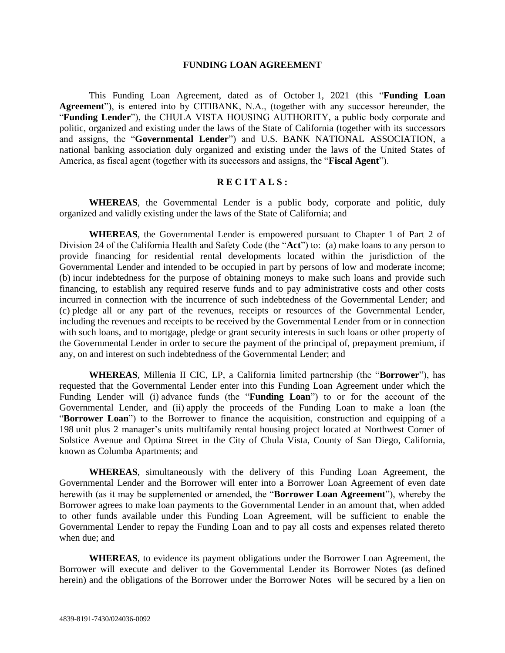#### **FUNDING LOAN AGREEMENT**

This Funding Loan Agreement, dated as of October 1, 2021 (this "**Funding Loan Agreement**"), is entered into by CITIBANK, N.A., (together with any successor hereunder, the "**Funding Lender**"), the CHULA VISTA HOUSING AUTHORITY, a public body corporate and politic, organized and existing under the laws of the State of California (together with its successors and assigns, the "**Governmental Lender**") and U.S. BANK NATIONAL ASSOCIATION, a national banking association duly organized and existing under the laws of the United States of America, as fiscal agent (together with its successors and assigns, the "**Fiscal Agent**").

# **R E C I T A L S :**

**WHEREAS**, the Governmental Lender is a public body, corporate and politic, duly organized and validly existing under the laws of the State of California; and

**WHEREAS**, the Governmental Lender is empowered pursuant to Chapter 1 of Part 2 of Division 24 of the California Health and Safety Code (the "**Act**") to: (a) make loans to any person to provide financing for residential rental developments located within the jurisdiction of the Governmental Lender and intended to be occupied in part by persons of low and moderate income; (b) incur indebtedness for the purpose of obtaining moneys to make such loans and provide such financing, to establish any required reserve funds and to pay administrative costs and other costs incurred in connection with the incurrence of such indebtedness of the Governmental Lender; and (c) pledge all or any part of the revenues, receipts or resources of the Governmental Lender, including the revenues and receipts to be received by the Governmental Lender from or in connection with such loans, and to mortgage, pledge or grant security interests in such loans or other property of the Governmental Lender in order to secure the payment of the principal of, prepayment premium, if any, on and interest on such indebtedness of the Governmental Lender; and

**WHEREAS**, Millenia II CIC, LP, a California limited partnership (the "**Borrower**"), has requested that the Governmental Lender enter into this Funding Loan Agreement under which the Funding Lender will (i) advance funds (the "**Funding Loan**") to or for the account of the Governmental Lender, and (ii) apply the proceeds of the Funding Loan to make a loan (the "**Borrower Loan**") to the Borrower to finance the acquisition, construction and equipping of a 198 unit plus 2 manager's units multifamily rental housing project located at Northwest Corner of Solstice Avenue and Optima Street in the City of Chula Vista, County of San Diego, California, known as Columba Apartments; and

**WHEREAS**, simultaneously with the delivery of this Funding Loan Agreement, the Governmental Lender and the Borrower will enter into a Borrower Loan Agreement of even date herewith (as it may be supplemented or amended, the "**Borrower Loan Agreement**"), whereby the Borrower agrees to make loan payments to the Governmental Lender in an amount that, when added to other funds available under this Funding Loan Agreement, will be sufficient to enable the Governmental Lender to repay the Funding Loan and to pay all costs and expenses related thereto when due; and

**WHEREAS**, to evidence its payment obligations under the Borrower Loan Agreement, the Borrower will execute and deliver to the Governmental Lender its Borrower Notes (as defined herein) and the obligations of the Borrower under the Borrower Notes will be secured by a lien on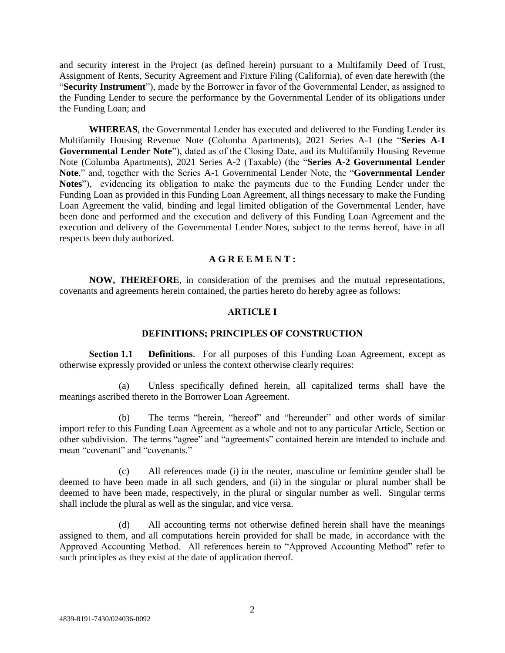and security interest in the Project (as defined herein) pursuant to a Multifamily Deed of Trust, Assignment of Rents, Security Agreement and Fixture Filing (California), of even date herewith (the "**Security Instrument**"), made by the Borrower in favor of the Governmental Lender, as assigned to the Funding Lender to secure the performance by the Governmental Lender of its obligations under the Funding Loan; and

**WHEREAS**, the Governmental Lender has executed and delivered to the Funding Lender its Multifamily Housing Revenue Note (Columba Apartments), 2021 Series A-1 (the "**Series A-1 Governmental Lender Note**"), dated as of the Closing Date, and its Multifamily Housing Revenue Note (Columba Apartments), 2021 Series A-2 (Taxable) (the "**Series A-2 Governmental Lender Note**," and, together with the Series A-1 Governmental Lender Note, the "**Governmental Lender Notes**"), evidencing its obligation to make the payments due to the Funding Lender under the Funding Loan as provided in this Funding Loan Agreement, all things necessary to make the Funding Loan Agreement the valid, binding and legal limited obligation of the Governmental Lender, have been done and performed and the execution and delivery of this Funding Loan Agreement and the execution and delivery of the Governmental Lender Notes, subject to the terms hereof, have in all respects been duly authorized.

#### **A G R E E M E N T :**

**NOW, THEREFORE**, in consideration of the premises and the mutual representations, covenants and agreements herein contained, the parties hereto do hereby agree as follows:

#### **ARTICLE I**

#### **DEFINITIONS; PRINCIPLES OF CONSTRUCTION**

**Section 1.1 Definitions**. For all purposes of this Funding Loan Agreement, except as otherwise expressly provided or unless the context otherwise clearly requires:

(a) Unless specifically defined herein, all capitalized terms shall have the meanings ascribed thereto in the Borrower Loan Agreement.

(b) The terms "herein, "hereof" and "hereunder" and other words of similar import refer to this Funding Loan Agreement as a whole and not to any particular Article, Section or other subdivision. The terms "agree" and "agreements" contained herein are intended to include and mean "covenant" and "covenants."

(c) All references made (i) in the neuter, masculine or feminine gender shall be deemed to have been made in all such genders, and (ii) in the singular or plural number shall be deemed to have been made, respectively, in the plural or singular number as well. Singular terms shall include the plural as well as the singular, and vice versa.

(d) All accounting terms not otherwise defined herein shall have the meanings assigned to them, and all computations herein provided for shall be made, in accordance with the Approved Accounting Method. All references herein to "Approved Accounting Method" refer to such principles as they exist at the date of application thereof.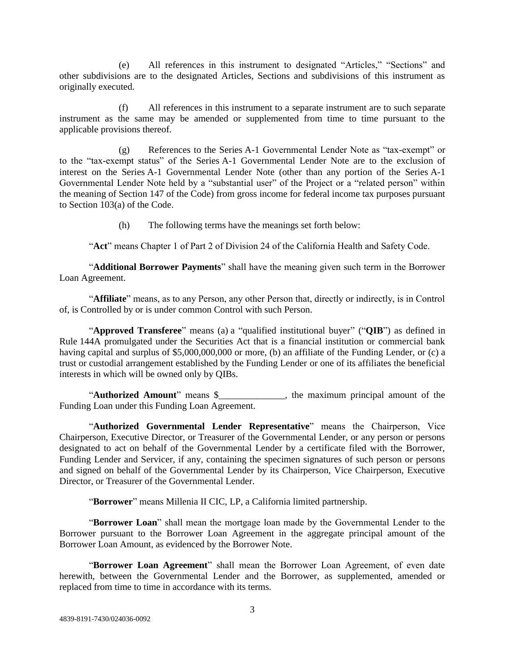(e) All references in this instrument to designated "Articles," "Sections" and other subdivisions are to the designated Articles, Sections and subdivisions of this instrument as originally executed.

(f) All references in this instrument to a separate instrument are to such separate instrument as the same may be amended or supplemented from time to time pursuant to the applicable provisions thereof.

(g) References to the Series A-1 Governmental Lender Note as "tax-exempt" or to the "tax-exempt status" of the Series A-1 Governmental Lender Note are to the exclusion of interest on the Series A-1 Governmental Lender Note (other than any portion of the Series A-1 Governmental Lender Note held by a "substantial user" of the Project or a "related person" within the meaning of Section 147 of the Code) from gross income for federal income tax purposes pursuant to Section 103(a) of the Code.

(h) The following terms have the meanings set forth below:

"**Act**" means Chapter 1 of Part 2 of Division 24 of the California Health and Safety Code.

"**Additional Borrower Payments**" shall have the meaning given such term in the Borrower Loan Agreement.

"**Affiliate**" means, as to any Person, any other Person that, directly or indirectly, is in Control of, is Controlled by or is under common Control with such Person.

"**Approved Transferee**" means (a) a "qualified institutional buyer" ("**QIB**") as defined in Rule 144A promulgated under the Securities Act that is a financial institution or commercial bank having capital and surplus of \$5,000,000,000 or more, (b) an affiliate of the Funding Lender, or (c) a trust or custodial arrangement established by the Funding Lender or one of its affiliates the beneficial interests in which will be owned only by QIBs.

"**Authorized Amount**" means \$\_\_\_\_\_\_\_\_\_\_\_\_\_\_, the maximum principal amount of the Funding Loan under this Funding Loan Agreement.

"**Authorized Governmental Lender Representative**" means the Chairperson, Vice Chairperson, Executive Director, or Treasurer of the Governmental Lender, or any person or persons designated to act on behalf of the Governmental Lender by a certificate filed with the Borrower, Funding Lender and Servicer, if any, containing the specimen signatures of such person or persons and signed on behalf of the Governmental Lender by its Chairperson, Vice Chairperson, Executive Director, or Treasurer of the Governmental Lender.

"**Borrower**" means Millenia II CIC, LP, a California limited partnership.

"**Borrower Loan**" shall mean the mortgage loan made by the Governmental Lender to the Borrower pursuant to the Borrower Loan Agreement in the aggregate principal amount of the Borrower Loan Amount, as evidenced by the Borrower Note.

"**Borrower Loan Agreement**" shall mean the Borrower Loan Agreement, of even date herewith, between the Governmental Lender and the Borrower, as supplemented, amended or replaced from time to time in accordance with its terms.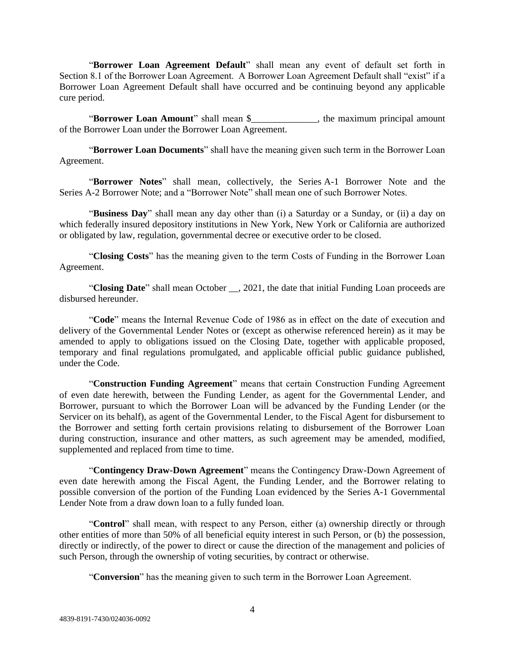"**Borrower Loan Agreement Default**" shall mean any event of default set forth in Section 8.1 of the Borrower Loan Agreement. A Borrower Loan Agreement Default shall "exist" if a Borrower Loan Agreement Default shall have occurred and be continuing beyond any applicable cure period.

"**Borrower Loan Amount**" shall mean \$\_\_\_\_\_\_\_\_\_\_\_\_\_\_, the maximum principal amount of the Borrower Loan under the Borrower Loan Agreement.

"**Borrower Loan Documents**" shall have the meaning given such term in the Borrower Loan Agreement.

"**Borrower Notes**" shall mean, collectively, the Series A-1 Borrower Note and the Series A-2 Borrower Note; and a "Borrower Note" shall mean one of such Borrower Notes.

"**Business Day**" shall mean any day other than (i) a Saturday or a Sunday, or (ii) a day on which federally insured depository institutions in New York, New York or California are authorized or obligated by law, regulation, governmental decree or executive order to be closed.

"**Closing Costs**" has the meaning given to the term Costs of Funding in the Borrower Loan Agreement.

"**Closing Date**" shall mean October \_\_, 2021, the date that initial Funding Loan proceeds are disbursed hereunder.

"**Code**" means the Internal Revenue Code of 1986 as in effect on the date of execution and delivery of the Governmental Lender Notes or (except as otherwise referenced herein) as it may be amended to apply to obligations issued on the Closing Date, together with applicable proposed, temporary and final regulations promulgated, and applicable official public guidance published, under the Code.

"**Construction Funding Agreement**" means that certain Construction Funding Agreement of even date herewith, between the Funding Lender, as agent for the Governmental Lender, and Borrower, pursuant to which the Borrower Loan will be advanced by the Funding Lender (or the Servicer on its behalf), as agent of the Governmental Lender, to the Fiscal Agent for disbursement to the Borrower and setting forth certain provisions relating to disbursement of the Borrower Loan during construction, insurance and other matters, as such agreement may be amended, modified, supplemented and replaced from time to time.

"**Contingency Draw-Down Agreement**" means the Contingency Draw-Down Agreement of even date herewith among the Fiscal Agent, the Funding Lender, and the Borrower relating to possible conversion of the portion of the Funding Loan evidenced by the Series A-1 Governmental Lender Note from a draw down loan to a fully funded loan.

"**Control**" shall mean, with respect to any Person, either (a) ownership directly or through other entities of more than 50% of all beneficial equity interest in such Person, or (b) the possession, directly or indirectly, of the power to direct or cause the direction of the management and policies of such Person, through the ownership of voting securities, by contract or otherwise.

"**Conversion**" has the meaning given to such term in the Borrower Loan Agreement.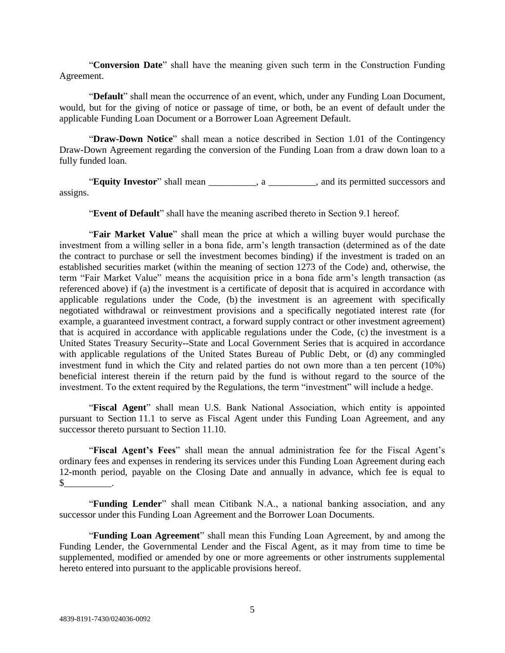"**Conversion Date**" shall have the meaning given such term in the Construction Funding Agreement.

"**Default**" shall mean the occurrence of an event, which, under any Funding Loan Document, would, but for the giving of notice or passage of time, or both, be an event of default under the applicable Funding Loan Document or a Borrower Loan Agreement Default.

"**Draw-Down Notice**" shall mean a notice described in Section 1.01 of the Contingency Draw-Down Agreement regarding the conversion of the Funding Loan from a draw down loan to a fully funded loan.

"**Equity Investor**" shall mean  $\alpha$ , a  $\beta$ , and its permitted successors and assigns.

"**Event of Default**" shall have the meaning ascribed thereto in Section 9.1 hereof.

"**Fair Market Value**" shall mean the price at which a willing buyer would purchase the investment from a willing seller in a bona fide, arm's length transaction (determined as of the date the contract to purchase or sell the investment becomes binding) if the investment is traded on an established securities market (within the meaning of section 1273 of the Code) and, otherwise, the term "Fair Market Value" means the acquisition price in a bona fide arm's length transaction (as referenced above) if (a) the investment is a certificate of deposit that is acquired in accordance with applicable regulations under the Code, (b) the investment is an agreement with specifically negotiated withdrawal or reinvestment provisions and a specifically negotiated interest rate (for example, a guaranteed investment contract, a forward supply contract or other investment agreement) that is acquired in accordance with applicable regulations under the Code, (c) the investment is a United States Treasury Security--State and Local Government Series that is acquired in accordance with applicable regulations of the United States Bureau of Public Debt, or (d) any commingled investment fund in which the City and related parties do not own more than a ten percent (10%) beneficial interest therein if the return paid by the fund is without regard to the source of the investment. To the extent required by the Regulations, the term "investment" will include a hedge.

"**Fiscal Agent**" shall mean U.S. Bank National Association, which entity is appointed pursuant to Section 11.1 to serve as Fiscal Agent under this Funding Loan Agreement, and any successor thereto pursuant to Section 11.10.

"**Fiscal Agent's Fees**" shall mean the annual administration fee for the Fiscal Agent's ordinary fees and expenses in rendering its services under this Funding Loan Agreement during each 12-month period, payable on the Closing Date and annually in advance, which fee is equal to  $\mathbb{S}$ 

"**Funding Lender**" shall mean Citibank N.A., a national banking association, and any successor under this Funding Loan Agreement and the Borrower Loan Documents.

"**Funding Loan Agreement**" shall mean this Funding Loan Agreement, by and among the Funding Lender, the Governmental Lender and the Fiscal Agent, as it may from time to time be supplemented, modified or amended by one or more agreements or other instruments supplemental hereto entered into pursuant to the applicable provisions hereof.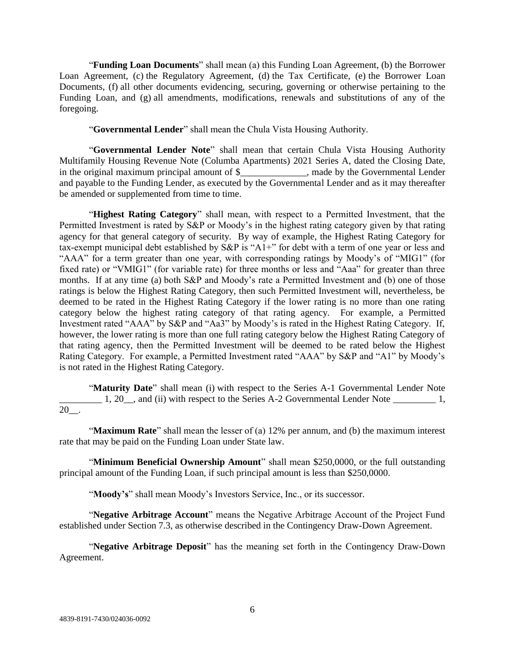"**Funding Loan Documents**" shall mean (a) this Funding Loan Agreement, (b) the Borrower Loan Agreement, (c) the Regulatory Agreement, (d) the Tax Certificate, (e) the Borrower Loan Documents, (f) all other documents evidencing, securing, governing or otherwise pertaining to the Funding Loan, and (g) all amendments, modifications, renewals and substitutions of any of the foregoing.

"**Governmental Lender**" shall mean the Chula Vista Housing Authority.

"**Governmental Lender Note**" shall mean that certain Chula Vista Housing Authority Multifamily Housing Revenue Note (Columba Apartments) 2021 Series A, dated the Closing Date, in the original maximum principal amount of \$\_\_\_\_\_\_\_\_\_\_\_\_\_\_, made by the Governmental Lender and payable to the Funding Lender, as executed by the Governmental Lender and as it may thereafter be amended or supplemented from time to time.

"**Highest Rating Category**" shall mean, with respect to a Permitted Investment, that the Permitted Investment is rated by S&P or Moody's in the highest rating category given by that rating agency for that general category of security. By way of example, the Highest Rating Category for tax-exempt municipal debt established by S&P is "A1+" for debt with a term of one year or less and "AAA" for a term greater than one year, with corresponding ratings by Moody's of "MIG1" (for fixed rate) or "VMIG1" (for variable rate) for three months or less and "Aaa" for greater than three months. If at any time (a) both S&P and Moody's rate a Permitted Investment and (b) one of those ratings is below the Highest Rating Category, then such Permitted Investment will, nevertheless, be deemed to be rated in the Highest Rating Category if the lower rating is no more than one rating category below the highest rating category of that rating agency. For example, a Permitted Investment rated "AAA" by S&P and "Aa3" by Moody's is rated in the Highest Rating Category. If, however, the lower rating is more than one full rating category below the Highest Rating Category of that rating agency, then the Permitted Investment will be deemed to be rated below the Highest Rating Category. For example, a Permitted Investment rated "AAA" by S&P and "A1" by Moody's is not rated in the Highest Rating Category.

"**Maturity Date**" shall mean (i) with respect to the Series A-1 Governmental Lender Note 1, 20<sub>\_</sub>, and (ii) with respect to the Series A-2 Governmental Lender Note \_\_\_\_\_\_\_\_\_\_\_ 1, 20\_\_.

"**Maximum Rate**" shall mean the lesser of (a) 12% per annum, and (b) the maximum interest rate that may be paid on the Funding Loan under State law.

"**Minimum Beneficial Ownership Amount**" shall mean \$250,0000, or the full outstanding principal amount of the Funding Loan, if such principal amount is less than \$250,0000.

"Moody's" shall mean Moody's Investors Service, Inc., or its successor.

"**Negative Arbitrage Account**" means the Negative Arbitrage Account of the Project Fund established under Section 7.3, as otherwise described in the Contingency Draw-Down Agreement.

"**Negative Arbitrage Deposit**" has the meaning set forth in the Contingency Draw-Down Agreement.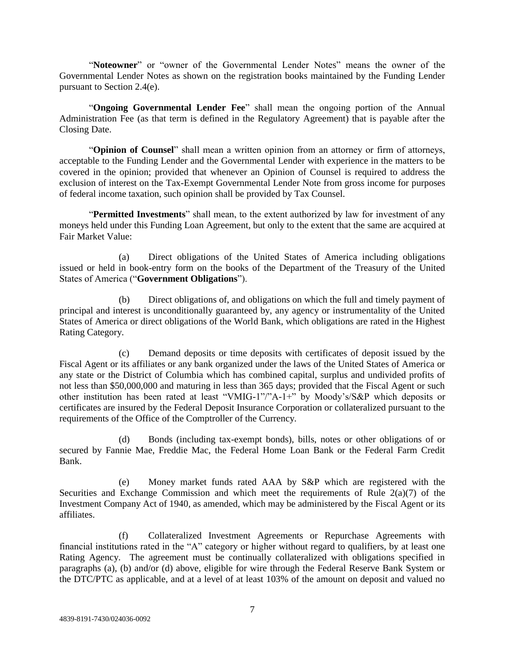"**Noteowner**" or "owner of the Governmental Lender Notes" means the owner of the Governmental Lender Notes as shown on the registration books maintained by the Funding Lender pursuant to Section 2.4(e).

"**Ongoing Governmental Lender Fee**" shall mean the ongoing portion of the Annual Administration Fee (as that term is defined in the Regulatory Agreement) that is payable after the Closing Date.

"**Opinion of Counsel**" shall mean a written opinion from an attorney or firm of attorneys, acceptable to the Funding Lender and the Governmental Lender with experience in the matters to be covered in the opinion; provided that whenever an Opinion of Counsel is required to address the exclusion of interest on the Tax-Exempt Governmental Lender Note from gross income for purposes of federal income taxation, such opinion shall be provided by Tax Counsel.

"**Permitted Investments**" shall mean, to the extent authorized by law for investment of any moneys held under this Funding Loan Agreement, but only to the extent that the same are acquired at Fair Market Value:

(a) Direct obligations of the United States of America including obligations issued or held in book-entry form on the books of the Department of the Treasury of the United States of America ("**Government Obligations**").

(b) Direct obligations of, and obligations on which the full and timely payment of principal and interest is unconditionally guaranteed by, any agency or instrumentality of the United States of America or direct obligations of the World Bank, which obligations are rated in the Highest Rating Category.

(c) Demand deposits or time deposits with certificates of deposit issued by the Fiscal Agent or its affiliates or any bank organized under the laws of the United States of America or any state or the District of Columbia which has combined capital, surplus and undivided profits of not less than \$50,000,000 and maturing in less than 365 days; provided that the Fiscal Agent or such other institution has been rated at least "VMIG-1"/"A-1+" by Moody's/S&P which deposits or certificates are insured by the Federal Deposit Insurance Corporation or collateralized pursuant to the requirements of the Office of the Comptroller of the Currency.

(d) Bonds (including tax-exempt bonds), bills, notes or other obligations of or secured by Fannie Mae, Freddie Mac, the Federal Home Loan Bank or the Federal Farm Credit Bank.

(e) Money market funds rated AAA by S&P which are registered with the Securities and Exchange Commission and which meet the requirements of Rule  $2(a)(7)$  of the Investment Company Act of 1940, as amended, which may be administered by the Fiscal Agent or its affiliates.

(f) Collateralized Investment Agreements or Repurchase Agreements with financial institutions rated in the "A" category or higher without regard to qualifiers, by at least one Rating Agency. The agreement must be continually collateralized with obligations specified in paragraphs (a), (b) and/or (d) above, eligible for wire through the Federal Reserve Bank System or the DTC/PTC as applicable, and at a level of at least 103% of the amount on deposit and valued no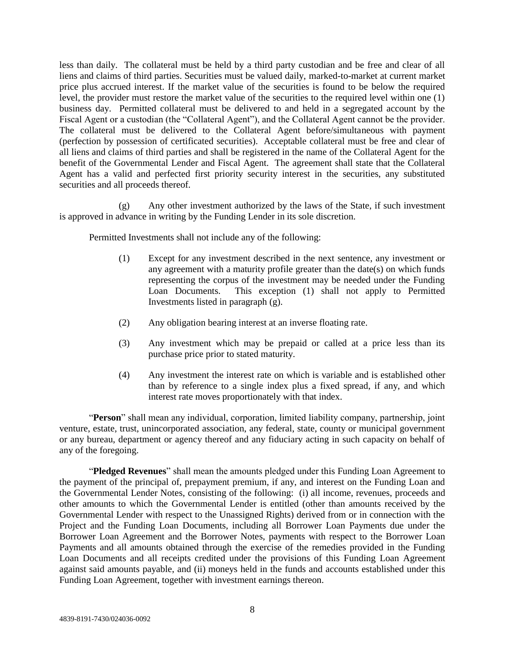less than daily. The collateral must be held by a third party custodian and be free and clear of all liens and claims of third parties. Securities must be valued daily, marked-to-market at current market price plus accrued interest. If the market value of the securities is found to be below the required level, the provider must restore the market value of the securities to the required level within one (1) business day. Permitted collateral must be delivered to and held in a segregated account by the Fiscal Agent or a custodian (the "Collateral Agent"), and the Collateral Agent cannot be the provider. The collateral must be delivered to the Collateral Agent before/simultaneous with payment (perfection by possession of certificated securities). Acceptable collateral must be free and clear of all liens and claims of third parties and shall be registered in the name of the Collateral Agent for the benefit of the Governmental Lender and Fiscal Agent. The agreement shall state that the Collateral Agent has a valid and perfected first priority security interest in the securities, any substituted securities and all proceeds thereof.

(g) Any other investment authorized by the laws of the State, if such investment is approved in advance in writing by the Funding Lender in its sole discretion.

Permitted Investments shall not include any of the following:

- (1) Except for any investment described in the next sentence, any investment or any agreement with a maturity profile greater than the date(s) on which funds representing the corpus of the investment may be needed under the Funding Loan Documents. This exception (1) shall not apply to Permitted Investments listed in paragraph (g).
- (2) Any obligation bearing interest at an inverse floating rate.
- (3) Any investment which may be prepaid or called at a price less than its purchase price prior to stated maturity.
- (4) Any investment the interest rate on which is variable and is established other than by reference to a single index plus a fixed spread, if any, and which interest rate moves proportionately with that index.

"**Person**" shall mean any individual, corporation, limited liability company, partnership, joint venture, estate, trust, unincorporated association, any federal, state, county or municipal government or any bureau, department or agency thereof and any fiduciary acting in such capacity on behalf of any of the foregoing.

"**Pledged Revenues**" shall mean the amounts pledged under this Funding Loan Agreement to the payment of the principal of, prepayment premium, if any, and interest on the Funding Loan and the Governmental Lender Notes, consisting of the following: (i) all income, revenues, proceeds and other amounts to which the Governmental Lender is entitled (other than amounts received by the Governmental Lender with respect to the Unassigned Rights) derived from or in connection with the Project and the Funding Loan Documents, including all Borrower Loan Payments due under the Borrower Loan Agreement and the Borrower Notes, payments with respect to the Borrower Loan Payments and all amounts obtained through the exercise of the remedies provided in the Funding Loan Documents and all receipts credited under the provisions of this Funding Loan Agreement against said amounts payable, and (ii) moneys held in the funds and accounts established under this Funding Loan Agreement, together with investment earnings thereon.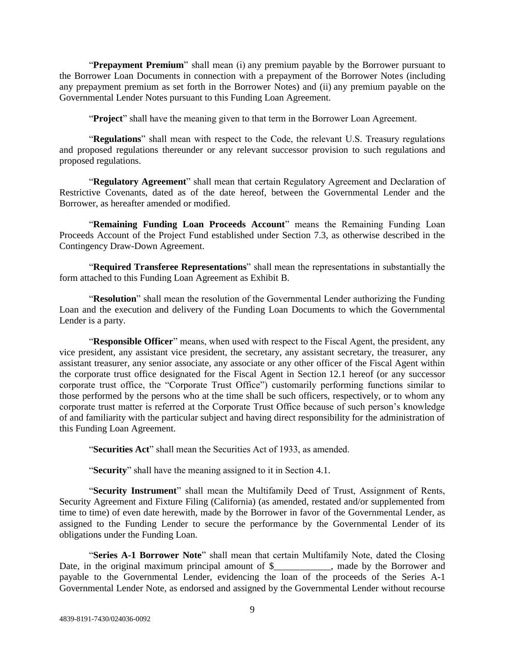"**Prepayment Premium**" shall mean (i) any premium payable by the Borrower pursuant to the Borrower Loan Documents in connection with a prepayment of the Borrower Notes (including any prepayment premium as set forth in the Borrower Notes) and (ii) any premium payable on the Governmental Lender Notes pursuant to this Funding Loan Agreement.

"**Project**" shall have the meaning given to that term in the Borrower Loan Agreement.

"**Regulations**" shall mean with respect to the Code, the relevant U.S. Treasury regulations and proposed regulations thereunder or any relevant successor provision to such regulations and proposed regulations.

"**Regulatory Agreement**" shall mean that certain Regulatory Agreement and Declaration of Restrictive Covenants, dated as of the date hereof, between the Governmental Lender and the Borrower, as hereafter amended or modified.

"**Remaining Funding Loan Proceeds Account**" means the Remaining Funding Loan Proceeds Account of the Project Fund established under Section 7.3, as otherwise described in the Contingency Draw-Down Agreement.

"**Required Transferee Representations**" shall mean the representations in substantially the form attached to this Funding Loan Agreement as Exhibit B.

"**Resolution**" shall mean the resolution of the Governmental Lender authorizing the Funding Loan and the execution and delivery of the Funding Loan Documents to which the Governmental Lender is a party.

"**Responsible Officer**" means, when used with respect to the Fiscal Agent, the president, any vice president, any assistant vice president, the secretary, any assistant secretary, the treasurer, any assistant treasurer, any senior associate, any associate or any other officer of the Fiscal Agent within the corporate trust office designated for the Fiscal Agent in Section 12.1 hereof (or any successor corporate trust office, the "Corporate Trust Office") customarily performing functions similar to those performed by the persons who at the time shall be such officers, respectively, or to whom any corporate trust matter is referred at the Corporate Trust Office because of such person's knowledge of and familiarity with the particular subject and having direct responsibility for the administration of this Funding Loan Agreement.

"**Securities Act**" shall mean the Securities Act of 1933, as amended.

"**Security**" shall have the meaning assigned to it in Section 4.1.

"**Security Instrument**" shall mean the Multifamily Deed of Trust, Assignment of Rents, Security Agreement and Fixture Filing (California) (as amended, restated and/or supplemented from time to time) of even date herewith, made by the Borrower in favor of the Governmental Lender, as assigned to the Funding Lender to secure the performance by the Governmental Lender of its obligations under the Funding Loan.

"**Series A-1 Borrower Note**" shall mean that certain Multifamily Note, dated the Closing Date, in the original maximum principal amount of \$ \, made by the Borrower and payable to the Governmental Lender, evidencing the loan of the proceeds of the Series A-1 Governmental Lender Note, as endorsed and assigned by the Governmental Lender without recourse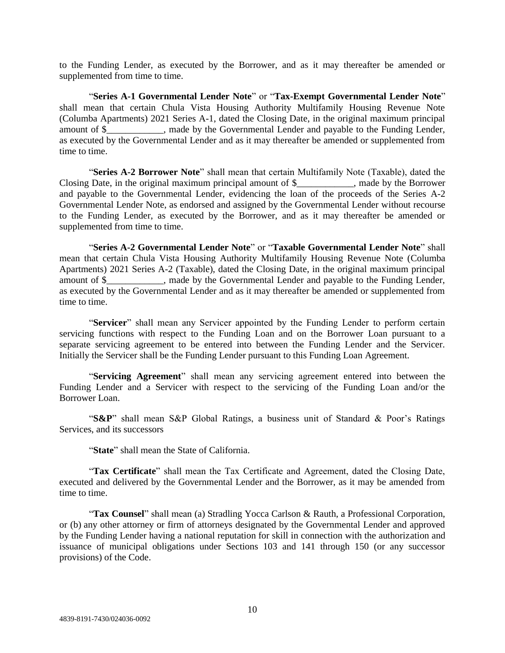to the Funding Lender, as executed by the Borrower, and as it may thereafter be amended or supplemented from time to time.

"**Series A-1 Governmental Lender Note**" or "**Tax-Exempt Governmental Lender Note**" shall mean that certain Chula Vista Housing Authority Multifamily Housing Revenue Note (Columba Apartments) 2021 Series A-1, dated the Closing Date, in the original maximum principal amount of \$\_\_\_\_\_\_\_\_\_\_\_\_, made by the Governmental Lender and payable to the Funding Lender, as executed by the Governmental Lender and as it may thereafter be amended or supplemented from time to time.

"**Series A-2 Borrower Note**" shall mean that certain Multifamily Note (Taxable), dated the Closing Date, in the original maximum principal amount of \$\_\_\_\_\_\_\_\_\_\_\_\_, made by the Borrower and payable to the Governmental Lender, evidencing the loan of the proceeds of the Series A-2 Governmental Lender Note, as endorsed and assigned by the Governmental Lender without recourse to the Funding Lender, as executed by the Borrower, and as it may thereafter be amended or supplemented from time to time.

"**Series A-2 Governmental Lender Note**" or "**Taxable Governmental Lender Note**" shall mean that certain Chula Vista Housing Authority Multifamily Housing Revenue Note (Columba Apartments) 2021 Series A-2 (Taxable), dated the Closing Date, in the original maximum principal amount of \$\_\_\_\_\_\_\_\_\_\_\_\_, made by the Governmental Lender and payable to the Funding Lender, as executed by the Governmental Lender and as it may thereafter be amended or supplemented from time to time.

"**Servicer**" shall mean any Servicer appointed by the Funding Lender to perform certain servicing functions with respect to the Funding Loan and on the Borrower Loan pursuant to a separate servicing agreement to be entered into between the Funding Lender and the Servicer. Initially the Servicer shall be the Funding Lender pursuant to this Funding Loan Agreement.

"**Servicing Agreement**" shall mean any servicing agreement entered into between the Funding Lender and a Servicer with respect to the servicing of the Funding Loan and/or the Borrower Loan.

"**S&P**" shall mean S&P Global Ratings, a business unit of Standard & Poor's Ratings Services, and its successors

"**State**" shall mean the State of California.

"**Tax Certificate**" shall mean the Tax Certificate and Agreement, dated the Closing Date, executed and delivered by the Governmental Lender and the Borrower, as it may be amended from time to time.

"**Tax Counsel**" shall mean (a) Stradling Yocca Carlson & Rauth, a Professional Corporation, or (b) any other attorney or firm of attorneys designated by the Governmental Lender and approved by the Funding Lender having a national reputation for skill in connection with the authorization and issuance of municipal obligations under Sections 103 and 141 through 150 (or any successor provisions) of the Code.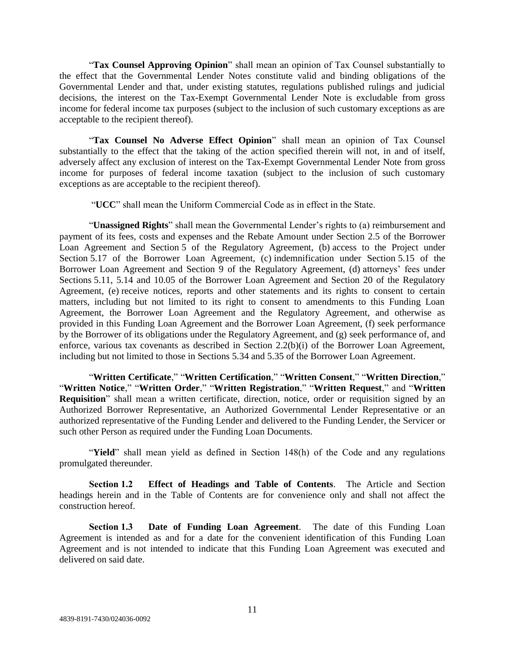"**Tax Counsel Approving Opinion**" shall mean an opinion of Tax Counsel substantially to the effect that the Governmental Lender Notes constitute valid and binding obligations of the Governmental Lender and that, under existing statutes, regulations published rulings and judicial decisions, the interest on the Tax-Exempt Governmental Lender Note is excludable from gross income for federal income tax purposes (subject to the inclusion of such customary exceptions as are acceptable to the recipient thereof).

"**Tax Counsel No Adverse Effect Opinion**" shall mean an opinion of Tax Counsel substantially to the effect that the taking of the action specified therein will not, in and of itself, adversely affect any exclusion of interest on the Tax-Exempt Governmental Lender Note from gross income for purposes of federal income taxation (subject to the inclusion of such customary exceptions as are acceptable to the recipient thereof).

"**UCC**" shall mean the Uniform Commercial Code as in effect in the State.

"**Unassigned Rights**" shall mean the Governmental Lender's rights to (a) reimbursement and payment of its fees, costs and expenses and the Rebate Amount under Section 2.5 of the Borrower Loan Agreement and Section 5 of the Regulatory Agreement, (b) access to the Project under Section 5.17 of the Borrower Loan Agreement, (c) indemnification under Section 5.15 of the Borrower Loan Agreement and Section 9 of the Regulatory Agreement, (d) attorneys' fees under Sections 5.11, 5.14 and 10.05 of the Borrower Loan Agreement and Section 20 of the Regulatory Agreement, (e) receive notices, reports and other statements and its rights to consent to certain matters, including but not limited to its right to consent to amendments to this Funding Loan Agreement, the Borrower Loan Agreement and the Regulatory Agreement, and otherwise as provided in this Funding Loan Agreement and the Borrower Loan Agreement, (f) seek performance by the Borrower of its obligations under the Regulatory Agreement, and (g) seek performance of, and enforce, various tax covenants as described in Section 2.2(b)(i) of the Borrower Loan Agreement, including but not limited to those in Sections 5.34 and 5.35 of the Borrower Loan Agreement.

"**Written Certificate**," "**Written Certification**," "**Written Consent**," "**Written Direction**," "**Written Notice**," "**Written Order**," "**Written Registration**," "**Written Request**," and "**Written Requisition**" shall mean a written certificate, direction, notice, order or requisition signed by an Authorized Borrower Representative, an Authorized Governmental Lender Representative or an authorized representative of the Funding Lender and delivered to the Funding Lender, the Servicer or such other Person as required under the Funding Loan Documents.

"**Yield**" shall mean yield as defined in Section 148(h) of the Code and any regulations promulgated thereunder.

**Section 1.2 Effect of Headings and Table of Contents**. The Article and Section headings herein and in the Table of Contents are for convenience only and shall not affect the construction hereof.

**Section 1.3 Date of Funding Loan Agreement**. The date of this Funding Loan Agreement is intended as and for a date for the convenient identification of this Funding Loan Agreement and is not intended to indicate that this Funding Loan Agreement was executed and delivered on said date.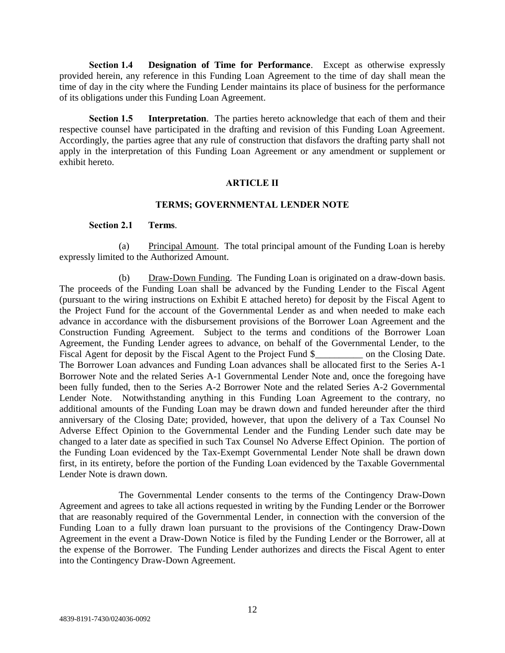**Section 1.4 Designation of Time for Performance**. Except as otherwise expressly provided herein, any reference in this Funding Loan Agreement to the time of day shall mean the time of day in the city where the Funding Lender maintains its place of business for the performance of its obligations under this Funding Loan Agreement.

**Section 1.5 Interpretation**. The parties hereto acknowledge that each of them and their respective counsel have participated in the drafting and revision of this Funding Loan Agreement. Accordingly, the parties agree that any rule of construction that disfavors the drafting party shall not apply in the interpretation of this Funding Loan Agreement or any amendment or supplement or exhibit hereto.

#### **ARTICLE II**

#### **TERMS; GOVERNMENTAL LENDER NOTE**

#### **Section 2.1 Terms**.

(a) Principal Amount. The total principal amount of the Funding Loan is hereby expressly limited to the Authorized Amount.

(b) Draw-Down Funding. The Funding Loan is originated on a draw-down basis. The proceeds of the Funding Loan shall be advanced by the Funding Lender to the Fiscal Agent (pursuant to the wiring instructions on Exhibit E attached hereto) for deposit by the Fiscal Agent to the Project Fund for the account of the Governmental Lender as and when needed to make each advance in accordance with the disbursement provisions of the Borrower Loan Agreement and the Construction Funding Agreement. Subject to the terms and conditions of the Borrower Loan Agreement, the Funding Lender agrees to advance, on behalf of the Governmental Lender, to the Fiscal Agent for deposit by the Fiscal Agent to the Project Fund \$ on the Closing Date. The Borrower Loan advances and Funding Loan advances shall be allocated first to the Series A-1 Borrower Note and the related Series A-1 Governmental Lender Note and, once the foregoing have been fully funded, then to the Series A-2 Borrower Note and the related Series A-2 Governmental Lender Note. Notwithstanding anything in this Funding Loan Agreement to the contrary, no additional amounts of the Funding Loan may be drawn down and funded hereunder after the third anniversary of the Closing Date; provided, however, that upon the delivery of a Tax Counsel No Adverse Effect Opinion to the Governmental Lender and the Funding Lender such date may be changed to a later date as specified in such Tax Counsel No Adverse Effect Opinion. The portion of the Funding Loan evidenced by the Tax-Exempt Governmental Lender Note shall be drawn down first, in its entirety, before the portion of the Funding Loan evidenced by the Taxable Governmental Lender Note is drawn down.

The Governmental Lender consents to the terms of the Contingency Draw-Down Agreement and agrees to take all actions requested in writing by the Funding Lender or the Borrower that are reasonably required of the Governmental Lender, in connection with the conversion of the Funding Loan to a fully drawn loan pursuant to the provisions of the Contingency Draw-Down Agreement in the event a Draw-Down Notice is filed by the Funding Lender or the Borrower, all at the expense of the Borrower. The Funding Lender authorizes and directs the Fiscal Agent to enter into the Contingency Draw-Down Agreement.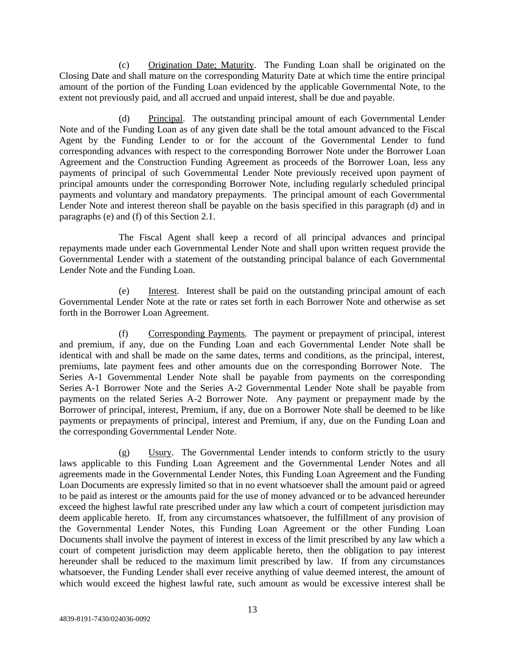(c) Origination Date; Maturity. The Funding Loan shall be originated on the Closing Date and shall mature on the corresponding Maturity Date at which time the entire principal amount of the portion of the Funding Loan evidenced by the applicable Governmental Note, to the extent not previously paid, and all accrued and unpaid interest, shall be due and payable.

Principal. The outstanding principal amount of each Governmental Lender Note and of the Funding Loan as of any given date shall be the total amount advanced to the Fiscal Agent by the Funding Lender to or for the account of the Governmental Lender to fund corresponding advances with respect to the corresponding Borrower Note under the Borrower Loan Agreement and the Construction Funding Agreement as proceeds of the Borrower Loan, less any payments of principal of such Governmental Lender Note previously received upon payment of principal amounts under the corresponding Borrower Note, including regularly scheduled principal payments and voluntary and mandatory prepayments. The principal amount of each Governmental Lender Note and interest thereon shall be payable on the basis specified in this paragraph (d) and in paragraphs (e) and (f) of this Section 2.1.

The Fiscal Agent shall keep a record of all principal advances and principal repayments made under each Governmental Lender Note and shall upon written request provide the Governmental Lender with a statement of the outstanding principal balance of each Governmental Lender Note and the Funding Loan.

(e) Interest*.* Interest shall be paid on the outstanding principal amount of each Governmental Lender Note at the rate or rates set forth in each Borrower Note and otherwise as set forth in the Borrower Loan Agreement.

(f) Corresponding Payments*.* The payment or prepayment of principal, interest and premium, if any, due on the Funding Loan and each Governmental Lender Note shall be identical with and shall be made on the same dates, terms and conditions, as the principal, interest, premiums, late payment fees and other amounts due on the corresponding Borrower Note. The Series A-1 Governmental Lender Note shall be payable from payments on the corresponding Series A-1 Borrower Note and the Series A-2 Governmental Lender Note shall be payable from payments on the related Series A-2 Borrower Note. Any payment or prepayment made by the Borrower of principal, interest, Premium, if any, due on a Borrower Note shall be deemed to be like payments or prepayments of principal, interest and Premium, if any, due on the Funding Loan and the corresponding Governmental Lender Note.

(g) Usury. The Governmental Lender intends to conform strictly to the usury laws applicable to this Funding Loan Agreement and the Governmental Lender Notes and all agreements made in the Governmental Lender Notes, this Funding Loan Agreement and the Funding Loan Documents are expressly limited so that in no event whatsoever shall the amount paid or agreed to be paid as interest or the amounts paid for the use of money advanced or to be advanced hereunder exceed the highest lawful rate prescribed under any law which a court of competent jurisdiction may deem applicable hereto. If, from any circumstances whatsoever, the fulfillment of any provision of the Governmental Lender Notes, this Funding Loan Agreement or the other Funding Loan Documents shall involve the payment of interest in excess of the limit prescribed by any law which a court of competent jurisdiction may deem applicable hereto, then the obligation to pay interest hereunder shall be reduced to the maximum limit prescribed by law. If from any circumstances whatsoever, the Funding Lender shall ever receive anything of value deemed interest, the amount of which would exceed the highest lawful rate, such amount as would be excessive interest shall be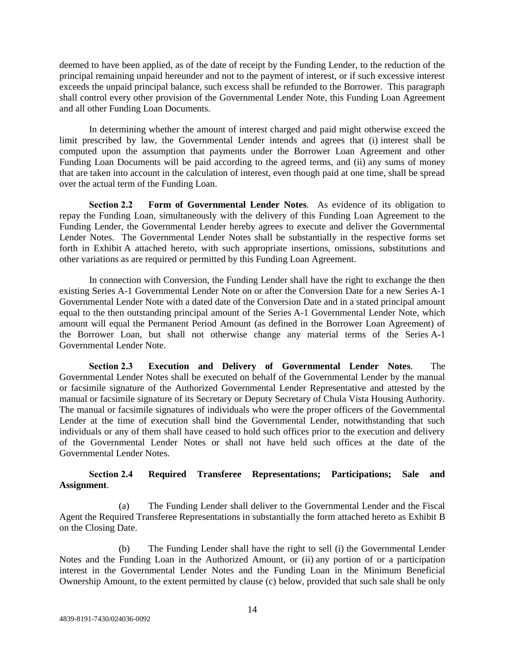deemed to have been applied, as of the date of receipt by the Funding Lender, to the reduction of the principal remaining unpaid hereunder and not to the payment of interest, or if such excessive interest exceeds the unpaid principal balance, such excess shall be refunded to the Borrower. This paragraph shall control every other provision of the Governmental Lender Note, this Funding Loan Agreement and all other Funding Loan Documents.

In determining whether the amount of interest charged and paid might otherwise exceed the limit prescribed by law, the Governmental Lender intends and agrees that (i) interest shall be computed upon the assumption that payments under the Borrower Loan Agreement and other Funding Loan Documents will be paid according to the agreed terms, and (ii) any sums of money that are taken into account in the calculation of interest, even though paid at one time, shall be spread over the actual term of the Funding Loan.

**Section 2.2 Form of Governmental Lender Notes**. As evidence of its obligation to repay the Funding Loan, simultaneously with the delivery of this Funding Loan Agreement to the Funding Lender, the Governmental Lender hereby agrees to execute and deliver the Governmental Lender Notes. The Governmental Lender Notes shall be substantially in the respective forms set forth in Exhibit A attached hereto, with such appropriate insertions, omissions, substitutions and other variations as are required or permitted by this Funding Loan Agreement.

In connection with Conversion, the Funding Lender shall have the right to exchange the then existing Series A-1 Governmental Lender Note on or after the Conversion Date for a new Series A-1 Governmental Lender Note with a dated date of the Conversion Date and in a stated principal amount equal to the then outstanding principal amount of the Series A-1 Governmental Lender Note, which amount will equal the Permanent Period Amount (as defined in the Borrower Loan Agreement) of the Borrower Loan, but shall not otherwise change any material terms of the Series A-1 Governmental Lender Note.

**Section 2.3 Execution and Delivery of Governmental Lender Notes**. The Governmental Lender Notes shall be executed on behalf of the Governmental Lender by the manual or facsimile signature of the Authorized Governmental Lender Representative and attested by the manual or facsimile signature of its Secretary or Deputy Secretary of Chula Vista Housing Authority. The manual or facsimile signatures of individuals who were the proper officers of the Governmental Lender at the time of execution shall bind the Governmental Lender, notwithstanding that such individuals or any of them shall have ceased to hold such offices prior to the execution and delivery of the Governmental Lender Notes or shall not have held such offices at the date of the Governmental Lender Notes.

# **Section 2.4 Required Transferee Representations; Participations; Sale and Assignment**.

(a) The Funding Lender shall deliver to the Governmental Lender and the Fiscal Agent the Required Transferee Representations in substantially the form attached hereto as Exhibit B on the Closing Date.

(b) The Funding Lender shall have the right to sell (i) the Governmental Lender Notes and the Funding Loan in the Authorized Amount, or (ii) any portion of or a participation interest in the Governmental Lender Notes and the Funding Loan in the Minimum Beneficial Ownership Amount, to the extent permitted by clause (c) below, provided that such sale shall be only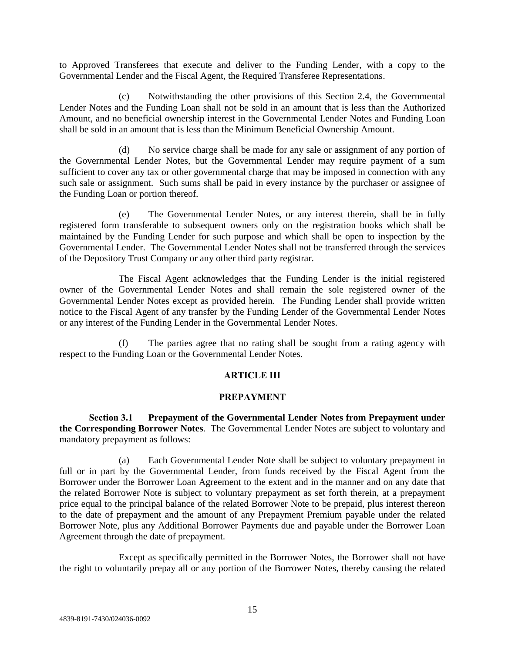to Approved Transferees that execute and deliver to the Funding Lender, with a copy to the Governmental Lender and the Fiscal Agent, the Required Transferee Representations.

(c) Notwithstanding the other provisions of this Section 2.4, the Governmental Lender Notes and the Funding Loan shall not be sold in an amount that is less than the Authorized Amount, and no beneficial ownership interest in the Governmental Lender Notes and Funding Loan shall be sold in an amount that is less than the Minimum Beneficial Ownership Amount.

(d) No service charge shall be made for any sale or assignment of any portion of the Governmental Lender Notes, but the Governmental Lender may require payment of a sum sufficient to cover any tax or other governmental charge that may be imposed in connection with any such sale or assignment. Such sums shall be paid in every instance by the purchaser or assignee of the Funding Loan or portion thereof.

(e) The Governmental Lender Notes, or any interest therein, shall be in fully registered form transferable to subsequent owners only on the registration books which shall be maintained by the Funding Lender for such purpose and which shall be open to inspection by the Governmental Lender. The Governmental Lender Notes shall not be transferred through the services of the Depository Trust Company or any other third party registrar.

The Fiscal Agent acknowledges that the Funding Lender is the initial registered owner of the Governmental Lender Notes and shall remain the sole registered owner of the Governmental Lender Notes except as provided herein. The Funding Lender shall provide written notice to the Fiscal Agent of any transfer by the Funding Lender of the Governmental Lender Notes or any interest of the Funding Lender in the Governmental Lender Notes.

(f) The parties agree that no rating shall be sought from a rating agency with respect to the Funding Loan or the Governmental Lender Notes.

#### **ARTICLE III**

#### **PREPAYMENT**

**Section 3.1 Prepayment of the Governmental Lender Notes from Prepayment under the Corresponding Borrower Notes**. The Governmental Lender Notes are subject to voluntary and mandatory prepayment as follows:

(a) Each Governmental Lender Note shall be subject to voluntary prepayment in full or in part by the Governmental Lender, from funds received by the Fiscal Agent from the Borrower under the Borrower Loan Agreement to the extent and in the manner and on any date that the related Borrower Note is subject to voluntary prepayment as set forth therein, at a prepayment price equal to the principal balance of the related Borrower Note to be prepaid, plus interest thereon to the date of prepayment and the amount of any Prepayment Premium payable under the related Borrower Note, plus any Additional Borrower Payments due and payable under the Borrower Loan Agreement through the date of prepayment.

Except as specifically permitted in the Borrower Notes, the Borrower shall not have the right to voluntarily prepay all or any portion of the Borrower Notes, thereby causing the related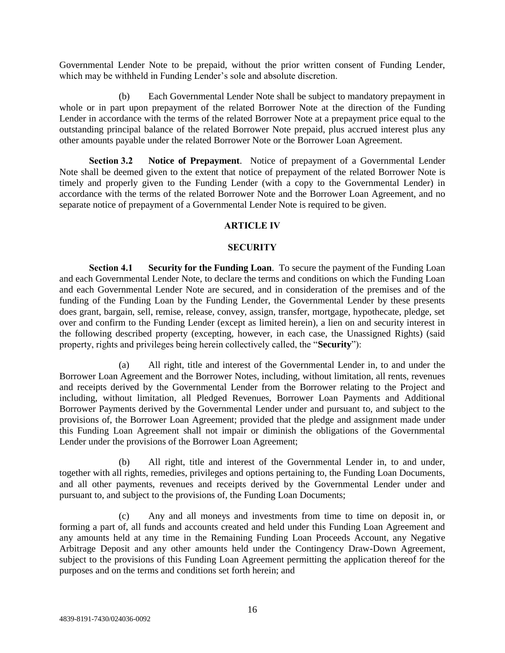Governmental Lender Note to be prepaid, without the prior written consent of Funding Lender, which may be withheld in Funding Lender's sole and absolute discretion.

(b) Each Governmental Lender Note shall be subject to mandatory prepayment in whole or in part upon prepayment of the related Borrower Note at the direction of the Funding Lender in accordance with the terms of the related Borrower Note at a prepayment price equal to the outstanding principal balance of the related Borrower Note prepaid, plus accrued interest plus any other amounts payable under the related Borrower Note or the Borrower Loan Agreement.

**Section 3.2 Notice of Prepayment**. Notice of prepayment of a Governmental Lender Note shall be deemed given to the extent that notice of prepayment of the related Borrower Note is timely and properly given to the Funding Lender (with a copy to the Governmental Lender) in accordance with the terms of the related Borrower Note and the Borrower Loan Agreement, and no separate notice of prepayment of a Governmental Lender Note is required to be given.

#### **ARTICLE IV**

## **SECURITY**

**Section 4.1 Security for the Funding Loan**. To secure the payment of the Funding Loan and each Governmental Lender Note, to declare the terms and conditions on which the Funding Loan and each Governmental Lender Note are secured, and in consideration of the premises and of the funding of the Funding Loan by the Funding Lender, the Governmental Lender by these presents does grant, bargain, sell, remise, release, convey, assign, transfer, mortgage, hypothecate, pledge, set over and confirm to the Funding Lender (except as limited herein), a lien on and security interest in the following described property (excepting, however, in each case, the Unassigned Rights) (said property, rights and privileges being herein collectively called, the "**Security**"):

(a) All right, title and interest of the Governmental Lender in, to and under the Borrower Loan Agreement and the Borrower Notes, including, without limitation, all rents, revenues and receipts derived by the Governmental Lender from the Borrower relating to the Project and including, without limitation, all Pledged Revenues, Borrower Loan Payments and Additional Borrower Payments derived by the Governmental Lender under and pursuant to, and subject to the provisions of, the Borrower Loan Agreement; provided that the pledge and assignment made under this Funding Loan Agreement shall not impair or diminish the obligations of the Governmental Lender under the provisions of the Borrower Loan Agreement;

(b) All right, title and interest of the Governmental Lender in, to and under, together with all rights, remedies, privileges and options pertaining to, the Funding Loan Documents, and all other payments, revenues and receipts derived by the Governmental Lender under and pursuant to, and subject to the provisions of, the Funding Loan Documents;

(c) Any and all moneys and investments from time to time on deposit in, or forming a part of, all funds and accounts created and held under this Funding Loan Agreement and any amounts held at any time in the Remaining Funding Loan Proceeds Account, any Negative Arbitrage Deposit and any other amounts held under the Contingency Draw-Down Agreement, subject to the provisions of this Funding Loan Agreement permitting the application thereof for the purposes and on the terms and conditions set forth herein; and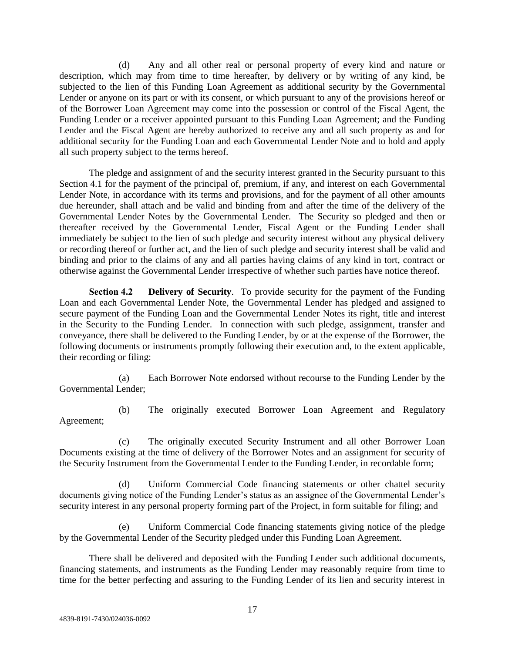(d) Any and all other real or personal property of every kind and nature or description, which may from time to time hereafter, by delivery or by writing of any kind, be subjected to the lien of this Funding Loan Agreement as additional security by the Governmental Lender or anyone on its part or with its consent, or which pursuant to any of the provisions hereof or of the Borrower Loan Agreement may come into the possession or control of the Fiscal Agent, the Funding Lender or a receiver appointed pursuant to this Funding Loan Agreement; and the Funding Lender and the Fiscal Agent are hereby authorized to receive any and all such property as and for additional security for the Funding Loan and each Governmental Lender Note and to hold and apply all such property subject to the terms hereof.

The pledge and assignment of and the security interest granted in the Security pursuant to this Section 4.1 for the payment of the principal of, premium, if any, and interest on each Governmental Lender Note, in accordance with its terms and provisions, and for the payment of all other amounts due hereunder, shall attach and be valid and binding from and after the time of the delivery of the Governmental Lender Notes by the Governmental Lender. The Security so pledged and then or thereafter received by the Governmental Lender, Fiscal Agent or the Funding Lender shall immediately be subject to the lien of such pledge and security interest without any physical delivery or recording thereof or further act, and the lien of such pledge and security interest shall be valid and binding and prior to the claims of any and all parties having claims of any kind in tort, contract or otherwise against the Governmental Lender irrespective of whether such parties have notice thereof.

**Section 4.2 Delivery of Security**. To provide security for the payment of the Funding Loan and each Governmental Lender Note, the Governmental Lender has pledged and assigned to secure payment of the Funding Loan and the Governmental Lender Notes its right, title and interest in the Security to the Funding Lender. In connection with such pledge, assignment, transfer and conveyance, there shall be delivered to the Funding Lender, by or at the expense of the Borrower, the following documents or instruments promptly following their execution and, to the extent applicable, their recording or filing:

(a) Each Borrower Note endorsed without recourse to the Funding Lender by the Governmental Lender;

(b) The originally executed Borrower Loan Agreement and Regulatory Agreement;

(c) The originally executed Security Instrument and all other Borrower Loan Documents existing at the time of delivery of the Borrower Notes and an assignment for security of the Security Instrument from the Governmental Lender to the Funding Lender, in recordable form;

(d) Uniform Commercial Code financing statements or other chattel security documents giving notice of the Funding Lender's status as an assignee of the Governmental Lender's security interest in any personal property forming part of the Project, in form suitable for filing; and

(e) Uniform Commercial Code financing statements giving notice of the pledge by the Governmental Lender of the Security pledged under this Funding Loan Agreement.

There shall be delivered and deposited with the Funding Lender such additional documents, financing statements, and instruments as the Funding Lender may reasonably require from time to time for the better perfecting and assuring to the Funding Lender of its lien and security interest in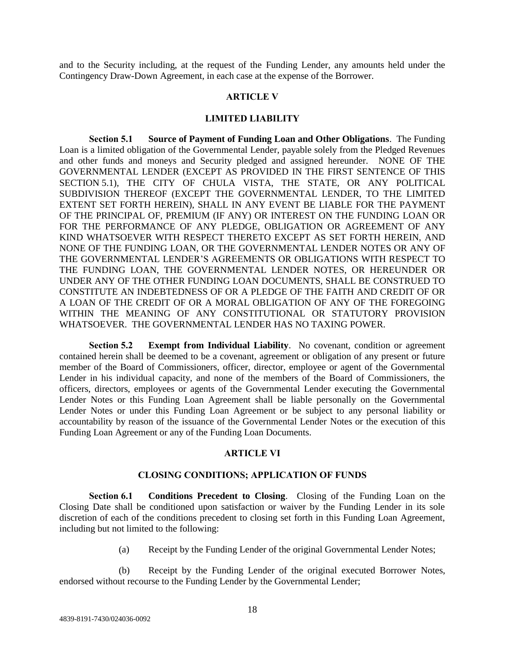and to the Security including, at the request of the Funding Lender, any amounts held under the Contingency Draw-Down Agreement, in each case at the expense of the Borrower.

#### **ARTICLE V**

#### **LIMITED LIABILITY**

**Section 5.1 Source of Payment of Funding Loan and Other Obligations**. The Funding Loan is a limited obligation of the Governmental Lender, payable solely from the Pledged Revenues and other funds and moneys and Security pledged and assigned hereunder. NONE OF THE GOVERNMENTAL LENDER (EXCEPT AS PROVIDED IN THE FIRST SENTENCE OF THIS SECTION 5.1), THE CITY OF CHULA VISTA, THE STATE, OR ANY POLITICAL SUBDIVISION THEREOF (EXCEPT THE GOVERNMENTAL LENDER, TO THE LIMITED EXTENT SET FORTH HEREIN), SHALL IN ANY EVENT BE LIABLE FOR THE PAYMENT OF THE PRINCIPAL OF, PREMIUM (IF ANY) OR INTEREST ON THE FUNDING LOAN OR FOR THE PERFORMANCE OF ANY PLEDGE, OBLIGATION OR AGREEMENT OF ANY KIND WHATSOEVER WITH RESPECT THERETO EXCEPT AS SET FORTH HEREIN, AND NONE OF THE FUNDING LOAN, OR THE GOVERNMENTAL LENDER NOTES OR ANY OF THE GOVERNMENTAL LENDER'S AGREEMENTS OR OBLIGATIONS WITH RESPECT TO THE FUNDING LOAN, THE GOVERNMENTAL LENDER NOTES, OR HEREUNDER OR UNDER ANY OF THE OTHER FUNDING LOAN DOCUMENTS, SHALL BE CONSTRUED TO CONSTITUTE AN INDEBTEDNESS OF OR A PLEDGE OF THE FAITH AND CREDIT OF OR A LOAN OF THE CREDIT OF OR A MORAL OBLIGATION OF ANY OF THE FOREGOING WITHIN THE MEANING OF ANY CONSTITUTIONAL OR STATUTORY PROVISION WHATSOEVER. THE GOVERNMENTAL LENDER HAS NO TAXING POWER.

**Section 5.2 Exempt from Individual Liability**. No covenant, condition or agreement contained herein shall be deemed to be a covenant, agreement or obligation of any present or future member of the Board of Commissioners, officer, director, employee or agent of the Governmental Lender in his individual capacity, and none of the members of the Board of Commissioners, the officers, directors, employees or agents of the Governmental Lender executing the Governmental Lender Notes or this Funding Loan Agreement shall be liable personally on the Governmental Lender Notes or under this Funding Loan Agreement or be subject to any personal liability or accountability by reason of the issuance of the Governmental Lender Notes or the execution of this Funding Loan Agreement or any of the Funding Loan Documents.

#### **ARTICLE VI**

#### **CLOSING CONDITIONS; APPLICATION OF FUNDS**

**Section 6.1 Conditions Precedent to Closing**. Closing of the Funding Loan on the Closing Date shall be conditioned upon satisfaction or waiver by the Funding Lender in its sole discretion of each of the conditions precedent to closing set forth in this Funding Loan Agreement, including but not limited to the following:

(a) Receipt by the Funding Lender of the original Governmental Lender Notes;

(b) Receipt by the Funding Lender of the original executed Borrower Notes, endorsed without recourse to the Funding Lender by the Governmental Lender;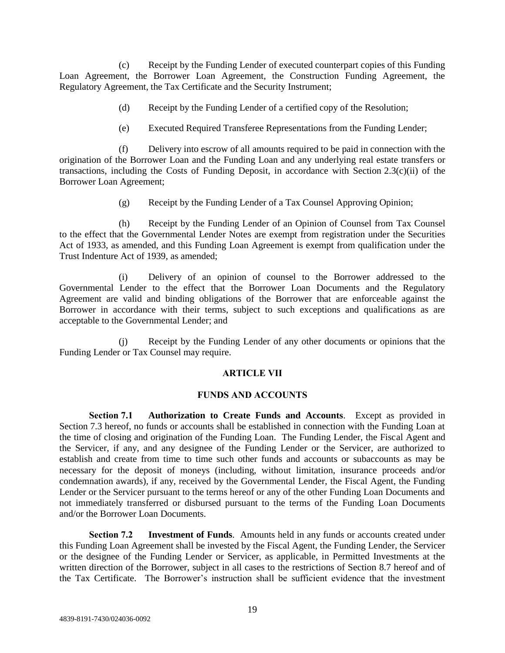(c) Receipt by the Funding Lender of executed counterpart copies of this Funding Loan Agreement, the Borrower Loan Agreement, the Construction Funding Agreement, the Regulatory Agreement, the Tax Certificate and the Security Instrument;

- (d) Receipt by the Funding Lender of a certified copy of the Resolution;
- (e) Executed Required Transferee Representations from the Funding Lender;

(f) Delivery into escrow of all amounts required to be paid in connection with the origination of the Borrower Loan and the Funding Loan and any underlying real estate transfers or transactions, including the Costs of Funding Deposit, in accordance with Section 2.3(c)(ii) of the Borrower Loan Agreement;

(g) Receipt by the Funding Lender of a Tax Counsel Approving Opinion;

(h) Receipt by the Funding Lender of an Opinion of Counsel from Tax Counsel to the effect that the Governmental Lender Notes are exempt from registration under the Securities Act of 1933, as amended, and this Funding Loan Agreement is exempt from qualification under the Trust Indenture Act of 1939, as amended;

(i) Delivery of an opinion of counsel to the Borrower addressed to the Governmental Lender to the effect that the Borrower Loan Documents and the Regulatory Agreement are valid and binding obligations of the Borrower that are enforceable against the Borrower in accordance with their terms, subject to such exceptions and qualifications as are acceptable to the Governmental Lender; and

(j) Receipt by the Funding Lender of any other documents or opinions that the Funding Lender or Tax Counsel may require.

#### **ARTICLE VII**

#### **FUNDS AND ACCOUNTS**

**Section 7.1 Authorization to Create Funds and Accounts**. Except as provided in Section 7.3 hereof, no funds or accounts shall be established in connection with the Funding Loan at the time of closing and origination of the Funding Loan. The Funding Lender, the Fiscal Agent and the Servicer, if any, and any designee of the Funding Lender or the Servicer, are authorized to establish and create from time to time such other funds and accounts or subaccounts as may be necessary for the deposit of moneys (including, without limitation, insurance proceeds and/or condemnation awards), if any, received by the Governmental Lender, the Fiscal Agent, the Funding Lender or the Servicer pursuant to the terms hereof or any of the other Funding Loan Documents and not immediately transferred or disbursed pursuant to the terms of the Funding Loan Documents and/or the Borrower Loan Documents.

**Section 7.2 Investment of Funds**. Amounts held in any funds or accounts created under this Funding Loan Agreement shall be invested by the Fiscal Agent, the Funding Lender, the Servicer or the designee of the Funding Lender or Servicer, as applicable, in Permitted Investments at the written direction of the Borrower, subject in all cases to the restrictions of Section 8.7 hereof and of the Tax Certificate. The Borrower's instruction shall be sufficient evidence that the investment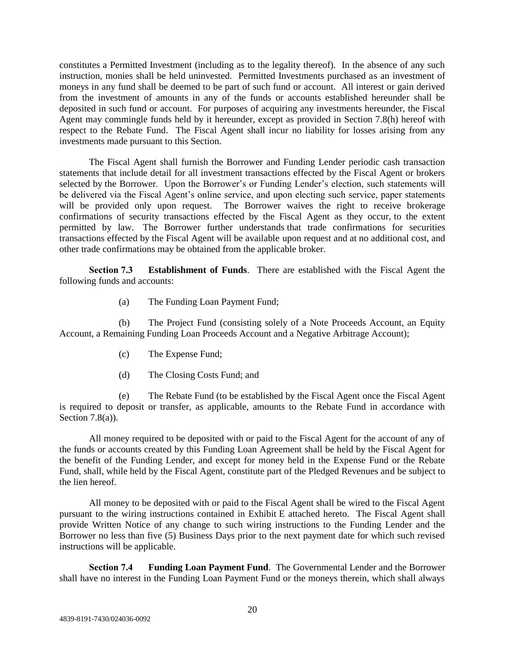constitutes a Permitted Investment (including as to the legality thereof). In the absence of any such instruction, monies shall be held uninvested. Permitted Investments purchased as an investment of moneys in any fund shall be deemed to be part of such fund or account. All interest or gain derived from the investment of amounts in any of the funds or accounts established hereunder shall be deposited in such fund or account. For purposes of acquiring any investments hereunder, the Fiscal Agent may commingle funds held by it hereunder, except as provided in Section 7.8(h) hereof with respect to the Rebate Fund. The Fiscal Agent shall incur no liability for losses arising from any investments made pursuant to this Section.

The Fiscal Agent shall furnish the Borrower and Funding Lender periodic cash transaction statements that include detail for all investment transactions effected by the Fiscal Agent or brokers selected by the Borrower. Upon the Borrower's or Funding Lender's election, such statements will be delivered via the Fiscal Agent's online service, and upon electing such service, paper statements will be provided only upon request. The Borrower waives the right to receive brokerage confirmations of security transactions effected by the Fiscal Agent as they occur, to the extent permitted by law. The Borrower further understands that trade confirmations for securities transactions effected by the Fiscal Agent will be available upon request and at no additional cost, and other trade confirmations may be obtained from the applicable broker.

**Section 7.3 Establishment of Funds**. There are established with the Fiscal Agent the following funds and accounts:

(a) The Funding Loan Payment Fund;

(b) The Project Fund (consisting solely of a Note Proceeds Account, an Equity Account, a Remaining Funding Loan Proceeds Account and a Negative Arbitrage Account);

- (c) The Expense Fund;
- (d) The Closing Costs Fund; and

The Rebate Fund (to be established by the Fiscal Agent once the Fiscal Agent is required to deposit or transfer, as applicable, amounts to the Rebate Fund in accordance with Section  $7.8(a)$ ).

All money required to be deposited with or paid to the Fiscal Agent for the account of any of the funds or accounts created by this Funding Loan Agreement shall be held by the Fiscal Agent for the benefit of the Funding Lender, and except for money held in the Expense Fund or the Rebate Fund, shall, while held by the Fiscal Agent, constitute part of the Pledged Revenues and be subject to the lien hereof.

All money to be deposited with or paid to the Fiscal Agent shall be wired to the Fiscal Agent pursuant to the wiring instructions contained in Exhibit E attached hereto. The Fiscal Agent shall provide Written Notice of any change to such wiring instructions to the Funding Lender and the Borrower no less than five (5) Business Days prior to the next payment date for which such revised instructions will be applicable.

**Section 7.4 Funding Loan Payment Fund**. The Governmental Lender and the Borrower shall have no interest in the Funding Loan Payment Fund or the moneys therein, which shall always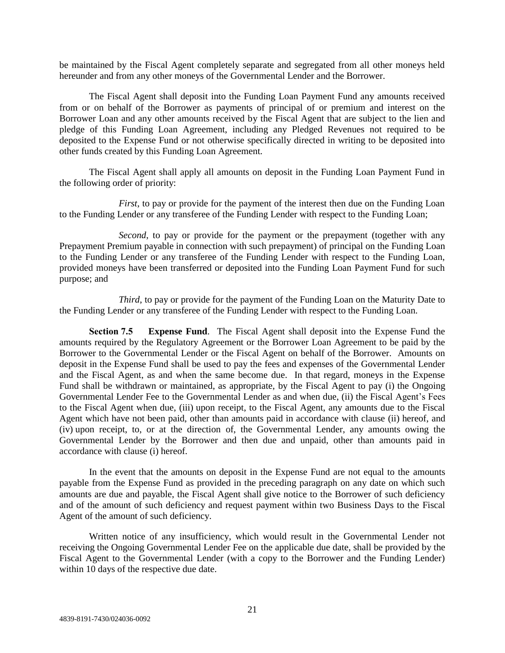be maintained by the Fiscal Agent completely separate and segregated from all other moneys held hereunder and from any other moneys of the Governmental Lender and the Borrower.

The Fiscal Agent shall deposit into the Funding Loan Payment Fund any amounts received from or on behalf of the Borrower as payments of principal of or premium and interest on the Borrower Loan and any other amounts received by the Fiscal Agent that are subject to the lien and pledge of this Funding Loan Agreement, including any Pledged Revenues not required to be deposited to the Expense Fund or not otherwise specifically directed in writing to be deposited into other funds created by this Funding Loan Agreement.

The Fiscal Agent shall apply all amounts on deposit in the Funding Loan Payment Fund in the following order of priority:

*First*, to pay or provide for the payment of the interest then due on the Funding Loan to the Funding Lender or any transferee of the Funding Lender with respect to the Funding Loan;

*Second*, to pay or provide for the payment or the prepayment (together with any Prepayment Premium payable in connection with such prepayment) of principal on the Funding Loan to the Funding Lender or any transferee of the Funding Lender with respect to the Funding Loan, provided moneys have been transferred or deposited into the Funding Loan Payment Fund for such purpose; and

*Third*, to pay or provide for the payment of the Funding Loan on the Maturity Date to the Funding Lender or any transferee of the Funding Lender with respect to the Funding Loan.

**Section 7.5 Expense Fund**. The Fiscal Agent shall deposit into the Expense Fund the amounts required by the Regulatory Agreement or the Borrower Loan Agreement to be paid by the Borrower to the Governmental Lender or the Fiscal Agent on behalf of the Borrower. Amounts on deposit in the Expense Fund shall be used to pay the fees and expenses of the Governmental Lender and the Fiscal Agent, as and when the same become due. In that regard, moneys in the Expense Fund shall be withdrawn or maintained, as appropriate, by the Fiscal Agent to pay (i) the Ongoing Governmental Lender Fee to the Governmental Lender as and when due, (ii) the Fiscal Agent's Fees to the Fiscal Agent when due, (iii) upon receipt, to the Fiscal Agent, any amounts due to the Fiscal Agent which have not been paid, other than amounts paid in accordance with clause (ii) hereof, and (iv) upon receipt, to, or at the direction of, the Governmental Lender, any amounts owing the Governmental Lender by the Borrower and then due and unpaid, other than amounts paid in accordance with clause (i) hereof.

In the event that the amounts on deposit in the Expense Fund are not equal to the amounts payable from the Expense Fund as provided in the preceding paragraph on any date on which such amounts are due and payable, the Fiscal Agent shall give notice to the Borrower of such deficiency and of the amount of such deficiency and request payment within two Business Days to the Fiscal Agent of the amount of such deficiency.

Written notice of any insufficiency, which would result in the Governmental Lender not receiving the Ongoing Governmental Lender Fee on the applicable due date, shall be provided by the Fiscal Agent to the Governmental Lender (with a copy to the Borrower and the Funding Lender) within 10 days of the respective due date.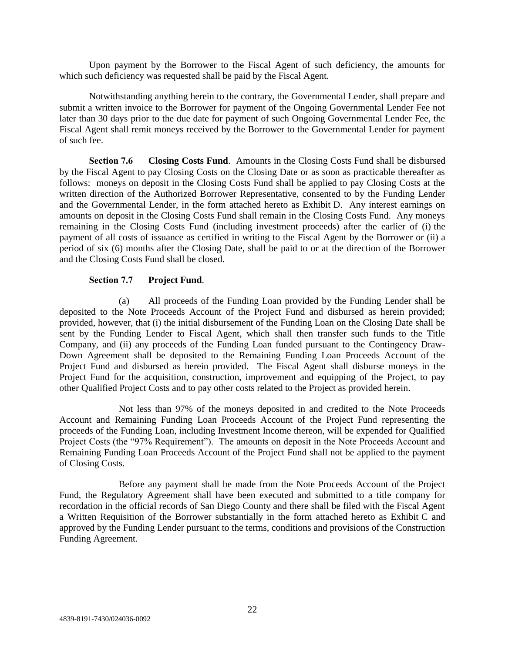Upon payment by the Borrower to the Fiscal Agent of such deficiency, the amounts for which such deficiency was requested shall be paid by the Fiscal Agent.

Notwithstanding anything herein to the contrary, the Governmental Lender, shall prepare and submit a written invoice to the Borrower for payment of the Ongoing Governmental Lender Fee not later than 30 days prior to the due date for payment of such Ongoing Governmental Lender Fee, the Fiscal Agent shall remit moneys received by the Borrower to the Governmental Lender for payment of such fee.

**Section 7.6 Closing Costs Fund**. Amounts in the Closing Costs Fund shall be disbursed by the Fiscal Agent to pay Closing Costs on the Closing Date or as soon as practicable thereafter as follows: moneys on deposit in the Closing Costs Fund shall be applied to pay Closing Costs at the written direction of the Authorized Borrower Representative, consented to by the Funding Lender and the Governmental Lender, in the form attached hereto as Exhibit D. Any interest earnings on amounts on deposit in the Closing Costs Fund shall remain in the Closing Costs Fund. Any moneys remaining in the Closing Costs Fund (including investment proceeds) after the earlier of (i) the payment of all costs of issuance as certified in writing to the Fiscal Agent by the Borrower or (ii) a period of six (6) months after the Closing Date, shall be paid to or at the direction of the Borrower and the Closing Costs Fund shall be closed.

#### **Section 7.7 Project Fund**.

(a) All proceeds of the Funding Loan provided by the Funding Lender shall be deposited to the Note Proceeds Account of the Project Fund and disbursed as herein provided; provided, however, that (i) the initial disbursement of the Funding Loan on the Closing Date shall be sent by the Funding Lender to Fiscal Agent, which shall then transfer such funds to the Title Company, and (ii) any proceeds of the Funding Loan funded pursuant to the Contingency Draw-Down Agreement shall be deposited to the Remaining Funding Loan Proceeds Account of the Project Fund and disbursed as herein provided. The Fiscal Agent shall disburse moneys in the Project Fund for the acquisition, construction, improvement and equipping of the Project, to pay other Qualified Project Costs and to pay other costs related to the Project as provided herein.

Not less than 97% of the moneys deposited in and credited to the Note Proceeds Account and Remaining Funding Loan Proceeds Account of the Project Fund representing the proceeds of the Funding Loan, including Investment Income thereon, will be expended for Qualified Project Costs (the "97% Requirement"). The amounts on deposit in the Note Proceeds Account and Remaining Funding Loan Proceeds Account of the Project Fund shall not be applied to the payment of Closing Costs.

Before any payment shall be made from the Note Proceeds Account of the Project Fund, the Regulatory Agreement shall have been executed and submitted to a title company for recordation in the official records of San Diego County and there shall be filed with the Fiscal Agent a Written Requisition of the Borrower substantially in the form attached hereto as Exhibit C and approved by the Funding Lender pursuant to the terms, conditions and provisions of the Construction Funding Agreement.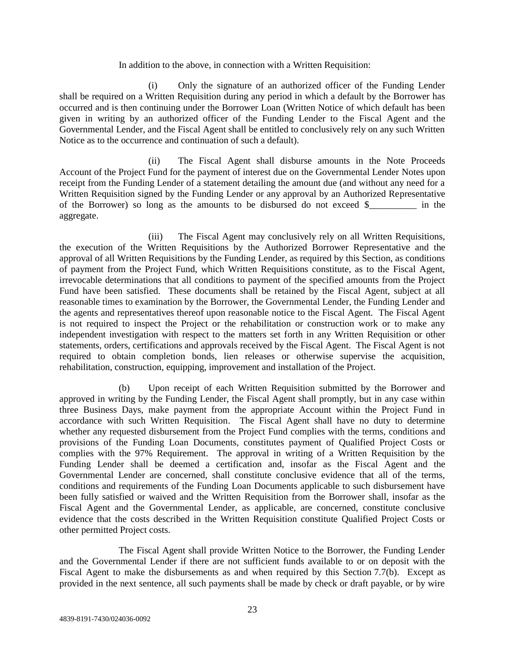#### In addition to the above, in connection with a Written Requisition:

(i) Only the signature of an authorized officer of the Funding Lender shall be required on a Written Requisition during any period in which a default by the Borrower has occurred and is then continuing under the Borrower Loan (Written Notice of which default has been given in writing by an authorized officer of the Funding Lender to the Fiscal Agent and the Governmental Lender, and the Fiscal Agent shall be entitled to conclusively rely on any such Written Notice as to the occurrence and continuation of such a default).

(ii) The Fiscal Agent shall disburse amounts in the Note Proceeds Account of the Project Fund for the payment of interest due on the Governmental Lender Notes upon receipt from the Funding Lender of a statement detailing the amount due (and without any need for a Written Requisition signed by the Funding Lender or any approval by an Authorized Representative of the Borrower) so long as the amounts to be disbursed do not exceed \$ in the aggregate.

(iii) The Fiscal Agent may conclusively rely on all Written Requisitions, the execution of the Written Requisitions by the Authorized Borrower Representative and the approval of all Written Requisitions by the Funding Lender, as required by this Section, as conditions of payment from the Project Fund, which Written Requisitions constitute, as to the Fiscal Agent, irrevocable determinations that all conditions to payment of the specified amounts from the Project Fund have been satisfied. These documents shall be retained by the Fiscal Agent, subject at all reasonable times to examination by the Borrower, the Governmental Lender, the Funding Lender and the agents and representatives thereof upon reasonable notice to the Fiscal Agent. The Fiscal Agent is not required to inspect the Project or the rehabilitation or construction work or to make any independent investigation with respect to the matters set forth in any Written Requisition or other statements, orders, certifications and approvals received by the Fiscal Agent. The Fiscal Agent is not required to obtain completion bonds, lien releases or otherwise supervise the acquisition, rehabilitation, construction, equipping, improvement and installation of the Project.

(b) Upon receipt of each Written Requisition submitted by the Borrower and approved in writing by the Funding Lender, the Fiscal Agent shall promptly, but in any case within three Business Days, make payment from the appropriate Account within the Project Fund in accordance with such Written Requisition. The Fiscal Agent shall have no duty to determine whether any requested disbursement from the Project Fund complies with the terms, conditions and provisions of the Funding Loan Documents, constitutes payment of Qualified Project Costs or complies with the 97% Requirement. The approval in writing of a Written Requisition by the Funding Lender shall be deemed a certification and, insofar as the Fiscal Agent and the Governmental Lender are concerned, shall constitute conclusive evidence that all of the terms, conditions and requirements of the Funding Loan Documents applicable to such disbursement have been fully satisfied or waived and the Written Requisition from the Borrower shall, insofar as the Fiscal Agent and the Governmental Lender, as applicable, are concerned, constitute conclusive evidence that the costs described in the Written Requisition constitute Qualified Project Costs or other permitted Project costs.

The Fiscal Agent shall provide Written Notice to the Borrower, the Funding Lender and the Governmental Lender if there are not sufficient funds available to or on deposit with the Fiscal Agent to make the disbursements as and when required by this Section 7.7(b). Except as provided in the next sentence, all such payments shall be made by check or draft payable, or by wire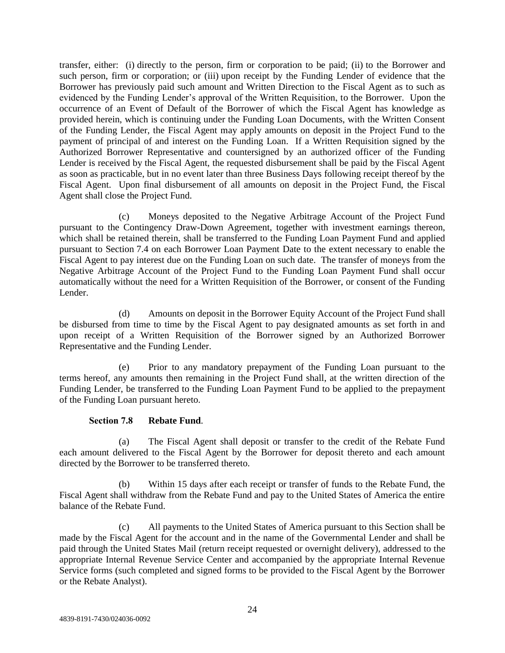transfer, either: (i) directly to the person, firm or corporation to be paid; (ii) to the Borrower and such person, firm or corporation; or (iii) upon receipt by the Funding Lender of evidence that the Borrower has previously paid such amount and Written Direction to the Fiscal Agent as to such as evidenced by the Funding Lender's approval of the Written Requisition, to the Borrower. Upon the occurrence of an Event of Default of the Borrower of which the Fiscal Agent has knowledge as provided herein, which is continuing under the Funding Loan Documents, with the Written Consent of the Funding Lender, the Fiscal Agent may apply amounts on deposit in the Project Fund to the payment of principal of and interest on the Funding Loan. If a Written Requisition signed by the Authorized Borrower Representative and countersigned by an authorized officer of the Funding Lender is received by the Fiscal Agent, the requested disbursement shall be paid by the Fiscal Agent as soon as practicable, but in no event later than three Business Days following receipt thereof by the Fiscal Agent. Upon final disbursement of all amounts on deposit in the Project Fund, the Fiscal Agent shall close the Project Fund.

(c) Moneys deposited to the Negative Arbitrage Account of the Project Fund pursuant to the Contingency Draw-Down Agreement, together with investment earnings thereon, which shall be retained therein, shall be transferred to the Funding Loan Payment Fund and applied pursuant to Section 7.4 on each Borrower Loan Payment Date to the extent necessary to enable the Fiscal Agent to pay interest due on the Funding Loan on such date. The transfer of moneys from the Negative Arbitrage Account of the Project Fund to the Funding Loan Payment Fund shall occur automatically without the need for a Written Requisition of the Borrower, or consent of the Funding Lender.

(d) Amounts on deposit in the Borrower Equity Account of the Project Fund shall be disbursed from time to time by the Fiscal Agent to pay designated amounts as set forth in and upon receipt of a Written Requisition of the Borrower signed by an Authorized Borrower Representative and the Funding Lender.

(e) Prior to any mandatory prepayment of the Funding Loan pursuant to the terms hereof, any amounts then remaining in the Project Fund shall, at the written direction of the Funding Lender, be transferred to the Funding Loan Payment Fund to be applied to the prepayment of the Funding Loan pursuant hereto.

#### **Section 7.8 Rebate Fund**.

(a) The Fiscal Agent shall deposit or transfer to the credit of the Rebate Fund each amount delivered to the Fiscal Agent by the Borrower for deposit thereto and each amount directed by the Borrower to be transferred thereto.

(b) Within 15 days after each receipt or transfer of funds to the Rebate Fund, the Fiscal Agent shall withdraw from the Rebate Fund and pay to the United States of America the entire balance of the Rebate Fund.

(c) All payments to the United States of America pursuant to this Section shall be made by the Fiscal Agent for the account and in the name of the Governmental Lender and shall be paid through the United States Mail (return receipt requested or overnight delivery), addressed to the appropriate Internal Revenue Service Center and accompanied by the appropriate Internal Revenue Service forms (such completed and signed forms to be provided to the Fiscal Agent by the Borrower or the Rebate Analyst).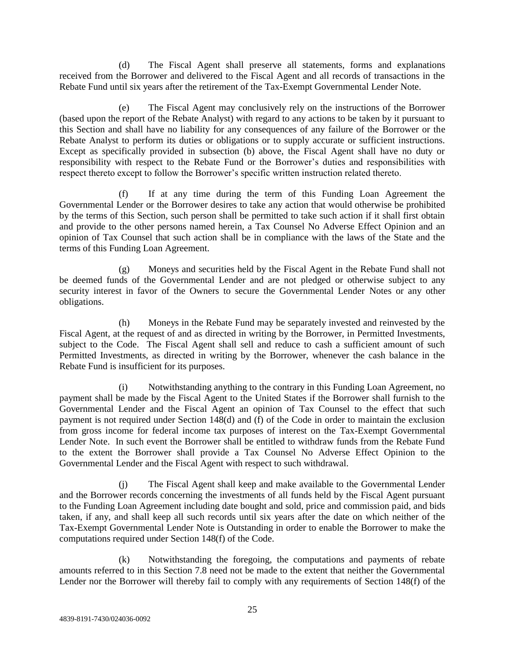(d) The Fiscal Agent shall preserve all statements, forms and explanations received from the Borrower and delivered to the Fiscal Agent and all records of transactions in the Rebate Fund until six years after the retirement of the Tax-Exempt Governmental Lender Note.

(e) The Fiscal Agent may conclusively rely on the instructions of the Borrower (based upon the report of the Rebate Analyst) with regard to any actions to be taken by it pursuant to this Section and shall have no liability for any consequences of any failure of the Borrower or the Rebate Analyst to perform its duties or obligations or to supply accurate or sufficient instructions. Except as specifically provided in subsection (b) above, the Fiscal Agent shall have no duty or responsibility with respect to the Rebate Fund or the Borrower's duties and responsibilities with respect thereto except to follow the Borrower's specific written instruction related thereto.

(f) If at any time during the term of this Funding Loan Agreement the Governmental Lender or the Borrower desires to take any action that would otherwise be prohibited by the terms of this Section, such person shall be permitted to take such action if it shall first obtain and provide to the other persons named herein, a Tax Counsel No Adverse Effect Opinion and an opinion of Tax Counsel that such action shall be in compliance with the laws of the State and the terms of this Funding Loan Agreement.

(g) Moneys and securities held by the Fiscal Agent in the Rebate Fund shall not be deemed funds of the Governmental Lender and are not pledged or otherwise subject to any security interest in favor of the Owners to secure the Governmental Lender Notes or any other obligations.

(h) Moneys in the Rebate Fund may be separately invested and reinvested by the Fiscal Agent, at the request of and as directed in writing by the Borrower, in Permitted Investments, subject to the Code. The Fiscal Agent shall sell and reduce to cash a sufficient amount of such Permitted Investments, as directed in writing by the Borrower, whenever the cash balance in the Rebate Fund is insufficient for its purposes.

(i) Notwithstanding anything to the contrary in this Funding Loan Agreement, no payment shall be made by the Fiscal Agent to the United States if the Borrower shall furnish to the Governmental Lender and the Fiscal Agent an opinion of Tax Counsel to the effect that such payment is not required under Section 148(d) and (f) of the Code in order to maintain the exclusion from gross income for federal income tax purposes of interest on the Tax-Exempt Governmental Lender Note. In such event the Borrower shall be entitled to withdraw funds from the Rebate Fund to the extent the Borrower shall provide a Tax Counsel No Adverse Effect Opinion to the Governmental Lender and the Fiscal Agent with respect to such withdrawal.

(j) The Fiscal Agent shall keep and make available to the Governmental Lender and the Borrower records concerning the investments of all funds held by the Fiscal Agent pursuant to the Funding Loan Agreement including date bought and sold, price and commission paid, and bids taken, if any, and shall keep all such records until six years after the date on which neither of the Tax-Exempt Governmental Lender Note is Outstanding in order to enable the Borrower to make the computations required under Section 148(f) of the Code.

(k) Notwithstanding the foregoing, the computations and payments of rebate amounts referred to in this Section 7.8 need not be made to the extent that neither the Governmental Lender nor the Borrower will thereby fail to comply with any requirements of Section 148(f) of the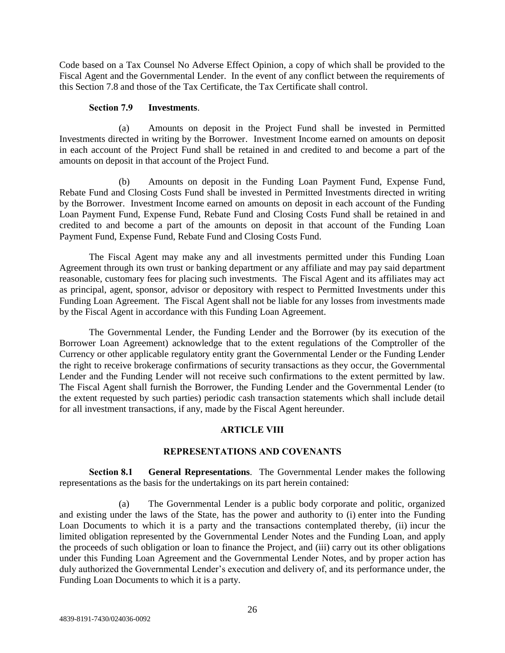Code based on a Tax Counsel No Adverse Effect Opinion, a copy of which shall be provided to the Fiscal Agent and the Governmental Lender. In the event of any conflict between the requirements of this Section 7.8 and those of the Tax Certificate, the Tax Certificate shall control.

#### **Section 7.9 Investments**.

(a) Amounts on deposit in the Project Fund shall be invested in Permitted Investments directed in writing by the Borrower. Investment Income earned on amounts on deposit in each account of the Project Fund shall be retained in and credited to and become a part of the amounts on deposit in that account of the Project Fund.

(b) Amounts on deposit in the Funding Loan Payment Fund, Expense Fund, Rebate Fund and Closing Costs Fund shall be invested in Permitted Investments directed in writing by the Borrower. Investment Income earned on amounts on deposit in each account of the Funding Loan Payment Fund, Expense Fund, Rebate Fund and Closing Costs Fund shall be retained in and credited to and become a part of the amounts on deposit in that account of the Funding Loan Payment Fund, Expense Fund, Rebate Fund and Closing Costs Fund.

The Fiscal Agent may make any and all investments permitted under this Funding Loan Agreement through its own trust or banking department or any affiliate and may pay said department reasonable, customary fees for placing such investments. The Fiscal Agent and its affiliates may act as principal, agent, sponsor, advisor or depository with respect to Permitted Investments under this Funding Loan Agreement. The Fiscal Agent shall not be liable for any losses from investments made by the Fiscal Agent in accordance with this Funding Loan Agreement.

The Governmental Lender, the Funding Lender and the Borrower (by its execution of the Borrower Loan Agreement) acknowledge that to the extent regulations of the Comptroller of the Currency or other applicable regulatory entity grant the Governmental Lender or the Funding Lender the right to receive brokerage confirmations of security transactions as they occur, the Governmental Lender and the Funding Lender will not receive such confirmations to the extent permitted by law. The Fiscal Agent shall furnish the Borrower, the Funding Lender and the Governmental Lender (to the extent requested by such parties) periodic cash transaction statements which shall include detail for all investment transactions, if any, made by the Fiscal Agent hereunder.

#### **ARTICLE VIII**

#### **REPRESENTATIONS AND COVENANTS**

**Section 8.1 General Representations**. The Governmental Lender makes the following representations as the basis for the undertakings on its part herein contained:

(a) The Governmental Lender is a public body corporate and politic, organized and existing under the laws of the State, has the power and authority to (i) enter into the Funding Loan Documents to which it is a party and the transactions contemplated thereby, (ii) incur the limited obligation represented by the Governmental Lender Notes and the Funding Loan, and apply the proceeds of such obligation or loan to finance the Project, and (iii) carry out its other obligations under this Funding Loan Agreement and the Governmental Lender Notes, and by proper action has duly authorized the Governmental Lender's execution and delivery of, and its performance under, the Funding Loan Documents to which it is a party.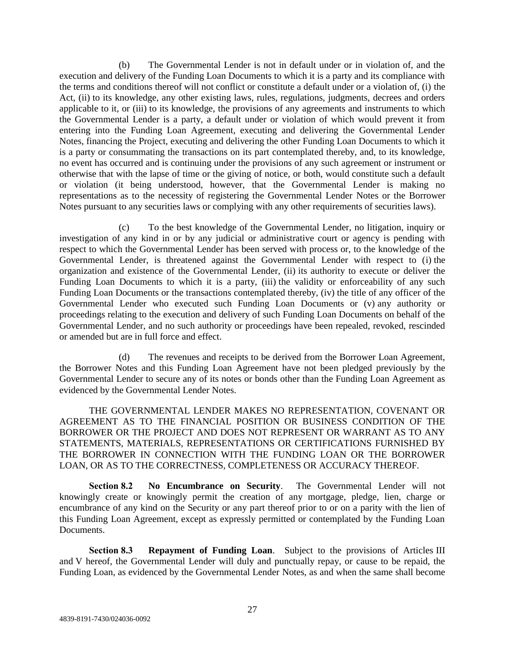(b) The Governmental Lender is not in default under or in violation of, and the execution and delivery of the Funding Loan Documents to which it is a party and its compliance with the terms and conditions thereof will not conflict or constitute a default under or a violation of, (i) the Act, (ii) to its knowledge, any other existing laws, rules, regulations, judgments, decrees and orders applicable to it, or (iii) to its knowledge, the provisions of any agreements and instruments to which the Governmental Lender is a party, a default under or violation of which would prevent it from entering into the Funding Loan Agreement, executing and delivering the Governmental Lender Notes, financing the Project, executing and delivering the other Funding Loan Documents to which it is a party or consummating the transactions on its part contemplated thereby, and, to its knowledge, no event has occurred and is continuing under the provisions of any such agreement or instrument or otherwise that with the lapse of time or the giving of notice, or both, would constitute such a default or violation (it being understood, however, that the Governmental Lender is making no representations as to the necessity of registering the Governmental Lender Notes or the Borrower Notes pursuant to any securities laws or complying with any other requirements of securities laws).

(c) To the best knowledge of the Governmental Lender, no litigation, inquiry or investigation of any kind in or by any judicial or administrative court or agency is pending with respect to which the Governmental Lender has been served with process or, to the knowledge of the Governmental Lender, is threatened against the Governmental Lender with respect to (i) the organization and existence of the Governmental Lender, (ii) its authority to execute or deliver the Funding Loan Documents to which it is a party, (iii) the validity or enforceability of any such Funding Loan Documents or the transactions contemplated thereby, (iv) the title of any officer of the Governmental Lender who executed such Funding Loan Documents or (v) any authority or proceedings relating to the execution and delivery of such Funding Loan Documents on behalf of the Governmental Lender, and no such authority or proceedings have been repealed, revoked, rescinded or amended but are in full force and effect.

(d) The revenues and receipts to be derived from the Borrower Loan Agreement, the Borrower Notes and this Funding Loan Agreement have not been pledged previously by the Governmental Lender to secure any of its notes or bonds other than the Funding Loan Agreement as evidenced by the Governmental Lender Notes.

THE GOVERNMENTAL LENDER MAKES NO REPRESENTATION, COVENANT OR AGREEMENT AS TO THE FINANCIAL POSITION OR BUSINESS CONDITION OF THE BORROWER OR THE PROJECT AND DOES NOT REPRESENT OR WARRANT AS TO ANY STATEMENTS, MATERIALS, REPRESENTATIONS OR CERTIFICATIONS FURNISHED BY THE BORROWER IN CONNECTION WITH THE FUNDING LOAN OR THE BORROWER LOAN, OR AS TO THE CORRECTNESS, COMPLETENESS OR ACCURACY THEREOF.

**Section 8.2 No Encumbrance on Security**. The Governmental Lender will not knowingly create or knowingly permit the creation of any mortgage, pledge, lien, charge or encumbrance of any kind on the Security or any part thereof prior to or on a parity with the lien of this Funding Loan Agreement, except as expressly permitted or contemplated by the Funding Loan Documents.

**Section 8.3 Repayment of Funding Loan**. Subject to the provisions of Articles III and V hereof, the Governmental Lender will duly and punctually repay, or cause to be repaid, the Funding Loan, as evidenced by the Governmental Lender Notes, as and when the same shall become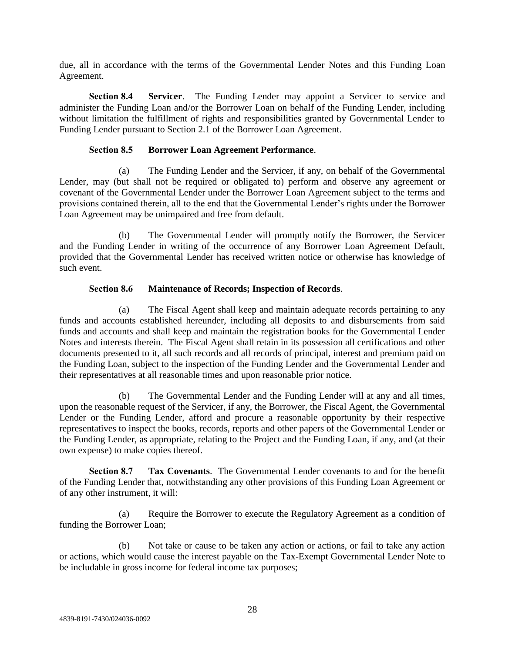due, all in accordance with the terms of the Governmental Lender Notes and this Funding Loan Agreement.

**Section 8.4 Servicer**. The Funding Lender may appoint a Servicer to service and administer the Funding Loan and/or the Borrower Loan on behalf of the Funding Lender, including without limitation the fulfillment of rights and responsibilities granted by Governmental Lender to Funding Lender pursuant to Section 2.1 of the Borrower Loan Agreement.

## **Section 8.5 Borrower Loan Agreement Performance**.

(a) The Funding Lender and the Servicer, if any, on behalf of the Governmental Lender, may (but shall not be required or obligated to) perform and observe any agreement or covenant of the Governmental Lender under the Borrower Loan Agreement subject to the terms and provisions contained therein, all to the end that the Governmental Lender's rights under the Borrower Loan Agreement may be unimpaired and free from default.

(b) The Governmental Lender will promptly notify the Borrower, the Servicer and the Funding Lender in writing of the occurrence of any Borrower Loan Agreement Default, provided that the Governmental Lender has received written notice or otherwise has knowledge of such event.

## **Section 8.6 Maintenance of Records; Inspection of Records**.

(a) The Fiscal Agent shall keep and maintain adequate records pertaining to any funds and accounts established hereunder, including all deposits to and disbursements from said funds and accounts and shall keep and maintain the registration books for the Governmental Lender Notes and interests therein. The Fiscal Agent shall retain in its possession all certifications and other documents presented to it, all such records and all records of principal, interest and premium paid on the Funding Loan, subject to the inspection of the Funding Lender and the Governmental Lender and their representatives at all reasonable times and upon reasonable prior notice.

(b) The Governmental Lender and the Funding Lender will at any and all times, upon the reasonable request of the Servicer, if any, the Borrower, the Fiscal Agent, the Governmental Lender or the Funding Lender, afford and procure a reasonable opportunity by their respective representatives to inspect the books, records, reports and other papers of the Governmental Lender or the Funding Lender, as appropriate, relating to the Project and the Funding Loan, if any, and (at their own expense) to make copies thereof.

**Section 8.7 Tax Covenants**. The Governmental Lender covenants to and for the benefit of the Funding Lender that, notwithstanding any other provisions of this Funding Loan Agreement or of any other instrument, it will:

(a) Require the Borrower to execute the Regulatory Agreement as a condition of funding the Borrower Loan;

(b) Not take or cause to be taken any action or actions, or fail to take any action or actions, which would cause the interest payable on the Tax-Exempt Governmental Lender Note to be includable in gross income for federal income tax purposes;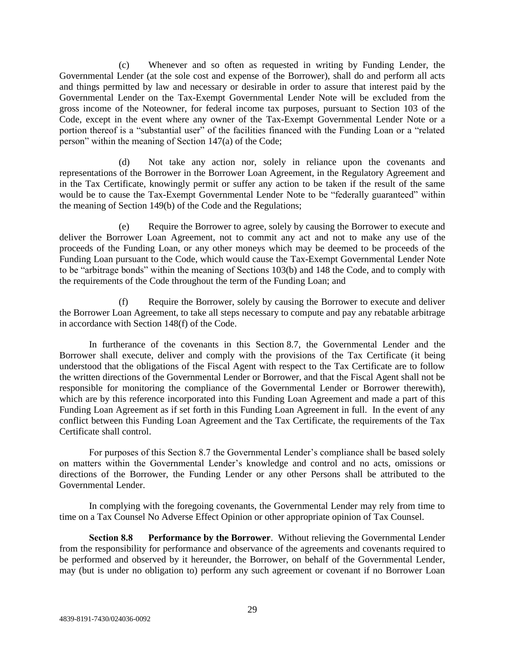(c) Whenever and so often as requested in writing by Funding Lender, the Governmental Lender (at the sole cost and expense of the Borrower), shall do and perform all acts and things permitted by law and necessary or desirable in order to assure that interest paid by the Governmental Lender on the Tax-Exempt Governmental Lender Note will be excluded from the gross income of the Noteowner, for federal income tax purposes, pursuant to Section 103 of the Code, except in the event where any owner of the Tax-Exempt Governmental Lender Note or a portion thereof is a "substantial user" of the facilities financed with the Funding Loan or a "related person" within the meaning of Section 147(a) of the Code;

(d) Not take any action nor, solely in reliance upon the covenants and representations of the Borrower in the Borrower Loan Agreement, in the Regulatory Agreement and in the Tax Certificate, knowingly permit or suffer any action to be taken if the result of the same would be to cause the Tax-Exempt Governmental Lender Note to be "federally guaranteed" within the meaning of Section 149(b) of the Code and the Regulations;

(e) Require the Borrower to agree, solely by causing the Borrower to execute and deliver the Borrower Loan Agreement, not to commit any act and not to make any use of the proceeds of the Funding Loan, or any other moneys which may be deemed to be proceeds of the Funding Loan pursuant to the Code, which would cause the Tax-Exempt Governmental Lender Note to be "arbitrage bonds" within the meaning of Sections 103(b) and 148 the Code, and to comply with the requirements of the Code throughout the term of the Funding Loan; and

(f) Require the Borrower, solely by causing the Borrower to execute and deliver the Borrower Loan Agreement, to take all steps necessary to compute and pay any rebatable arbitrage in accordance with Section 148(f) of the Code.

In furtherance of the covenants in this Section 8.7, the Governmental Lender and the Borrower shall execute, deliver and comply with the provisions of the Tax Certificate (it being understood that the obligations of the Fiscal Agent with respect to the Tax Certificate are to follow the written directions of the Governmental Lender or Borrower, and that the Fiscal Agent shall not be responsible for monitoring the compliance of the Governmental Lender or Borrower therewith), which are by this reference incorporated into this Funding Loan Agreement and made a part of this Funding Loan Agreement as if set forth in this Funding Loan Agreement in full. In the event of any conflict between this Funding Loan Agreement and the Tax Certificate, the requirements of the Tax Certificate shall control.

For purposes of this Section 8.7 the Governmental Lender's compliance shall be based solely on matters within the Governmental Lender's knowledge and control and no acts, omissions or directions of the Borrower, the Funding Lender or any other Persons shall be attributed to the Governmental Lender.

In complying with the foregoing covenants, the Governmental Lender may rely from time to time on a Tax Counsel No Adverse Effect Opinion or other appropriate opinion of Tax Counsel.

**Section 8.8 Performance by the Borrower**. Without relieving the Governmental Lender from the responsibility for performance and observance of the agreements and covenants required to be performed and observed by it hereunder, the Borrower, on behalf of the Governmental Lender, may (but is under no obligation to) perform any such agreement or covenant if no Borrower Loan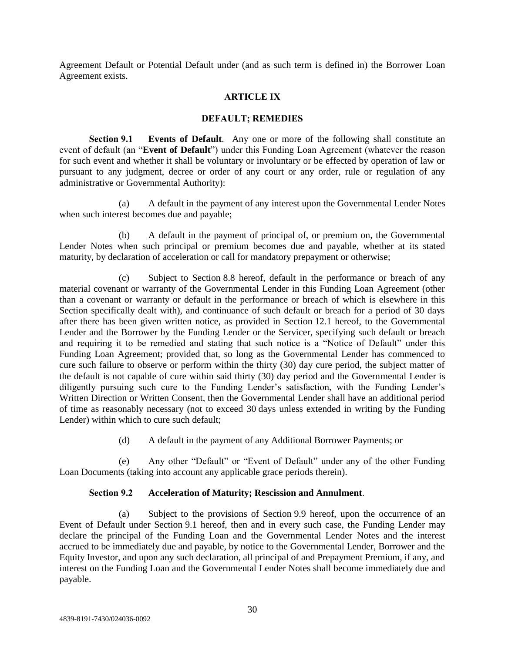Agreement Default or Potential Default under (and as such term is defined in) the Borrower Loan Agreement exists.

# **ARTICLE IX**

#### **DEFAULT; REMEDIES**

**Section 9.1 Events of Default**. Any one or more of the following shall constitute an event of default (an "**Event of Default**") under this Funding Loan Agreement (whatever the reason for such event and whether it shall be voluntary or involuntary or be effected by operation of law or pursuant to any judgment, decree or order of any court or any order, rule or regulation of any administrative or Governmental Authority):

(a) A default in the payment of any interest upon the Governmental Lender Notes when such interest becomes due and payable;

(b) A default in the payment of principal of, or premium on, the Governmental Lender Notes when such principal or premium becomes due and payable, whether at its stated maturity, by declaration of acceleration or call for mandatory prepayment or otherwise;

(c) Subject to Section 8.8 hereof, default in the performance or breach of any material covenant or warranty of the Governmental Lender in this Funding Loan Agreement (other than a covenant or warranty or default in the performance or breach of which is elsewhere in this Section specifically dealt with), and continuance of such default or breach for a period of 30 days after there has been given written notice, as provided in Section 12.1 hereof, to the Governmental Lender and the Borrower by the Funding Lender or the Servicer, specifying such default or breach and requiring it to be remedied and stating that such notice is a "Notice of Default" under this Funding Loan Agreement; provided that, so long as the Governmental Lender has commenced to cure such failure to observe or perform within the thirty (30) day cure period, the subject matter of the default is not capable of cure within said thirty (30) day period and the Governmental Lender is diligently pursuing such cure to the Funding Lender's satisfaction, with the Funding Lender's Written Direction or Written Consent, then the Governmental Lender shall have an additional period of time as reasonably necessary (not to exceed 30 days unless extended in writing by the Funding Lender) within which to cure such default;

(d) A default in the payment of any Additional Borrower Payments; or

(e) Any other "Default" or "Event of Default" under any of the other Funding Loan Documents (taking into account any applicable grace periods therein).

# **Section 9.2 Acceleration of Maturity; Rescission and Annulment**.

(a) Subject to the provisions of Section 9.9 hereof, upon the occurrence of an Event of Default under Section 9.1 hereof, then and in every such case, the Funding Lender may declare the principal of the Funding Loan and the Governmental Lender Notes and the interest accrued to be immediately due and payable, by notice to the Governmental Lender, Borrower and the Equity Investor, and upon any such declaration, all principal of and Prepayment Premium, if any, and interest on the Funding Loan and the Governmental Lender Notes shall become immediately due and payable.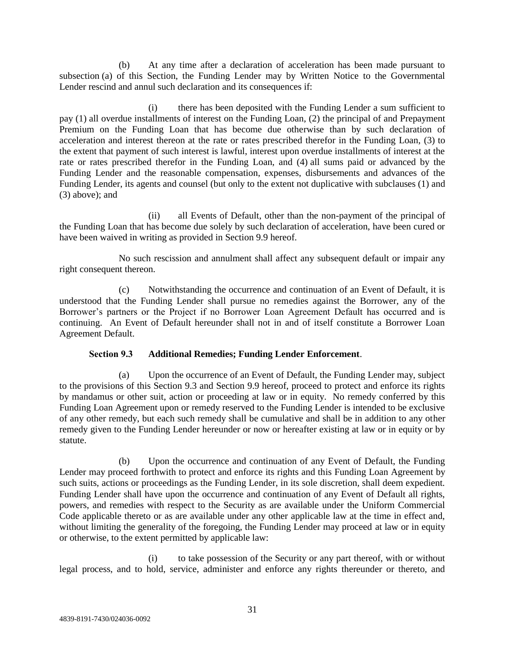(b) At any time after a declaration of acceleration has been made pursuant to subsection (a) of this Section, the Funding Lender may by Written Notice to the Governmental Lender rescind and annul such declaration and its consequences if:

(i) there has been deposited with the Funding Lender a sum sufficient to pay (1) all overdue installments of interest on the Funding Loan, (2) the principal of and Prepayment Premium on the Funding Loan that has become due otherwise than by such declaration of acceleration and interest thereon at the rate or rates prescribed therefor in the Funding Loan, (3) to the extent that payment of such interest is lawful, interest upon overdue installments of interest at the rate or rates prescribed therefor in the Funding Loan, and (4) all sums paid or advanced by the Funding Lender and the reasonable compensation, expenses, disbursements and advances of the Funding Lender, its agents and counsel (but only to the extent not duplicative with subclauses (1) and (3) above); and

(ii) all Events of Default, other than the non-payment of the principal of the Funding Loan that has become due solely by such declaration of acceleration, have been cured or have been waived in writing as provided in Section 9.9 hereof.

No such rescission and annulment shall affect any subsequent default or impair any right consequent thereon.

(c) Notwithstanding the occurrence and continuation of an Event of Default, it is understood that the Funding Lender shall pursue no remedies against the Borrower, any of the Borrower's partners or the Project if no Borrower Loan Agreement Default has occurred and is continuing. An Event of Default hereunder shall not in and of itself constitute a Borrower Loan Agreement Default.

# **Section 9.3 Additional Remedies; Funding Lender Enforcement**.

(a) Upon the occurrence of an Event of Default, the Funding Lender may, subject to the provisions of this Section 9.3 and Section 9.9 hereof, proceed to protect and enforce its rights by mandamus or other suit, action or proceeding at law or in equity. No remedy conferred by this Funding Loan Agreement upon or remedy reserved to the Funding Lender is intended to be exclusive of any other remedy, but each such remedy shall be cumulative and shall be in addition to any other remedy given to the Funding Lender hereunder or now or hereafter existing at law or in equity or by statute.

(b) Upon the occurrence and continuation of any Event of Default, the Funding Lender may proceed forthwith to protect and enforce its rights and this Funding Loan Agreement by such suits, actions or proceedings as the Funding Lender, in its sole discretion, shall deem expedient. Funding Lender shall have upon the occurrence and continuation of any Event of Default all rights, powers, and remedies with respect to the Security as are available under the Uniform Commercial Code applicable thereto or as are available under any other applicable law at the time in effect and, without limiting the generality of the foregoing, the Funding Lender may proceed at law or in equity or otherwise, to the extent permitted by applicable law:

(i) to take possession of the Security or any part thereof, with or without legal process, and to hold, service, administer and enforce any rights thereunder or thereto, and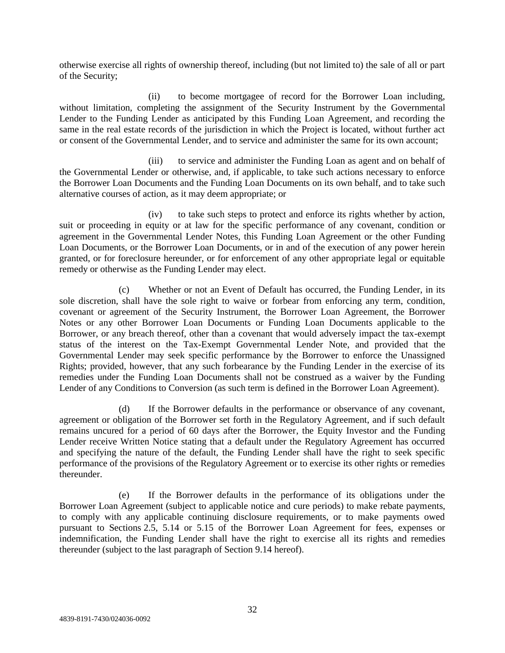otherwise exercise all rights of ownership thereof, including (but not limited to) the sale of all or part of the Security;

(ii) to become mortgagee of record for the Borrower Loan including, without limitation, completing the assignment of the Security Instrument by the Governmental Lender to the Funding Lender as anticipated by this Funding Loan Agreement, and recording the same in the real estate records of the jurisdiction in which the Project is located, without further act or consent of the Governmental Lender, and to service and administer the same for its own account;

(iii) to service and administer the Funding Loan as agent and on behalf of the Governmental Lender or otherwise, and, if applicable, to take such actions necessary to enforce the Borrower Loan Documents and the Funding Loan Documents on its own behalf, and to take such alternative courses of action, as it may deem appropriate; or

(iv) to take such steps to protect and enforce its rights whether by action, suit or proceeding in equity or at law for the specific performance of any covenant, condition or agreement in the Governmental Lender Notes, this Funding Loan Agreement or the other Funding Loan Documents, or the Borrower Loan Documents, or in and of the execution of any power herein granted, or for foreclosure hereunder, or for enforcement of any other appropriate legal or equitable remedy or otherwise as the Funding Lender may elect.

(c) Whether or not an Event of Default has occurred, the Funding Lender, in its sole discretion, shall have the sole right to waive or forbear from enforcing any term, condition, covenant or agreement of the Security Instrument, the Borrower Loan Agreement, the Borrower Notes or any other Borrower Loan Documents or Funding Loan Documents applicable to the Borrower, or any breach thereof, other than a covenant that would adversely impact the tax-exempt status of the interest on the Tax-Exempt Governmental Lender Note, and provided that the Governmental Lender may seek specific performance by the Borrower to enforce the Unassigned Rights; provided, however, that any such forbearance by the Funding Lender in the exercise of its remedies under the Funding Loan Documents shall not be construed as a waiver by the Funding Lender of any Conditions to Conversion (as such term is defined in the Borrower Loan Agreement).

(d) If the Borrower defaults in the performance or observance of any covenant, agreement or obligation of the Borrower set forth in the Regulatory Agreement, and if such default remains uncured for a period of 60 days after the Borrower, the Equity Investor and the Funding Lender receive Written Notice stating that a default under the Regulatory Agreement has occurred and specifying the nature of the default, the Funding Lender shall have the right to seek specific performance of the provisions of the Regulatory Agreement or to exercise its other rights or remedies thereunder.

(e) If the Borrower defaults in the performance of its obligations under the Borrower Loan Agreement (subject to applicable notice and cure periods) to make rebate payments, to comply with any applicable continuing disclosure requirements, or to make payments owed pursuant to Sections 2.5, 5.14 or 5.15 of the Borrower Loan Agreement for fees, expenses or indemnification, the Funding Lender shall have the right to exercise all its rights and remedies thereunder (subject to the last paragraph of Section 9.14 hereof).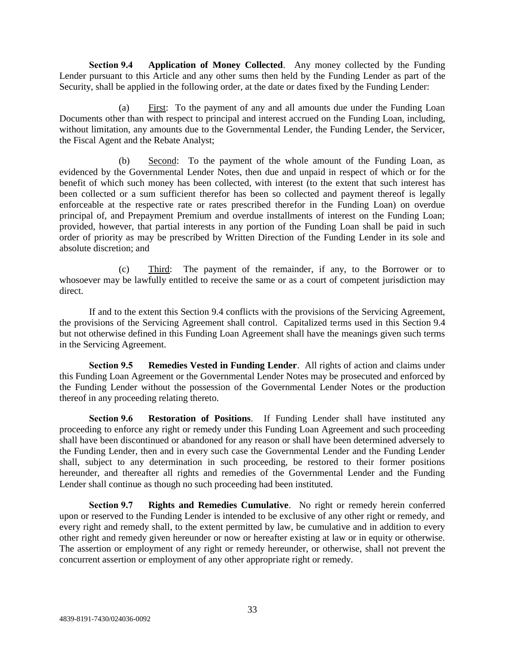**Section 9.4 Application of Money Collected**. Any money collected by the Funding Lender pursuant to this Article and any other sums then held by the Funding Lender as part of the Security, shall be applied in the following order, at the date or dates fixed by the Funding Lender:

(a) First: To the payment of any and all amounts due under the Funding Loan Documents other than with respect to principal and interest accrued on the Funding Loan, including, without limitation, any amounts due to the Governmental Lender, the Funding Lender, the Servicer, the Fiscal Agent and the Rebate Analyst;

(b) Second: To the payment of the whole amount of the Funding Loan, as evidenced by the Governmental Lender Notes, then due and unpaid in respect of which or for the benefit of which such money has been collected, with interest (to the extent that such interest has been collected or a sum sufficient therefor has been so collected and payment thereof is legally enforceable at the respective rate or rates prescribed therefor in the Funding Loan) on overdue principal of, and Prepayment Premium and overdue installments of interest on the Funding Loan; provided, however, that partial interests in any portion of the Funding Loan shall be paid in such order of priority as may be prescribed by Written Direction of the Funding Lender in its sole and absolute discretion; and

(c) Third: The payment of the remainder, if any, to the Borrower or to whosoever may be lawfully entitled to receive the same or as a court of competent jurisdiction may direct.

If and to the extent this Section 9.4 conflicts with the provisions of the Servicing Agreement, the provisions of the Servicing Agreement shall control. Capitalized terms used in this Section 9.4 but not otherwise defined in this Funding Loan Agreement shall have the meanings given such terms in the Servicing Agreement.

**Section 9.5 Remedies Vested in Funding Lender**. All rights of action and claims under this Funding Loan Agreement or the Governmental Lender Notes may be prosecuted and enforced by the Funding Lender without the possession of the Governmental Lender Notes or the production thereof in any proceeding relating thereto.

**Section 9.6 Restoration of Positions**. If Funding Lender shall have instituted any proceeding to enforce any right or remedy under this Funding Loan Agreement and such proceeding shall have been discontinued or abandoned for any reason or shall have been determined adversely to the Funding Lender, then and in every such case the Governmental Lender and the Funding Lender shall, subject to any determination in such proceeding, be restored to their former positions hereunder, and thereafter all rights and remedies of the Governmental Lender and the Funding Lender shall continue as though no such proceeding had been instituted.

**Section 9.7 Rights and Remedies Cumulative**. No right or remedy herein conferred upon or reserved to the Funding Lender is intended to be exclusive of any other right or remedy, and every right and remedy shall, to the extent permitted by law, be cumulative and in addition to every other right and remedy given hereunder or now or hereafter existing at law or in equity or otherwise. The assertion or employment of any right or remedy hereunder, or otherwise, shall not prevent the concurrent assertion or employment of any other appropriate right or remedy.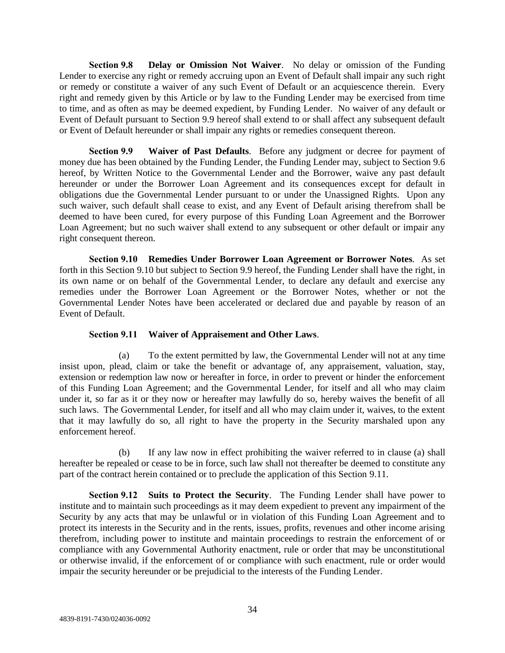**Section 9.8 Delay or Omission Not Waiver**. No delay or omission of the Funding Lender to exercise any right or remedy accruing upon an Event of Default shall impair any such right or remedy or constitute a waiver of any such Event of Default or an acquiescence therein. Every right and remedy given by this Article or by law to the Funding Lender may be exercised from time to time, and as often as may be deemed expedient, by Funding Lender. No waiver of any default or Event of Default pursuant to Section 9.9 hereof shall extend to or shall affect any subsequent default or Event of Default hereunder or shall impair any rights or remedies consequent thereon.

**Section 9.9 Waiver of Past Defaults**. Before any judgment or decree for payment of money due has been obtained by the Funding Lender, the Funding Lender may, subject to Section 9.6 hereof, by Written Notice to the Governmental Lender and the Borrower, waive any past default hereunder or under the Borrower Loan Agreement and its consequences except for default in obligations due the Governmental Lender pursuant to or under the Unassigned Rights. Upon any such waiver, such default shall cease to exist, and any Event of Default arising therefrom shall be deemed to have been cured, for every purpose of this Funding Loan Agreement and the Borrower Loan Agreement; but no such waiver shall extend to any subsequent or other default or impair any right consequent thereon.

**Section 9.10 Remedies Under Borrower Loan Agreement or Borrower Notes**. As set forth in this Section 9.10 but subject to Section 9.9 hereof, the Funding Lender shall have the right, in its own name or on behalf of the Governmental Lender, to declare any default and exercise any remedies under the Borrower Loan Agreement or the Borrower Notes, whether or not the Governmental Lender Notes have been accelerated or declared due and payable by reason of an Event of Default.

#### **Section 9.11 Waiver of Appraisement and Other Laws**.

(a) To the extent permitted by law, the Governmental Lender will not at any time insist upon, plead, claim or take the benefit or advantage of, any appraisement, valuation, stay, extension or redemption law now or hereafter in force, in order to prevent or hinder the enforcement of this Funding Loan Agreement; and the Governmental Lender, for itself and all who may claim under it, so far as it or they now or hereafter may lawfully do so, hereby waives the benefit of all such laws. The Governmental Lender, for itself and all who may claim under it, waives, to the extent that it may lawfully do so, all right to have the property in the Security marshaled upon any enforcement hereof.

(b) If any law now in effect prohibiting the waiver referred to in clause (a) shall hereafter be repealed or cease to be in force, such law shall not thereafter be deemed to constitute any part of the contract herein contained or to preclude the application of this Section 9.11.

**Section 9.12 Suits to Protect the Security**. The Funding Lender shall have power to institute and to maintain such proceedings as it may deem expedient to prevent any impairment of the Security by any acts that may be unlawful or in violation of this Funding Loan Agreement and to protect its interests in the Security and in the rents, issues, profits, revenues and other income arising therefrom, including power to institute and maintain proceedings to restrain the enforcement of or compliance with any Governmental Authority enactment, rule or order that may be unconstitutional or otherwise invalid, if the enforcement of or compliance with such enactment, rule or order would impair the security hereunder or be prejudicial to the interests of the Funding Lender.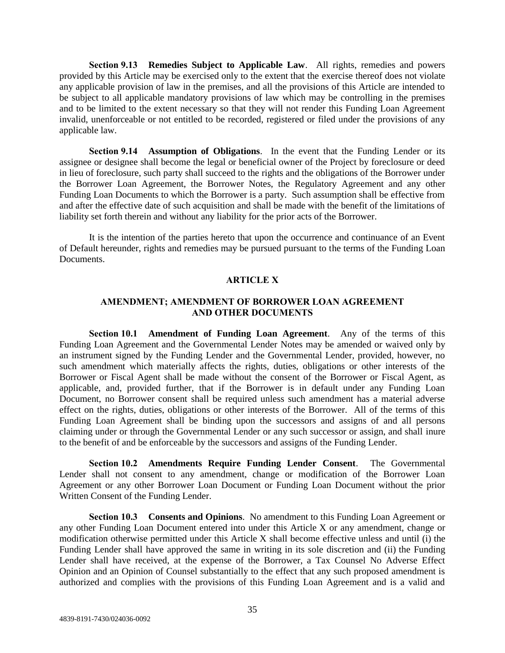**Section 9.13 Remedies Subject to Applicable Law**. All rights, remedies and powers provided by this Article may be exercised only to the extent that the exercise thereof does not violate any applicable provision of law in the premises, and all the provisions of this Article are intended to be subject to all applicable mandatory provisions of law which may be controlling in the premises and to be limited to the extent necessary so that they will not render this Funding Loan Agreement invalid, unenforceable or not entitled to be recorded, registered or filed under the provisions of any applicable law.

**Section 9.14 Assumption of Obligations**. In the event that the Funding Lender or its assignee or designee shall become the legal or beneficial owner of the Project by foreclosure or deed in lieu of foreclosure, such party shall succeed to the rights and the obligations of the Borrower under the Borrower Loan Agreement, the Borrower Notes, the Regulatory Agreement and any other Funding Loan Documents to which the Borrower is a party. Such assumption shall be effective from and after the effective date of such acquisition and shall be made with the benefit of the limitations of liability set forth therein and without any liability for the prior acts of the Borrower.

It is the intention of the parties hereto that upon the occurrence and continuance of an Event of Default hereunder, rights and remedies may be pursued pursuant to the terms of the Funding Loan Documents.

#### **ARTICLE X**

## **AMENDMENT; AMENDMENT OF BORROWER LOAN AGREEMENT AND OTHER DOCUMENTS**

**Section 10.1 Amendment of Funding Loan Agreement**. Any of the terms of this Funding Loan Agreement and the Governmental Lender Notes may be amended or waived only by an instrument signed by the Funding Lender and the Governmental Lender, provided, however, no such amendment which materially affects the rights, duties, obligations or other interests of the Borrower or Fiscal Agent shall be made without the consent of the Borrower or Fiscal Agent, as applicable, and, provided further, that if the Borrower is in default under any Funding Loan Document, no Borrower consent shall be required unless such amendment has a material adverse effect on the rights, duties, obligations or other interests of the Borrower. All of the terms of this Funding Loan Agreement shall be binding upon the successors and assigns of and all persons claiming under or through the Governmental Lender or any such successor or assign, and shall inure to the benefit of and be enforceable by the successors and assigns of the Funding Lender.

**Section 10.2 Amendments Require Funding Lender Consent**. The Governmental Lender shall not consent to any amendment, change or modification of the Borrower Loan Agreement or any other Borrower Loan Document or Funding Loan Document without the prior Written Consent of the Funding Lender.

**Section 10.3 Consents and Opinions**. No amendment to this Funding Loan Agreement or any other Funding Loan Document entered into under this Article X or any amendment, change or modification otherwise permitted under this Article X shall become effective unless and until (i) the Funding Lender shall have approved the same in writing in its sole discretion and (ii) the Funding Lender shall have received, at the expense of the Borrower, a Tax Counsel No Adverse Effect Opinion and an Opinion of Counsel substantially to the effect that any such proposed amendment is authorized and complies with the provisions of this Funding Loan Agreement and is a valid and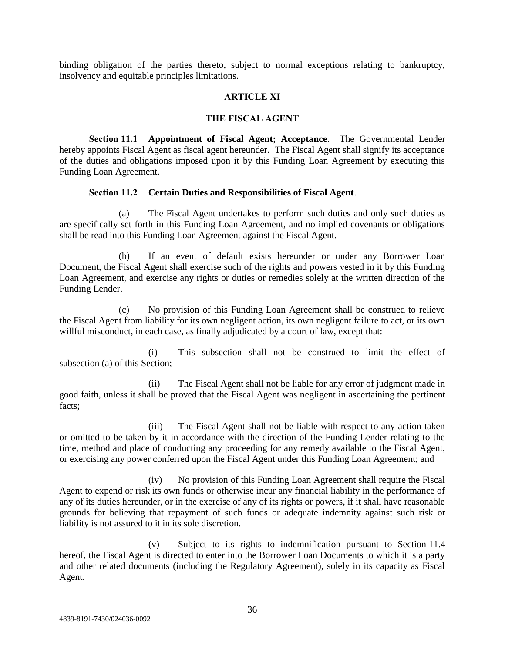binding obligation of the parties thereto, subject to normal exceptions relating to bankruptcy, insolvency and equitable principles limitations.

#### **ARTICLE XI**

#### **THE FISCAL AGENT**

**Section 11.1 Appointment of Fiscal Agent; Acceptance**. The Governmental Lender hereby appoints Fiscal Agent as fiscal agent hereunder. The Fiscal Agent shall signify its acceptance of the duties and obligations imposed upon it by this Funding Loan Agreement by executing this Funding Loan Agreement.

## **Section 11.2 Certain Duties and Responsibilities of Fiscal Agent**.

(a) The Fiscal Agent undertakes to perform such duties and only such duties as are specifically set forth in this Funding Loan Agreement, and no implied covenants or obligations shall be read into this Funding Loan Agreement against the Fiscal Agent.

(b) If an event of default exists hereunder or under any Borrower Loan Document, the Fiscal Agent shall exercise such of the rights and powers vested in it by this Funding Loan Agreement, and exercise any rights or duties or remedies solely at the written direction of the Funding Lender.

(c) No provision of this Funding Loan Agreement shall be construed to relieve the Fiscal Agent from liability for its own negligent action, its own negligent failure to act, or its own willful misconduct, in each case, as finally adjudicated by a court of law, except that:

(i) This subsection shall not be construed to limit the effect of subsection (a) of this Section;

(ii) The Fiscal Agent shall not be liable for any error of judgment made in good faith, unless it shall be proved that the Fiscal Agent was negligent in ascertaining the pertinent facts;

(iii) The Fiscal Agent shall not be liable with respect to any action taken or omitted to be taken by it in accordance with the direction of the Funding Lender relating to the time, method and place of conducting any proceeding for any remedy available to the Fiscal Agent, or exercising any power conferred upon the Fiscal Agent under this Funding Loan Agreement; and

(iv) No provision of this Funding Loan Agreement shall require the Fiscal Agent to expend or risk its own funds or otherwise incur any financial liability in the performance of any of its duties hereunder, or in the exercise of any of its rights or powers, if it shall have reasonable grounds for believing that repayment of such funds or adequate indemnity against such risk or liability is not assured to it in its sole discretion.

(v) Subject to its rights to indemnification pursuant to Section 11.4 hereof, the Fiscal Agent is directed to enter into the Borrower Loan Documents to which it is a party and other related documents (including the Regulatory Agreement), solely in its capacity as Fiscal Agent.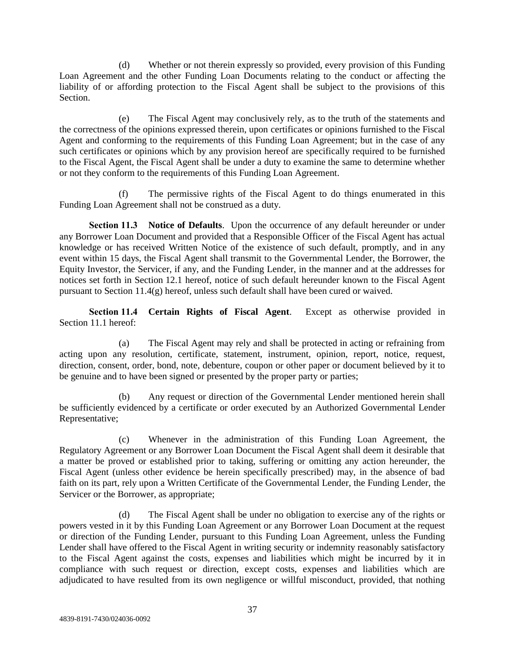(d) Whether or not therein expressly so provided, every provision of this Funding Loan Agreement and the other Funding Loan Documents relating to the conduct or affecting the liability of or affording protection to the Fiscal Agent shall be subject to the provisions of this Section.

(e) The Fiscal Agent may conclusively rely, as to the truth of the statements and the correctness of the opinions expressed therein, upon certificates or opinions furnished to the Fiscal Agent and conforming to the requirements of this Funding Loan Agreement; but in the case of any such certificates or opinions which by any provision hereof are specifically required to be furnished to the Fiscal Agent, the Fiscal Agent shall be under a duty to examine the same to determine whether or not they conform to the requirements of this Funding Loan Agreement.

(f) The permissive rights of the Fiscal Agent to do things enumerated in this Funding Loan Agreement shall not be construed as a duty.

**Section 11.3 Notice of Defaults**. Upon the occurrence of any default hereunder or under any Borrower Loan Document and provided that a Responsible Officer of the Fiscal Agent has actual knowledge or has received Written Notice of the existence of such default, promptly, and in any event within 15 days, the Fiscal Agent shall transmit to the Governmental Lender, the Borrower, the Equity Investor, the Servicer, if any, and the Funding Lender, in the manner and at the addresses for notices set forth in Section 12.1 hereof, notice of such default hereunder known to the Fiscal Agent pursuant to Section 11.4(g) hereof, unless such default shall have been cured or waived.

**Section 11.4 Certain Rights of Fiscal Agent**. Except as otherwise provided in Section 11.1 hereof:

(a) The Fiscal Agent may rely and shall be protected in acting or refraining from acting upon any resolution, certificate, statement, instrument, opinion, report, notice, request, direction, consent, order, bond, note, debenture, coupon or other paper or document believed by it to be genuine and to have been signed or presented by the proper party or parties;

Any request or direction of the Governmental Lender mentioned herein shall be sufficiently evidenced by a certificate or order executed by an Authorized Governmental Lender Representative;

(c) Whenever in the administration of this Funding Loan Agreement, the Regulatory Agreement or any Borrower Loan Document the Fiscal Agent shall deem it desirable that a matter be proved or established prior to taking, suffering or omitting any action hereunder, the Fiscal Agent (unless other evidence be herein specifically prescribed) may, in the absence of bad faith on its part, rely upon a Written Certificate of the Governmental Lender, the Funding Lender, the Servicer or the Borrower, as appropriate;

(d) The Fiscal Agent shall be under no obligation to exercise any of the rights or powers vested in it by this Funding Loan Agreement or any Borrower Loan Document at the request or direction of the Funding Lender, pursuant to this Funding Loan Agreement, unless the Funding Lender shall have offered to the Fiscal Agent in writing security or indemnity reasonably satisfactory to the Fiscal Agent against the costs, expenses and liabilities which might be incurred by it in compliance with such request or direction, except costs, expenses and liabilities which are adjudicated to have resulted from its own negligence or willful misconduct, provided, that nothing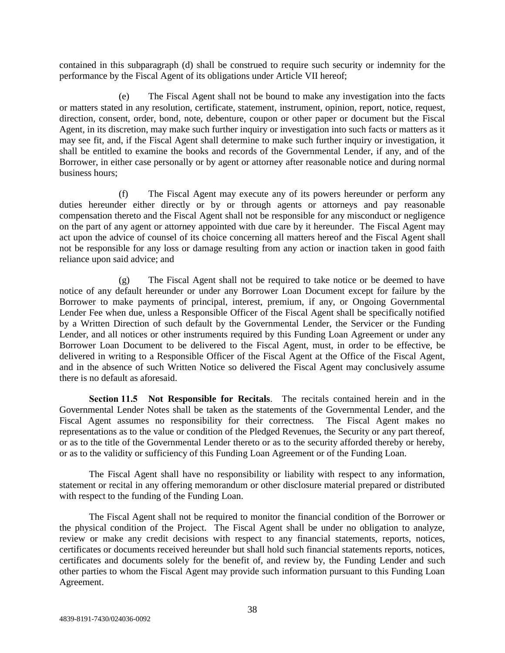contained in this subparagraph (d) shall be construed to require such security or indemnity for the performance by the Fiscal Agent of its obligations under Article VII hereof;

(e) The Fiscal Agent shall not be bound to make any investigation into the facts or matters stated in any resolution, certificate, statement, instrument, opinion, report, notice, request, direction, consent, order, bond, note, debenture, coupon or other paper or document but the Fiscal Agent, in its discretion, may make such further inquiry or investigation into such facts or matters as it may see fit, and, if the Fiscal Agent shall determine to make such further inquiry or investigation, it shall be entitled to examine the books and records of the Governmental Lender, if any, and of the Borrower, in either case personally or by agent or attorney after reasonable notice and during normal business hours;

(f) The Fiscal Agent may execute any of its powers hereunder or perform any duties hereunder either directly or by or through agents or attorneys and pay reasonable compensation thereto and the Fiscal Agent shall not be responsible for any misconduct or negligence on the part of any agent or attorney appointed with due care by it hereunder. The Fiscal Agent may act upon the advice of counsel of its choice concerning all matters hereof and the Fiscal Agent shall not be responsible for any loss or damage resulting from any action or inaction taken in good faith reliance upon said advice; and

(g) The Fiscal Agent shall not be required to take notice or be deemed to have notice of any default hereunder or under any Borrower Loan Document except for failure by the Borrower to make payments of principal, interest, premium, if any, or Ongoing Governmental Lender Fee when due, unless a Responsible Officer of the Fiscal Agent shall be specifically notified by a Written Direction of such default by the Governmental Lender, the Servicer or the Funding Lender, and all notices or other instruments required by this Funding Loan Agreement or under any Borrower Loan Document to be delivered to the Fiscal Agent, must, in order to be effective, be delivered in writing to a Responsible Officer of the Fiscal Agent at the Office of the Fiscal Agent, and in the absence of such Written Notice so delivered the Fiscal Agent may conclusively assume there is no default as aforesaid.

**Section 11.5 Not Responsible for Recitals**. The recitals contained herein and in the Governmental Lender Notes shall be taken as the statements of the Governmental Lender, and the Fiscal Agent assumes no responsibility for their correctness. The Fiscal Agent makes no representations as to the value or condition of the Pledged Revenues, the Security or any part thereof, or as to the title of the Governmental Lender thereto or as to the security afforded thereby or hereby, or as to the validity or sufficiency of this Funding Loan Agreement or of the Funding Loan.

The Fiscal Agent shall have no responsibility or liability with respect to any information, statement or recital in any offering memorandum or other disclosure material prepared or distributed with respect to the funding of the Funding Loan.

The Fiscal Agent shall not be required to monitor the financial condition of the Borrower or the physical condition of the Project. The Fiscal Agent shall be under no obligation to analyze, review or make any credit decisions with respect to any financial statements, reports, notices, certificates or documents received hereunder but shall hold such financial statements reports, notices, certificates and documents solely for the benefit of, and review by, the Funding Lender and such other parties to whom the Fiscal Agent may provide such information pursuant to this Funding Loan Agreement.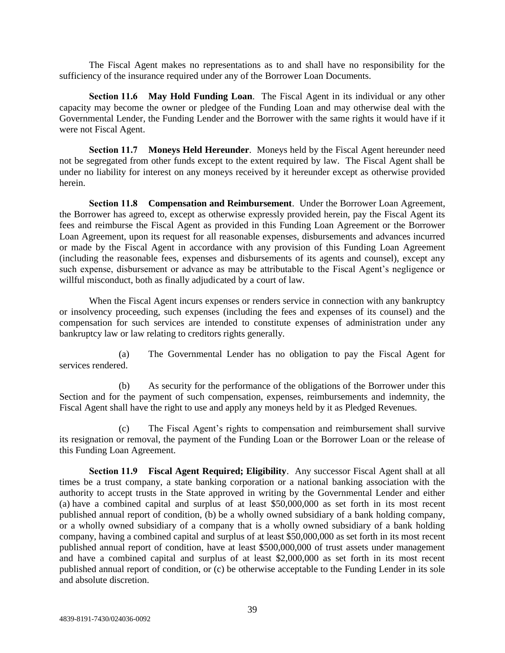The Fiscal Agent makes no representations as to and shall have no responsibility for the sufficiency of the insurance required under any of the Borrower Loan Documents.

**Section 11.6 May Hold Funding Loan**. The Fiscal Agent in its individual or any other capacity may become the owner or pledgee of the Funding Loan and may otherwise deal with the Governmental Lender, the Funding Lender and the Borrower with the same rights it would have if it were not Fiscal Agent.

**Section 11.7 Moneys Held Hereunder**. Moneys held by the Fiscal Agent hereunder need not be segregated from other funds except to the extent required by law. The Fiscal Agent shall be under no liability for interest on any moneys received by it hereunder except as otherwise provided herein.

**Section 11.8 Compensation and Reimbursement**. Under the Borrower Loan Agreement, the Borrower has agreed to, except as otherwise expressly provided herein, pay the Fiscal Agent its fees and reimburse the Fiscal Agent as provided in this Funding Loan Agreement or the Borrower Loan Agreement, upon its request for all reasonable expenses, disbursements and advances incurred or made by the Fiscal Agent in accordance with any provision of this Funding Loan Agreement (including the reasonable fees, expenses and disbursements of its agents and counsel), except any such expense, disbursement or advance as may be attributable to the Fiscal Agent's negligence or willful misconduct, both as finally adjudicated by a court of law.

When the Fiscal Agent incurs expenses or renders service in connection with any bankruptcy or insolvency proceeding, such expenses (including the fees and expenses of its counsel) and the compensation for such services are intended to constitute expenses of administration under any bankruptcy law or law relating to creditors rights generally.

(a) The Governmental Lender has no obligation to pay the Fiscal Agent for services rendered.

(b) As security for the performance of the obligations of the Borrower under this Section and for the payment of such compensation, expenses, reimbursements and indemnity, the Fiscal Agent shall have the right to use and apply any moneys held by it as Pledged Revenues.

(c) The Fiscal Agent's rights to compensation and reimbursement shall survive its resignation or removal, the payment of the Funding Loan or the Borrower Loan or the release of this Funding Loan Agreement.

**Section 11.9 Fiscal Agent Required; Eligibility**. Any successor Fiscal Agent shall at all times be a trust company, a state banking corporation or a national banking association with the authority to accept trusts in the State approved in writing by the Governmental Lender and either (a) have a combined capital and surplus of at least \$50,000,000 as set forth in its most recent published annual report of condition, (b) be a wholly owned subsidiary of a bank holding company, or a wholly owned subsidiary of a company that is a wholly owned subsidiary of a bank holding company, having a combined capital and surplus of at least \$50,000,000 as set forth in its most recent published annual report of condition, have at least \$500,000,000 of trust assets under management and have a combined capital and surplus of at least \$2,000,000 as set forth in its most recent published annual report of condition, or (c) be otherwise acceptable to the Funding Lender in its sole and absolute discretion.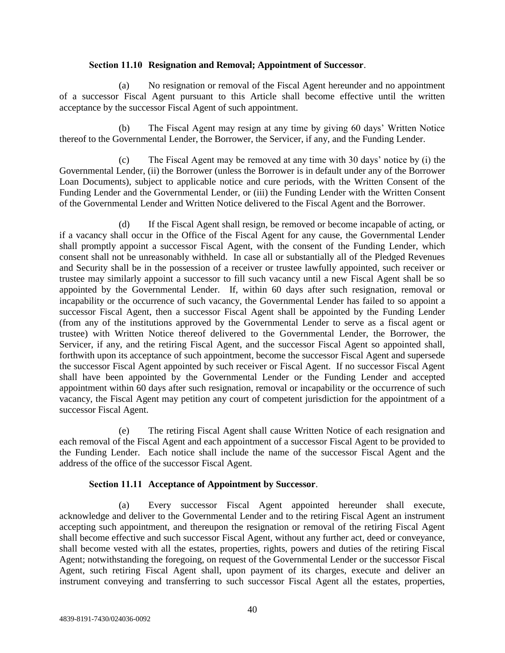#### **Section 11.10 Resignation and Removal; Appointment of Successor**.

(a) No resignation or removal of the Fiscal Agent hereunder and no appointment of a successor Fiscal Agent pursuant to this Article shall become effective until the written acceptance by the successor Fiscal Agent of such appointment.

(b) The Fiscal Agent may resign at any time by giving 60 days' Written Notice thereof to the Governmental Lender, the Borrower, the Servicer, if any, and the Funding Lender.

(c) The Fiscal Agent may be removed at any time with 30 days' notice by (i) the Governmental Lender, (ii) the Borrower (unless the Borrower is in default under any of the Borrower Loan Documents), subject to applicable notice and cure periods, with the Written Consent of the Funding Lender and the Governmental Lender, or (iii) the Funding Lender with the Written Consent of the Governmental Lender and Written Notice delivered to the Fiscal Agent and the Borrower.

(d) If the Fiscal Agent shall resign, be removed or become incapable of acting, or if a vacancy shall occur in the Office of the Fiscal Agent for any cause, the Governmental Lender shall promptly appoint a successor Fiscal Agent, with the consent of the Funding Lender, which consent shall not be unreasonably withheld. In case all or substantially all of the Pledged Revenues and Security shall be in the possession of a receiver or trustee lawfully appointed, such receiver or trustee may similarly appoint a successor to fill such vacancy until a new Fiscal Agent shall be so appointed by the Governmental Lender. If, within 60 days after such resignation, removal or incapability or the occurrence of such vacancy, the Governmental Lender has failed to so appoint a successor Fiscal Agent, then a successor Fiscal Agent shall be appointed by the Funding Lender (from any of the institutions approved by the Governmental Lender to serve as a fiscal agent or trustee) with Written Notice thereof delivered to the Governmental Lender, the Borrower, the Servicer, if any, and the retiring Fiscal Agent, and the successor Fiscal Agent so appointed shall, forthwith upon its acceptance of such appointment, become the successor Fiscal Agent and supersede the successor Fiscal Agent appointed by such receiver or Fiscal Agent. If no successor Fiscal Agent shall have been appointed by the Governmental Lender or the Funding Lender and accepted appointment within 60 days after such resignation, removal or incapability or the occurrence of such vacancy, the Fiscal Agent may petition any court of competent jurisdiction for the appointment of a successor Fiscal Agent.

(e) The retiring Fiscal Agent shall cause Written Notice of each resignation and each removal of the Fiscal Agent and each appointment of a successor Fiscal Agent to be provided to the Funding Lender. Each notice shall include the name of the successor Fiscal Agent and the address of the office of the successor Fiscal Agent.

#### **Section 11.11 Acceptance of Appointment by Successor**.

(a) Every successor Fiscal Agent appointed hereunder shall execute, acknowledge and deliver to the Governmental Lender and to the retiring Fiscal Agent an instrument accepting such appointment, and thereupon the resignation or removal of the retiring Fiscal Agent shall become effective and such successor Fiscal Agent, without any further act, deed or conveyance, shall become vested with all the estates, properties, rights, powers and duties of the retiring Fiscal Agent; notwithstanding the foregoing, on request of the Governmental Lender or the successor Fiscal Agent, such retiring Fiscal Agent shall, upon payment of its charges, execute and deliver an instrument conveying and transferring to such successor Fiscal Agent all the estates, properties,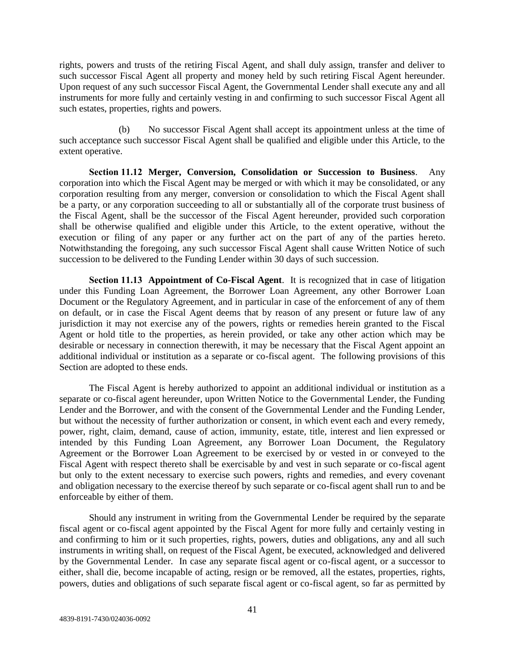rights, powers and trusts of the retiring Fiscal Agent, and shall duly assign, transfer and deliver to such successor Fiscal Agent all property and money held by such retiring Fiscal Agent hereunder. Upon request of any such successor Fiscal Agent, the Governmental Lender shall execute any and all instruments for more fully and certainly vesting in and confirming to such successor Fiscal Agent all such estates, properties, rights and powers.

(b) No successor Fiscal Agent shall accept its appointment unless at the time of such acceptance such successor Fiscal Agent shall be qualified and eligible under this Article, to the extent operative.

**Section 11.12 Merger, Conversion, Consolidation or Succession to Business**. Any corporation into which the Fiscal Agent may be merged or with which it may be consolidated, or any corporation resulting from any merger, conversion or consolidation to which the Fiscal Agent shall be a party, or any corporation succeeding to all or substantially all of the corporate trust business of the Fiscal Agent, shall be the successor of the Fiscal Agent hereunder, provided such corporation shall be otherwise qualified and eligible under this Article, to the extent operative, without the execution or filing of any paper or any further act on the part of any of the parties hereto. Notwithstanding the foregoing, any such successor Fiscal Agent shall cause Written Notice of such succession to be delivered to the Funding Lender within 30 days of such succession.

**Section 11.13 Appointment of Co-Fiscal Agent**. It is recognized that in case of litigation under this Funding Loan Agreement, the Borrower Loan Agreement, any other Borrower Loan Document or the Regulatory Agreement, and in particular in case of the enforcement of any of them on default, or in case the Fiscal Agent deems that by reason of any present or future law of any jurisdiction it may not exercise any of the powers, rights or remedies herein granted to the Fiscal Agent or hold title to the properties, as herein provided, or take any other action which may be desirable or necessary in connection therewith, it may be necessary that the Fiscal Agent appoint an additional individual or institution as a separate or co-fiscal agent. The following provisions of this Section are adopted to these ends.

The Fiscal Agent is hereby authorized to appoint an additional individual or institution as a separate or co-fiscal agent hereunder, upon Written Notice to the Governmental Lender, the Funding Lender and the Borrower, and with the consent of the Governmental Lender and the Funding Lender, but without the necessity of further authorization or consent, in which event each and every remedy, power, right, claim, demand, cause of action, immunity, estate, title, interest and lien expressed or intended by this Funding Loan Agreement, any Borrower Loan Document, the Regulatory Agreement or the Borrower Loan Agreement to be exercised by or vested in or conveyed to the Fiscal Agent with respect thereto shall be exercisable by and vest in such separate or co-fiscal agent but only to the extent necessary to exercise such powers, rights and remedies, and every covenant and obligation necessary to the exercise thereof by such separate or co-fiscal agent shall run to and be enforceable by either of them.

Should any instrument in writing from the Governmental Lender be required by the separate fiscal agent or co-fiscal agent appointed by the Fiscal Agent for more fully and certainly vesting in and confirming to him or it such properties, rights, powers, duties and obligations, any and all such instruments in writing shall, on request of the Fiscal Agent, be executed, acknowledged and delivered by the Governmental Lender. In case any separate fiscal agent or co-fiscal agent, or a successor to either, shall die, become incapable of acting, resign or be removed, all the estates, properties, rights, powers, duties and obligations of such separate fiscal agent or co-fiscal agent, so far as permitted by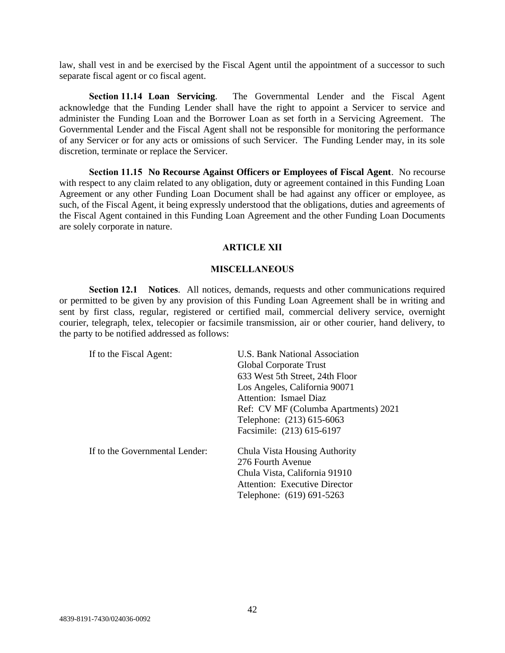law, shall vest in and be exercised by the Fiscal Agent until the appointment of a successor to such separate fiscal agent or co fiscal agent.

**Section 11.14 Loan Servicing**. The Governmental Lender and the Fiscal Agent acknowledge that the Funding Lender shall have the right to appoint a Servicer to service and administer the Funding Loan and the Borrower Loan as set forth in a Servicing Agreement. The Governmental Lender and the Fiscal Agent shall not be responsible for monitoring the performance of any Servicer or for any acts or omissions of such Servicer. The Funding Lender may, in its sole discretion, terminate or replace the Servicer.

**Section 11.15 No Recourse Against Officers or Employees of Fiscal Agent**. No recourse with respect to any claim related to any obligation, duty or agreement contained in this Funding Loan Agreement or any other Funding Loan Document shall be had against any officer or employee, as such, of the Fiscal Agent, it being expressly understood that the obligations, duties and agreements of the Fiscal Agent contained in this Funding Loan Agreement and the other Funding Loan Documents are solely corporate in nature.

#### **ARTICLE XII**

#### **MISCELLANEOUS**

**Section 12.1 Notices**. All notices, demands, requests and other communications required or permitted to be given by any provision of this Funding Loan Agreement shall be in writing and sent by first class, regular, registered or certified mail, commercial delivery service, overnight courier, telegraph, telex, telecopier or facsimile transmission, air or other courier, hand delivery, to the party to be notified addressed as follows:

| If to the Fiscal Agent:        | <b>U.S. Bank National Association</b> |  |
|--------------------------------|---------------------------------------|--|
|                                | Global Corporate Trust                |  |
|                                | 633 West 5th Street, 24th Floor       |  |
|                                | Los Angeles, California 90071         |  |
|                                | Attention: Ismael Diaz                |  |
|                                | Ref: CV MF (Columba Apartments) 2021  |  |
|                                | Telephone: (213) 615-6063             |  |
|                                | Facsimile: (213) 615-6197             |  |
| If to the Governmental Lender: | Chula Vista Housing Authority         |  |
|                                | 276 Fourth Avenue                     |  |
|                                | Chula Vista, California 91910         |  |
|                                | Attention: Executive Director         |  |
|                                | Telephone: (619) 691-5263             |  |
|                                |                                       |  |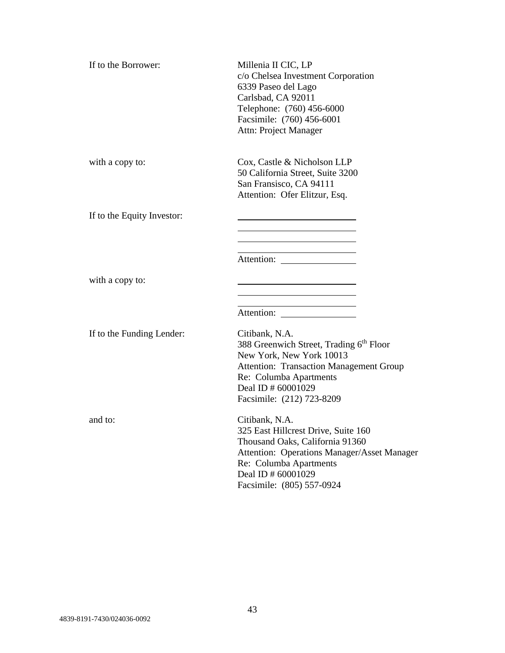| If to the Borrower:        | Millenia II CIC, LP<br>c/o Chelsea Investment Corporation<br>6339 Paseo del Lago<br>Carlsbad, CA 92011<br>Telephone: (760) 456-6000<br>Facsimile: (760) 456-6001<br>Attn: Project Manager                                        |
|----------------------------|----------------------------------------------------------------------------------------------------------------------------------------------------------------------------------------------------------------------------------|
| with a copy to:            | Cox, Castle & Nicholson LLP<br>50 California Street, Suite 3200<br>San Fransisco, CA 94111<br>Attention: Ofer Elitzur, Esq.                                                                                                      |
| If to the Equity Investor: |                                                                                                                                                                                                                                  |
|                            |                                                                                                                                                                                                                                  |
|                            | <u> 1989 - Johann Barn, mars eta bainar eta idazlea (</u><br>Attention:                                                                                                                                                          |
| with a copy to:            | <u> 1980 - Johann Barn, mars an t-Amerikaansk kommunister (</u>                                                                                                                                                                  |
|                            | <u> 1980 - Johann Barn, mars eta bainar eta idazlea (</u>                                                                                                                                                                        |
| If to the Funding Lender:  | Citibank, N.A.<br>388 Greenwich Street, Trading 6 <sup>th</sup> Floor<br>New York, New York 10013<br><b>Attention: Transaction Management Group</b><br>Re: Columba Apartments<br>Deal ID # 60001029<br>Facsimile: (212) 723-8209 |
| and to:                    | Citibank, N.A.<br>325 East Hillcrest Drive, Suite 160<br>Thousand Oaks, California 91360<br>Attention: Operations Manager/Asset Manager<br>Re: Columba Apartments<br>Deal ID # 60001029<br>Facsimile: (805) 557-0924             |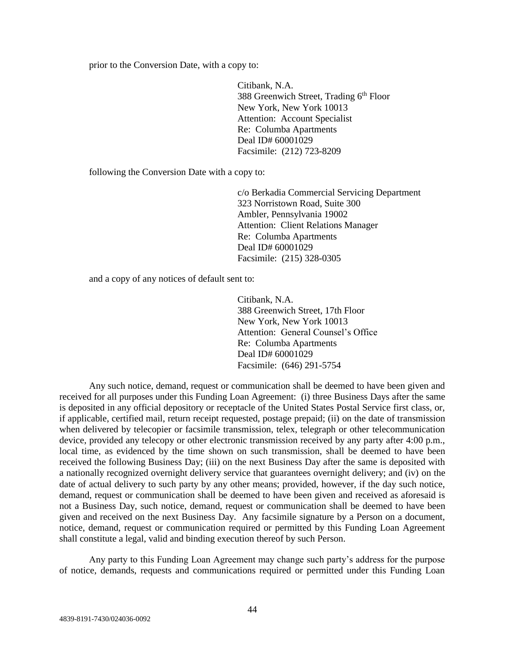prior to the Conversion Date, with a copy to:

Citibank, N.A. 388 Greenwich Street, Trading  $6<sup>th</sup>$  Floor New York, New York 10013 Attention: Account Specialist Re: Columba Apartments Deal ID# 60001029 Facsimile: (212) 723-8209

following the Conversion Date with a copy to:

c/o Berkadia Commercial Servicing Department 323 Norristown Road, Suite 300 Ambler, Pennsylvania 19002 Attention: Client Relations Manager Re: Columba Apartments Deal ID# 60001029 Facsimile: (215) 328-0305

and a copy of any notices of default sent to:

Citibank, N.A. 388 Greenwich Street, 17th Floor New York, New York 10013 Attention: General Counsel's Office Re: Columba Apartments Deal ID# 60001029 Facsimile: (646) 291-5754

Any such notice, demand, request or communication shall be deemed to have been given and received for all purposes under this Funding Loan Agreement: (i) three Business Days after the same is deposited in any official depository or receptacle of the United States Postal Service first class, or, if applicable, certified mail, return receipt requested, postage prepaid; (ii) on the date of transmission when delivered by telecopier or facsimile transmission, telex, telegraph or other telecommunication device, provided any telecopy or other electronic transmission received by any party after 4:00 p.m., local time, as evidenced by the time shown on such transmission, shall be deemed to have been received the following Business Day; (iii) on the next Business Day after the same is deposited with a nationally recognized overnight delivery service that guarantees overnight delivery; and (iv) on the date of actual delivery to such party by any other means; provided, however, if the day such notice, demand, request or communication shall be deemed to have been given and received as aforesaid is not a Business Day, such notice, demand, request or communication shall be deemed to have been given and received on the next Business Day. Any facsimile signature by a Person on a document, notice, demand, request or communication required or permitted by this Funding Loan Agreement shall constitute a legal, valid and binding execution thereof by such Person.

Any party to this Funding Loan Agreement may change such party's address for the purpose of notice, demands, requests and communications required or permitted under this Funding Loan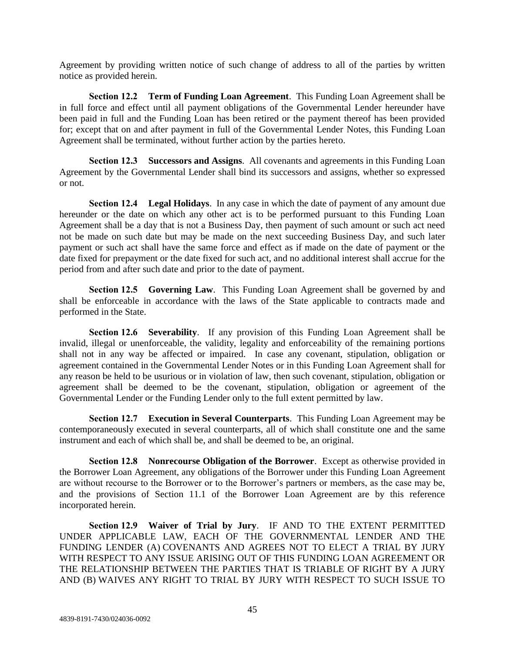Agreement by providing written notice of such change of address to all of the parties by written notice as provided herein.

**Section 12.2 Term of Funding Loan Agreement**. This Funding Loan Agreement shall be in full force and effect until all payment obligations of the Governmental Lender hereunder have been paid in full and the Funding Loan has been retired or the payment thereof has been provided for; except that on and after payment in full of the Governmental Lender Notes, this Funding Loan Agreement shall be terminated, without further action by the parties hereto.

**Section 12.3 Successors and Assigns**. All covenants and agreements in this Funding Loan Agreement by the Governmental Lender shall bind its successors and assigns, whether so expressed or not.

**Section 12.4 Legal Holidays**. In any case in which the date of payment of any amount due hereunder or the date on which any other act is to be performed pursuant to this Funding Loan Agreement shall be a day that is not a Business Day, then payment of such amount or such act need not be made on such date but may be made on the next succeeding Business Day, and such later payment or such act shall have the same force and effect as if made on the date of payment or the date fixed for prepayment or the date fixed for such act, and no additional interest shall accrue for the period from and after such date and prior to the date of payment.

**Section 12.5 Governing Law**. This Funding Loan Agreement shall be governed by and shall be enforceable in accordance with the laws of the State applicable to contracts made and performed in the State.

**Section 12.6 Severability**. If any provision of this Funding Loan Agreement shall be invalid, illegal or unenforceable, the validity, legality and enforceability of the remaining portions shall not in any way be affected or impaired. In case any covenant, stipulation, obligation or agreement contained in the Governmental Lender Notes or in this Funding Loan Agreement shall for any reason be held to be usurious or in violation of law, then such covenant, stipulation, obligation or agreement shall be deemed to be the covenant, stipulation, obligation or agreement of the Governmental Lender or the Funding Lender only to the full extent permitted by law.

**Section 12.7 Execution in Several Counterparts**. This Funding Loan Agreement may be contemporaneously executed in several counterparts, all of which shall constitute one and the same instrument and each of which shall be, and shall be deemed to be, an original.

**Section 12.8 Nonrecourse Obligation of the Borrower**. Except as otherwise provided in the Borrower Loan Agreement, any obligations of the Borrower under this Funding Loan Agreement are without recourse to the Borrower or to the Borrower's partners or members, as the case may be, and the provisions of Section 11.1 of the Borrower Loan Agreement are by this reference incorporated herein.

**Section 12.9 Waiver of Trial by Jury**. IF AND TO THE EXTENT PERMITTED UNDER APPLICABLE LAW, EACH OF THE GOVERNMENTAL LENDER AND THE FUNDING LENDER (A) COVENANTS AND AGREES NOT TO ELECT A TRIAL BY JURY WITH RESPECT TO ANY ISSUE ARISING OUT OF THIS FUNDING LOAN AGREEMENT OR THE RELATIONSHIP BETWEEN THE PARTIES THAT IS TRIABLE OF RIGHT BY A JURY AND (B) WAIVES ANY RIGHT TO TRIAL BY JURY WITH RESPECT TO SUCH ISSUE TO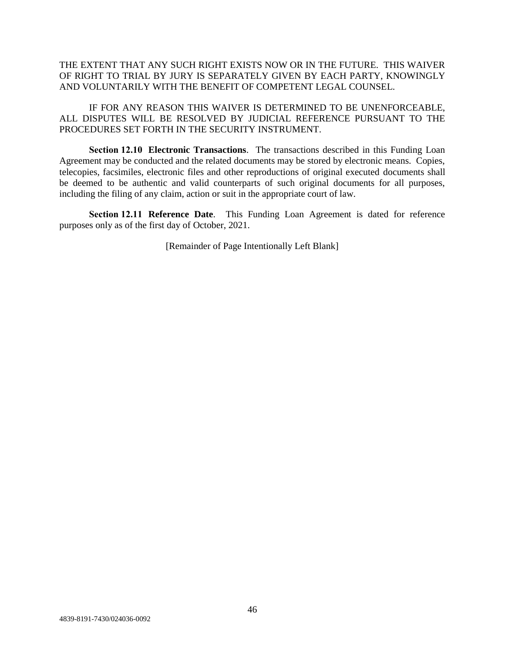THE EXTENT THAT ANY SUCH RIGHT EXISTS NOW OR IN THE FUTURE. THIS WAIVER OF RIGHT TO TRIAL BY JURY IS SEPARATELY GIVEN BY EACH PARTY, KNOWINGLY AND VOLUNTARILY WITH THE BENEFIT OF COMPETENT LEGAL COUNSEL.

IF FOR ANY REASON THIS WAIVER IS DETERMINED TO BE UNENFORCEABLE, ALL DISPUTES WILL BE RESOLVED BY JUDICIAL REFERENCE PURSUANT TO THE PROCEDURES SET FORTH IN THE SECURITY INSTRUMENT.

**Section 12.10 Electronic Transactions**. The transactions described in this Funding Loan Agreement may be conducted and the related documents may be stored by electronic means. Copies, telecopies, facsimiles, electronic files and other reproductions of original executed documents shall be deemed to be authentic and valid counterparts of such original documents for all purposes, including the filing of any claim, action or suit in the appropriate court of law.

**Section 12.11 Reference Date**. This Funding Loan Agreement is dated for reference purposes only as of the first day of October, 2021.

[Remainder of Page Intentionally Left Blank]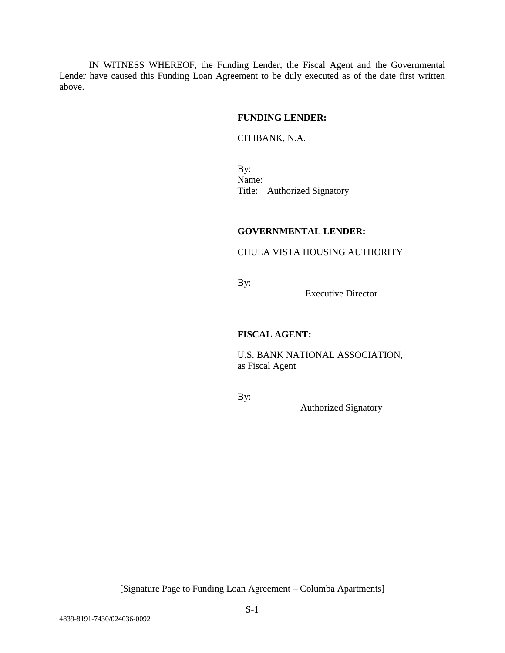IN WITNESS WHEREOF, the Funding Lender, the Fiscal Agent and the Governmental Lender have caused this Funding Loan Agreement to be duly executed as of the date first written above.

#### **FUNDING LENDER:**

#### CITIBANK, N.A.

<u> 1989 - Johann Barn, fransk politik (</u> By: Name: Title: Authorized Signatory

# **GOVERNMENTAL LENDER:**

# CHULA VISTA HOUSING AUTHORITY

By:

Executive Director

## **FISCAL AGENT:**

U.S. BANK NATIONAL ASSOCIATION, as Fiscal Agent

By:

Authorized Signatory

[Signature Page to Funding Loan Agreement – Columba Apartments]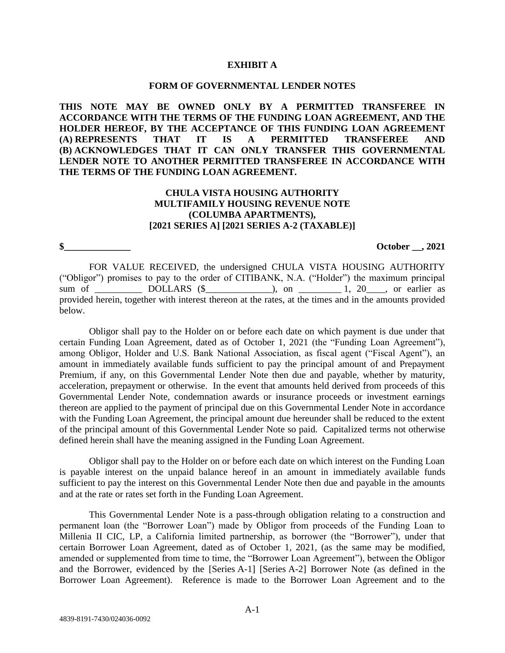#### **EXHIBIT A**

#### **FORM OF GOVERNMENTAL LENDER NOTES**

**THIS NOTE MAY BE OWNED ONLY BY A PERMITTED TRANSFEREE IN ACCORDANCE WITH THE TERMS OF THE FUNDING LOAN AGREEMENT, AND THE HOLDER HEREOF, BY THE ACCEPTANCE OF THIS FUNDING LOAN AGREEMENT (A) REPRESENTS THAT IT IS A PERMITTED TRANSFEREE AND (B) ACKNOWLEDGES THAT IT CAN ONLY TRANSFER THIS GOVERNMENTAL LENDER NOTE TO ANOTHER PERMITTED TRANSFEREE IN ACCORDANCE WITH THE TERMS OF THE FUNDING LOAN AGREEMENT.**

# **CHULA VISTA HOUSING AUTHORITY MULTIFAMILY HOUSING REVENUE NOTE (COLUMBA APARTMENTS), [2021 SERIES A] [2021 SERIES A-2 (TAXABLE)]**

**\$\_\_\_\_\_\_\_\_\_\_\_\_\_\_ October \_\_, 2021**

FOR VALUE RECEIVED, the undersigned CHULA VISTA HOUSING AUTHORITY ("Obligor") promises to pay to the order of CITIBANK, N.A. ("Holder") the maximum principal sum of DOLLARS (\$  $\qquad$  ), on  $\qquad$  1, 20  $\qquad$ , or earlier as provided herein, together with interest thereon at the rates, at the times and in the amounts provided below.

Obligor shall pay to the Holder on or before each date on which payment is due under that certain Funding Loan Agreement, dated as of October 1, 2021 (the "Funding Loan Agreement"), among Obligor, Holder and U.S. Bank National Association, as fiscal agent ("Fiscal Agent"), an amount in immediately available funds sufficient to pay the principal amount of and Prepayment Premium, if any, on this Governmental Lender Note then due and payable, whether by maturity, acceleration, prepayment or otherwise. In the event that amounts held derived from proceeds of this Governmental Lender Note, condemnation awards or insurance proceeds or investment earnings thereon are applied to the payment of principal due on this Governmental Lender Note in accordance with the Funding Loan Agreement, the principal amount due hereunder shall be reduced to the extent of the principal amount of this Governmental Lender Note so paid. Capitalized terms not otherwise defined herein shall have the meaning assigned in the Funding Loan Agreement.

Obligor shall pay to the Holder on or before each date on which interest on the Funding Loan is payable interest on the unpaid balance hereof in an amount in immediately available funds sufficient to pay the interest on this Governmental Lender Note then due and payable in the amounts and at the rate or rates set forth in the Funding Loan Agreement.

This Governmental Lender Note is a pass-through obligation relating to a construction and permanent loan (the "Borrower Loan") made by Obligor from proceeds of the Funding Loan to Millenia II CIC, LP, a California limited partnership, as borrower (the "Borrower"), under that certain Borrower Loan Agreement, dated as of October 1, 2021, (as the same may be modified, amended or supplemented from time to time, the "Borrower Loan Agreement"), between the Obligor and the Borrower, evidenced by the [Series A-1] [Series A-2] Borrower Note (as defined in the Borrower Loan Agreement). Reference is made to the Borrower Loan Agreement and to the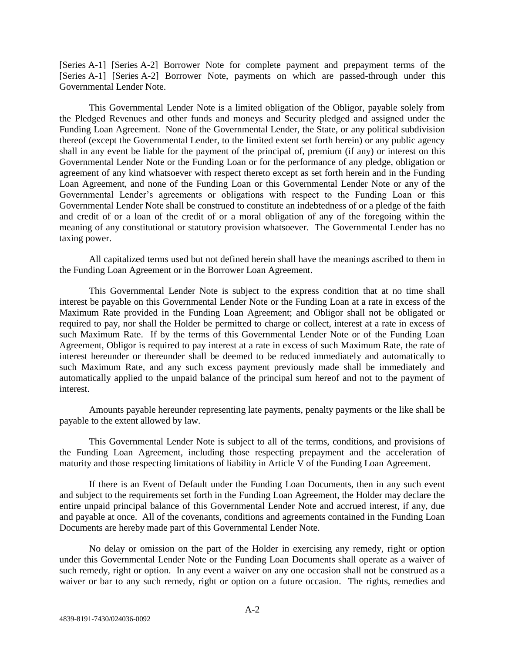[Series A-1] [Series A-2] Borrower Note for complete payment and prepayment terms of the [Series A-1] [Series A-2] Borrower Note, payments on which are passed-through under this Governmental Lender Note.

This Governmental Lender Note is a limited obligation of the Obligor, payable solely from the Pledged Revenues and other funds and moneys and Security pledged and assigned under the Funding Loan Agreement. None of the Governmental Lender, the State, or any political subdivision thereof (except the Governmental Lender, to the limited extent set forth herein) or any public agency shall in any event be liable for the payment of the principal of, premium (if any) or interest on this Governmental Lender Note or the Funding Loan or for the performance of any pledge, obligation or agreement of any kind whatsoever with respect thereto except as set forth herein and in the Funding Loan Agreement, and none of the Funding Loan or this Governmental Lender Note or any of the Governmental Lender's agreements or obligations with respect to the Funding Loan or this Governmental Lender Note shall be construed to constitute an indebtedness of or a pledge of the faith and credit of or a loan of the credit of or a moral obligation of any of the foregoing within the meaning of any constitutional or statutory provision whatsoever. The Governmental Lender has no taxing power.

All capitalized terms used but not defined herein shall have the meanings ascribed to them in the Funding Loan Agreement or in the Borrower Loan Agreement.

This Governmental Lender Note is subject to the express condition that at no time shall interest be payable on this Governmental Lender Note or the Funding Loan at a rate in excess of the Maximum Rate provided in the Funding Loan Agreement; and Obligor shall not be obligated or required to pay, nor shall the Holder be permitted to charge or collect, interest at a rate in excess of such Maximum Rate. If by the terms of this Governmental Lender Note or of the Funding Loan Agreement, Obligor is required to pay interest at a rate in excess of such Maximum Rate, the rate of interest hereunder or thereunder shall be deemed to be reduced immediately and automatically to such Maximum Rate, and any such excess payment previously made shall be immediately and automatically applied to the unpaid balance of the principal sum hereof and not to the payment of interest.

Amounts payable hereunder representing late payments, penalty payments or the like shall be payable to the extent allowed by law.

This Governmental Lender Note is subject to all of the terms, conditions, and provisions of the Funding Loan Agreement, including those respecting prepayment and the acceleration of maturity and those respecting limitations of liability in Article V of the Funding Loan Agreement.

If there is an Event of Default under the Funding Loan Documents, then in any such event and subject to the requirements set forth in the Funding Loan Agreement, the Holder may declare the entire unpaid principal balance of this Governmental Lender Note and accrued interest, if any, due and payable at once. All of the covenants, conditions and agreements contained in the Funding Loan Documents are hereby made part of this Governmental Lender Note.

No delay or omission on the part of the Holder in exercising any remedy, right or option under this Governmental Lender Note or the Funding Loan Documents shall operate as a waiver of such remedy, right or option. In any event a waiver on any one occasion shall not be construed as a waiver or bar to any such remedy, right or option on a future occasion. The rights, remedies and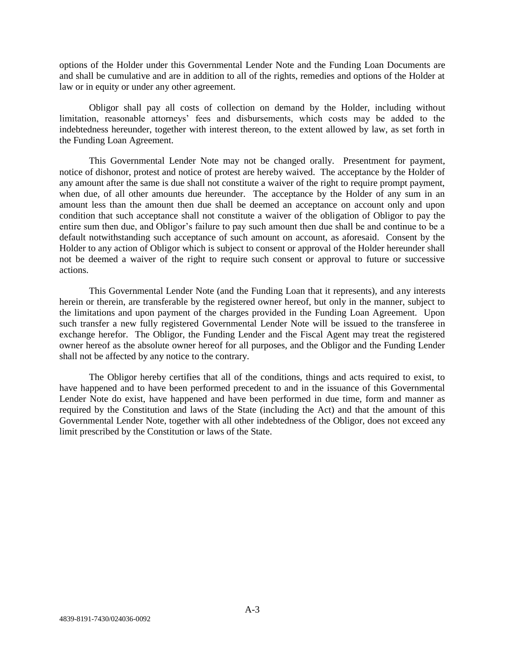options of the Holder under this Governmental Lender Note and the Funding Loan Documents are and shall be cumulative and are in addition to all of the rights, remedies and options of the Holder at law or in equity or under any other agreement.

Obligor shall pay all costs of collection on demand by the Holder, including without limitation, reasonable attorneys' fees and disbursements, which costs may be added to the indebtedness hereunder, together with interest thereon, to the extent allowed by law, as set forth in the Funding Loan Agreement.

This Governmental Lender Note may not be changed orally. Presentment for payment, notice of dishonor, protest and notice of protest are hereby waived. The acceptance by the Holder of any amount after the same is due shall not constitute a waiver of the right to require prompt payment, when due, of all other amounts due hereunder. The acceptance by the Holder of any sum in an amount less than the amount then due shall be deemed an acceptance on account only and upon condition that such acceptance shall not constitute a waiver of the obligation of Obligor to pay the entire sum then due, and Obligor's failure to pay such amount then due shall be and continue to be a default notwithstanding such acceptance of such amount on account, as aforesaid. Consent by the Holder to any action of Obligor which is subject to consent or approval of the Holder hereunder shall not be deemed a waiver of the right to require such consent or approval to future or successive actions.

This Governmental Lender Note (and the Funding Loan that it represents), and any interests herein or therein, are transferable by the registered owner hereof, but only in the manner, subject to the limitations and upon payment of the charges provided in the Funding Loan Agreement. Upon such transfer a new fully registered Governmental Lender Note will be issued to the transferee in exchange herefor. The Obligor, the Funding Lender and the Fiscal Agent may treat the registered owner hereof as the absolute owner hereof for all purposes, and the Obligor and the Funding Lender shall not be affected by any notice to the contrary.

The Obligor hereby certifies that all of the conditions, things and acts required to exist, to have happened and to have been performed precedent to and in the issuance of this Governmental Lender Note do exist, have happened and have been performed in due time, form and manner as required by the Constitution and laws of the State (including the Act) and that the amount of this Governmental Lender Note, together with all other indebtedness of the Obligor, does not exceed any limit prescribed by the Constitution or laws of the State.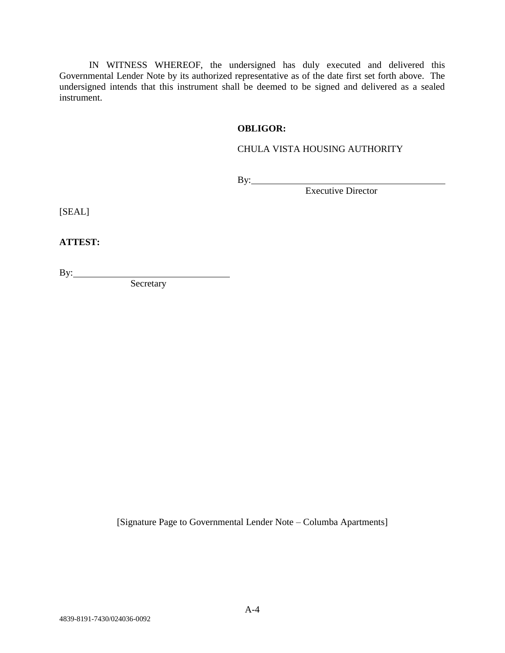IN WITNESS WHEREOF, the undersigned has duly executed and delivered this Governmental Lender Note by its authorized representative as of the date first set forth above. The undersigned intends that this instrument shall be deemed to be signed and delivered as a sealed instrument.

## **OBLIGOR:**

# CHULA VISTA HOUSING AUTHORITY

By:

Executive Director

[SEAL]

**ATTEST:**

By:

**Secretary** 

[Signature Page to Governmental Lender Note – Columba Apartments]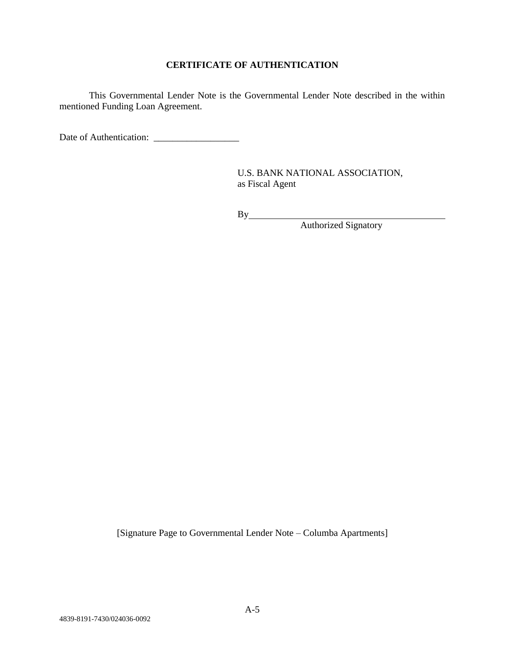# **CERTIFICATE OF AUTHENTICATION**

This Governmental Lender Note is the Governmental Lender Note described in the within mentioned Funding Loan Agreement.

Date of Authentication: \_\_\_\_\_\_\_\_\_\_\_\_\_\_\_\_\_\_

U.S. BANK NATIONAL ASSOCIATION, as Fiscal Agent

By

Authorized Signatory

[Signature Page to Governmental Lender Note – Columba Apartments]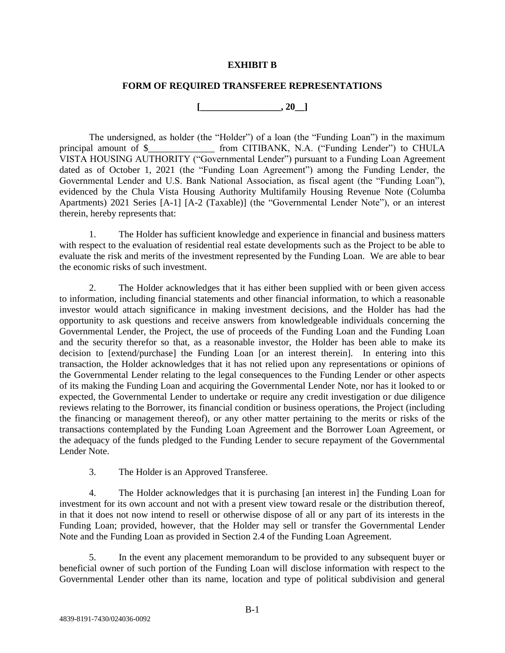#### **EXHIBIT B**

#### **FORM OF REQUIRED TRANSFEREE REPRESENTATIONS**

**[\_\_\_\_\_\_\_\_\_\_\_\_\_\_\_\_\_, 20\_\_]**

The undersigned, as holder (the "Holder") of a loan (the "Funding Loan") in the maximum principal amount of \$\_\_\_\_\_\_\_\_\_\_\_\_\_\_ from CITIBANK, N.A. ("Funding Lender") to CHULA VISTA HOUSING AUTHORITY ("Governmental Lender") pursuant to a Funding Loan Agreement dated as of October 1, 2021 (the "Funding Loan Agreement") among the Funding Lender, the Governmental Lender and U.S. Bank National Association, as fiscal agent (the "Funding Loan"), evidenced by the Chula Vista Housing Authority Multifamily Housing Revenue Note (Columba Apartments) 2021 Series [A-1] [A-2 (Taxable)] (the "Governmental Lender Note"), or an interest therein, hereby represents that:

1. The Holder has sufficient knowledge and experience in financial and business matters with respect to the evaluation of residential real estate developments such as the Project to be able to evaluate the risk and merits of the investment represented by the Funding Loan. We are able to bear the economic risks of such investment.

2. The Holder acknowledges that it has either been supplied with or been given access to information, including financial statements and other financial information, to which a reasonable investor would attach significance in making investment decisions, and the Holder has had the opportunity to ask questions and receive answers from knowledgeable individuals concerning the Governmental Lender, the Project, the use of proceeds of the Funding Loan and the Funding Loan and the security therefor so that, as a reasonable investor, the Holder has been able to make its decision to [extend/purchase] the Funding Loan [or an interest therein]. In entering into this transaction, the Holder acknowledges that it has not relied upon any representations or opinions of the Governmental Lender relating to the legal consequences to the Funding Lender or other aspects of its making the Funding Loan and acquiring the Governmental Lender Note, nor has it looked to or expected, the Governmental Lender to undertake or require any credit investigation or due diligence reviews relating to the Borrower, its financial condition or business operations, the Project (including the financing or management thereof), or any other matter pertaining to the merits or risks of the transactions contemplated by the Funding Loan Agreement and the Borrower Loan Agreement, or the adequacy of the funds pledged to the Funding Lender to secure repayment of the Governmental Lender Note.

3. The Holder is an Approved Transferee.

4. The Holder acknowledges that it is purchasing [an interest in] the Funding Loan for investment for its own account and not with a present view toward resale or the distribution thereof, in that it does not now intend to resell or otherwise dispose of all or any part of its interests in the Funding Loan; provided, however, that the Holder may sell or transfer the Governmental Lender Note and the Funding Loan as provided in Section 2.4 of the Funding Loan Agreement.

5. In the event any placement memorandum to be provided to any subsequent buyer or beneficial owner of such portion of the Funding Loan will disclose information with respect to the Governmental Lender other than its name, location and type of political subdivision and general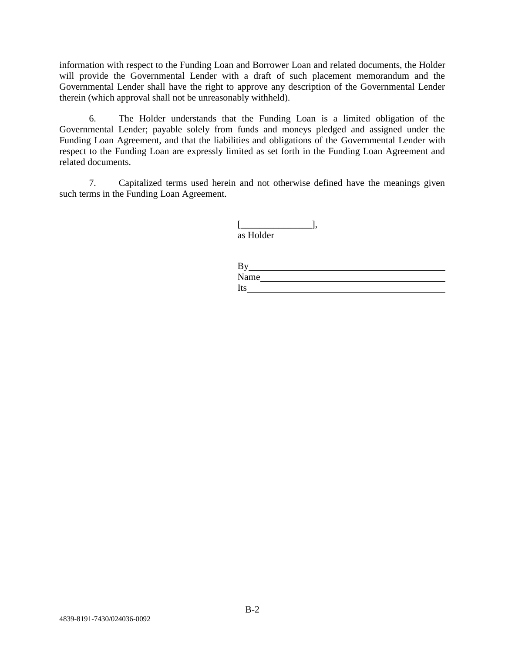information with respect to the Funding Loan and Borrower Loan and related documents, the Holder will provide the Governmental Lender with a draft of such placement memorandum and the Governmental Lender shall have the right to approve any description of the Governmental Lender therein (which approval shall not be unreasonably withheld).

6. The Holder understands that the Funding Loan is a limited obligation of the Governmental Lender; payable solely from funds and moneys pledged and assigned under the Funding Loan Agreement, and that the liabilities and obligations of the Governmental Lender with respect to the Funding Loan are expressly limited as set forth in the Funding Loan Agreement and related documents.

7. Capitalized terms used herein and not otherwise defined have the meanings given such terms in the Funding Loan Agreement.

| as Holder |  |
|-----------|--|

| By   |  |  |
|------|--|--|
| Name |  |  |
| Its  |  |  |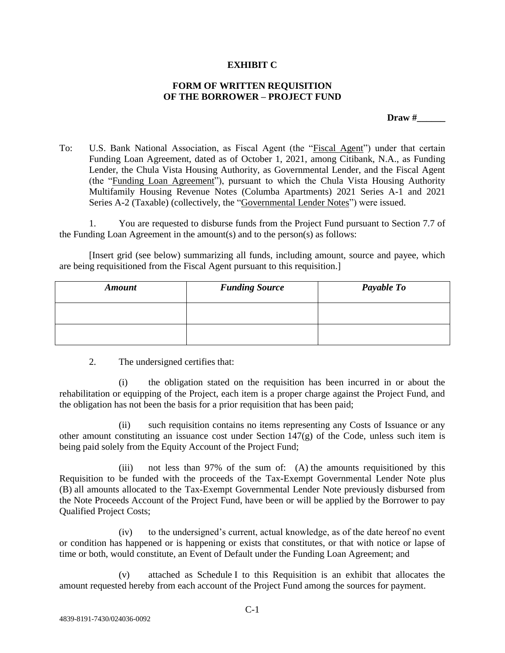#### **EXHIBIT C**

#### **FORM OF WRITTEN REQUISITION OF THE BORROWER – PROJECT FUND**

**Draw #** 

To: U.S. Bank National Association, as Fiscal Agent (the "Fiscal Agent") under that certain Funding Loan Agreement, dated as of October 1, 2021, among Citibank, N.A., as Funding Lender, the Chula Vista Housing Authority, as Governmental Lender, and the Fiscal Agent (the "Funding Loan Agreement"), pursuant to which the Chula Vista Housing Authority Multifamily Housing Revenue Notes (Columba Apartments) 2021 Series A-1 and 2021 Series A-2 (Taxable) (collectively, the "Governmental Lender Notes") were issued.

1. You are requested to disburse funds from the Project Fund pursuant to Section 7.7 of the Funding Loan Agreement in the amount(s) and to the person(s) as follows:

[Insert grid (see below) summarizing all funds, including amount, source and payee, which are being requisitioned from the Fiscal Agent pursuant to this requisition.]

| <b>Amount</b> | <b>Funding Source</b> | Payable To |
|---------------|-----------------------|------------|
|               |                       |            |
|               |                       |            |

2. The undersigned certifies that:

(i) the obligation stated on the requisition has been incurred in or about the rehabilitation or equipping of the Project, each item is a proper charge against the Project Fund, and the obligation has not been the basis for a prior requisition that has been paid;

(ii) such requisition contains no items representing any Costs of Issuance or any other amount constituting an issuance cost under Section 147(g) of the Code, unless such item is being paid solely from the Equity Account of the Project Fund;

(iii) not less than 97% of the sum of: (A) the amounts requisitioned by this Requisition to be funded with the proceeds of the Tax-Exempt Governmental Lender Note plus (B) all amounts allocated to the Tax-Exempt Governmental Lender Note previously disbursed from the Note Proceeds Account of the Project Fund, have been or will be applied by the Borrower to pay Qualified Project Costs;

(iv) to the undersigned's current, actual knowledge, as of the date hereof no event or condition has happened or is happening or exists that constitutes, or that with notice or lapse of time or both, would constitute, an Event of Default under the Funding Loan Agreement; and

(v) attached as Schedule I to this Requisition is an exhibit that allocates the amount requested hereby from each account of the Project Fund among the sources for payment.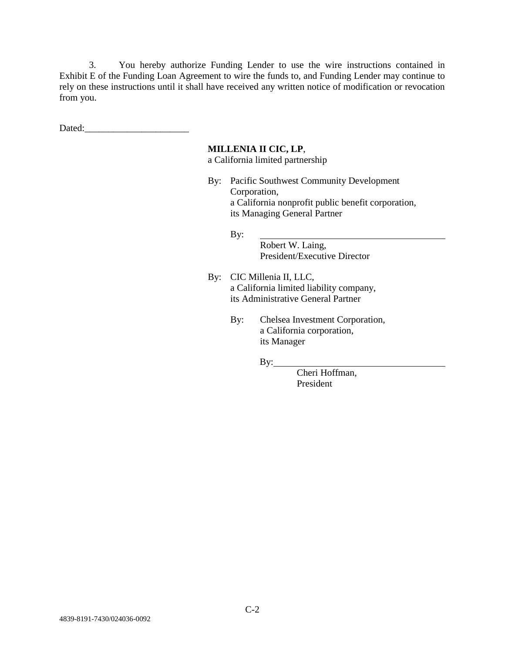3. You hereby authorize Funding Lender to use the wire instructions contained in Exhibit E of the Funding Loan Agreement to wire the funds to, and Funding Lender may continue to rely on these instructions until it shall have received any written notice of modification or revocation from you.

Dated:

#### **MILLENIA II CIC, LP**,

a California limited partnership

By: Pacific Southwest Community Development Corporation, a California nonprofit public benefit corporation, its Managing General Partner

By:

Robert W. Laing, President/Executive Director

- By: CIC Millenia II, LLC, a California limited liability company, its Administrative General Partner
	- By: Chelsea Investment Corporation, a California corporation, its Manager

 $By:$ 

Cheri Hoffman, President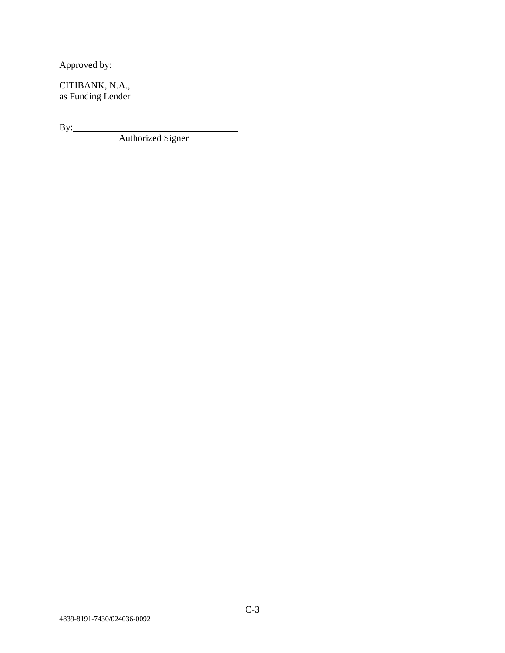Approved by:

CITIBANK, N.A., as Funding Lender

 $By:$ 

Authorized Signer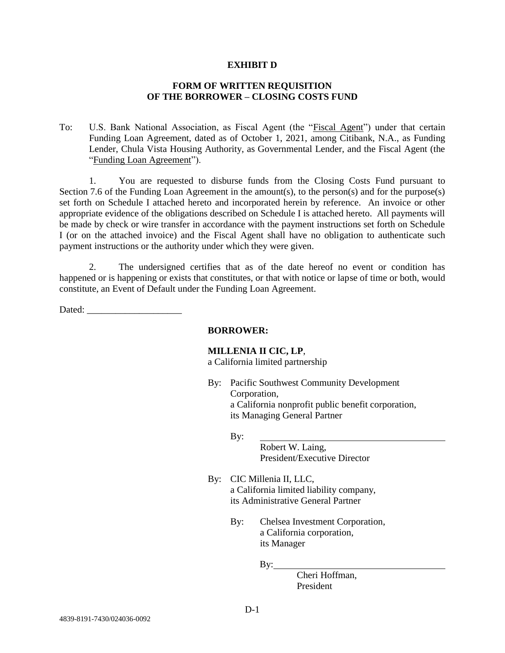#### **EXHIBIT D**

#### **FORM OF WRITTEN REQUISITION OF THE BORROWER – CLOSING COSTS FUND**

To: U.S. Bank National Association, as Fiscal Agent (the "Fiscal Agent") under that certain Funding Loan Agreement, dated as of October 1, 2021, among Citibank, N.A., as Funding Lender, Chula Vista Housing Authority, as Governmental Lender, and the Fiscal Agent (the "Funding Loan Agreement").

1. You are requested to disburse funds from the Closing Costs Fund pursuant to Section 7.6 of the Funding Loan Agreement in the amount(s), to the person(s) and for the purpose(s) set forth on Schedule I attached hereto and incorporated herein by reference. An invoice or other appropriate evidence of the obligations described on Schedule I is attached hereto. All payments will be made by check or wire transfer in accordance with the payment instructions set forth on Schedule I (or on the attached invoice) and the Fiscal Agent shall have no obligation to authenticate such payment instructions or the authority under which they were given.

2. The undersigned certifies that as of the date hereof no event or condition has happened or is happening or exists that constitutes, or that with notice or lapse of time or both, would constitute, an Event of Default under the Funding Loan Agreement.

Dated: \_\_\_\_\_\_\_\_\_\_\_\_\_\_\_\_\_\_\_\_

#### **BORROWER:**

# **MILLENIA II CIC, LP**,

a California limited partnership

- By: Pacific Southwest Community Development Corporation, a California nonprofit public benefit corporation, its Managing General Partner
	- By:

Robert W. Laing, President/Executive Director

- By: CIC Millenia II, LLC, a California limited liability company, its Administrative General Partner
	- By: Chelsea Investment Corporation, a California corporation, its Manager

 $By:$ 

Cheri Hoffman, President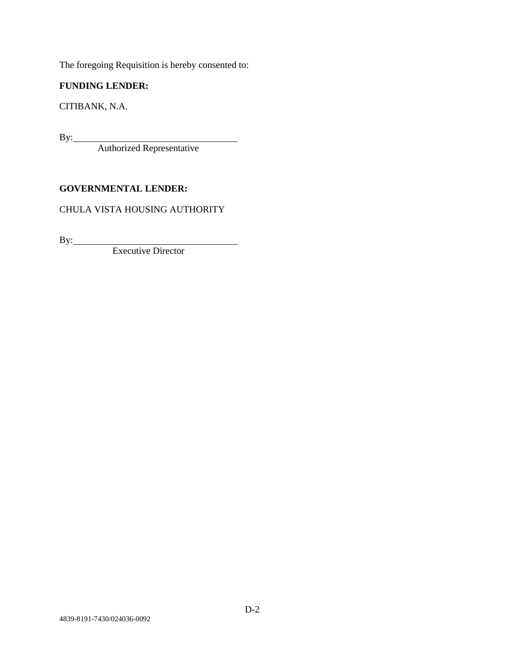The foregoing Requisition is hereby consented to:

# **FUNDING LENDER:**

CITIBANK, N.A.

By:

Authorized Representative

# **GOVERNMENTAL LENDER:**

# CHULA VISTA HOUSING AUTHORITY

By:

Executive Director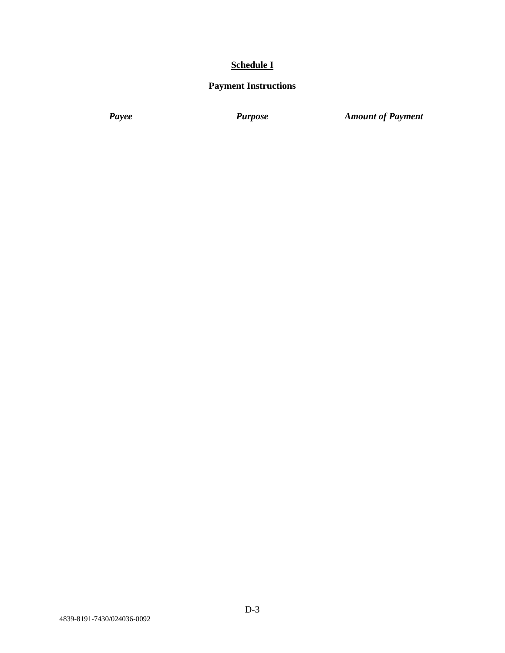# **Schedule I**

# **Payment Instructions**

*Payee Purpose Amount of Payment*